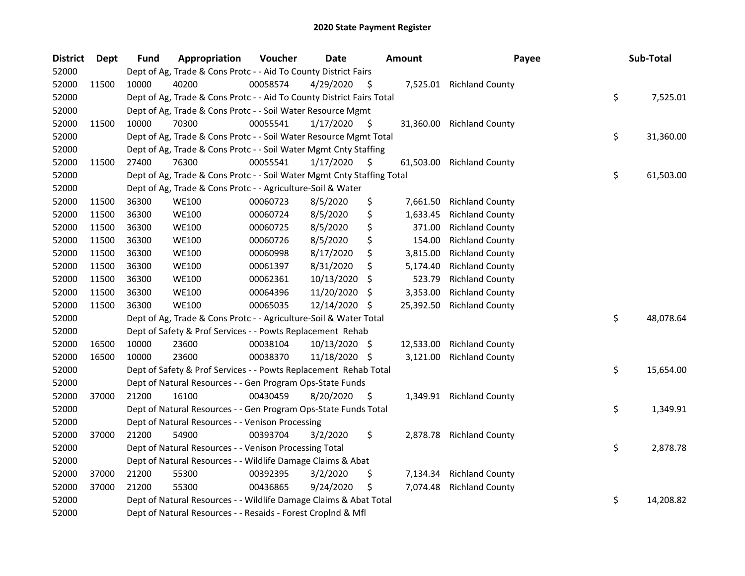| <b>District</b> | <b>Dept</b> | <b>Fund</b> | Appropriation                                                          | Voucher  | <b>Date</b>   |      | <b>Amount</b> | Payee                    | Sub-Total       |
|-----------------|-------------|-------------|------------------------------------------------------------------------|----------|---------------|------|---------------|--------------------------|-----------------|
| 52000           |             |             | Dept of Ag, Trade & Cons Protc - - Aid To County District Fairs        |          |               |      |               |                          |                 |
| 52000           | 11500       | 10000       | 40200                                                                  | 00058574 | 4/29/2020     | - Ş  |               | 7,525.01 Richland County |                 |
| 52000           |             |             | Dept of Ag, Trade & Cons Protc - - Aid To County District Fairs Total  |          |               |      |               |                          | \$<br>7,525.01  |
| 52000           |             |             | Dept of Ag, Trade & Cons Protc - - Soil Water Resource Mgmt            |          |               |      |               |                          |                 |
| 52000           | 11500       | 10000       | 70300                                                                  | 00055541 | 1/17/2020     | \$.  | 31,360.00     | <b>Richland County</b>   |                 |
| 52000           |             |             | Dept of Ag, Trade & Cons Protc - - Soil Water Resource Mgmt Total      |          |               |      |               |                          | \$<br>31,360.00 |
| 52000           |             |             | Dept of Ag, Trade & Cons Protc - - Soil Water Mgmt Cnty Staffing       |          |               |      |               |                          |                 |
| 52000           | 11500       | 27400       | 76300                                                                  | 00055541 | 1/17/2020     | \$.  | 61,503.00     | <b>Richland County</b>   |                 |
| 52000           |             |             | Dept of Ag, Trade & Cons Protc - - Soil Water Mgmt Cnty Staffing Total |          |               |      |               |                          | \$<br>61,503.00 |
| 52000           |             |             | Dept of Ag, Trade & Cons Protc - - Agriculture-Soil & Water            |          |               |      |               |                          |                 |
| 52000           | 11500       | 36300       | <b>WE100</b>                                                           | 00060723 | 8/5/2020      | \$   | 7,661.50      | <b>Richland County</b>   |                 |
| 52000           | 11500       | 36300       | <b>WE100</b>                                                           | 00060724 | 8/5/2020      | \$   | 1,633.45      | <b>Richland County</b>   |                 |
| 52000           | 11500       | 36300       | <b>WE100</b>                                                           | 00060725 | 8/5/2020      | \$   | 371.00        | <b>Richland County</b>   |                 |
| 52000           | 11500       | 36300       | <b>WE100</b>                                                           | 00060726 | 8/5/2020      | \$   | 154.00        | <b>Richland County</b>   |                 |
| 52000           | 11500       | 36300       | <b>WE100</b>                                                           | 00060998 | 8/17/2020     | \$   | 3,815.00      | <b>Richland County</b>   |                 |
| 52000           | 11500       | 36300       | <b>WE100</b>                                                           | 00061397 | 8/31/2020     | \$   | 5,174.40      | <b>Richland County</b>   |                 |
| 52000           | 11500       | 36300       | <b>WE100</b>                                                           | 00062361 | 10/13/2020    | S    | 523.79        | <b>Richland County</b>   |                 |
| 52000           | 11500       | 36300       | <b>WE100</b>                                                           | 00064396 | 11/20/2020    | \$   | 3,353.00      | <b>Richland County</b>   |                 |
| 52000           | 11500       | 36300       | <b>WE100</b>                                                           | 00065035 | 12/14/2020    | \$   | 25,392.50     | <b>Richland County</b>   |                 |
| 52000           |             |             | Dept of Ag, Trade & Cons Protc - - Agriculture-Soil & Water Total      |          |               |      |               |                          | \$<br>48,078.64 |
| 52000           |             |             | Dept of Safety & Prof Services - - Powts Replacement Rehab             |          |               |      |               |                          |                 |
| 52000           | 16500       | 10000       | 23600                                                                  | 00038104 | 10/13/2020 \$ |      | 12,533.00     | <b>Richland County</b>   |                 |
| 52000           | 16500       | 10000       | 23600                                                                  | 00038370 | 11/18/2020 \$ |      | 3,121.00      | <b>Richland County</b>   |                 |
| 52000           |             |             | Dept of Safety & Prof Services - - Powts Replacement Rehab Total       |          |               |      |               |                          | \$<br>15,654.00 |
| 52000           |             |             | Dept of Natural Resources - - Gen Program Ops-State Funds              |          |               |      |               |                          |                 |
| 52000           | 37000       | 21200       | 16100                                                                  | 00430459 | 8/20/2020     | - \$ |               | 1,349.91 Richland County |                 |
| 52000           |             |             | Dept of Natural Resources - - Gen Program Ops-State Funds Total        |          |               |      |               |                          | \$<br>1,349.91  |
| 52000           |             |             | Dept of Natural Resources - - Venison Processing                       |          |               |      |               |                          |                 |
| 52000           | 37000       | 21200       | 54900                                                                  | 00393704 | 3/2/2020      | \$   | 2,878.78      | <b>Richland County</b>   |                 |
| 52000           |             |             | Dept of Natural Resources - - Venison Processing Total                 |          |               |      |               |                          | \$<br>2,878.78  |
| 52000           |             |             | Dept of Natural Resources - - Wildlife Damage Claims & Abat            |          |               |      |               |                          |                 |
| 52000           | 37000       | 21200       | 55300                                                                  | 00392395 | 3/2/2020      | \$   | 7,134.34      | <b>Richland County</b>   |                 |
| 52000           | 37000       | 21200       | 55300                                                                  | 00436865 | 9/24/2020     | \$   | 7,074.48      | <b>Richland County</b>   |                 |
| 52000           |             |             | Dept of Natural Resources - - Wildlife Damage Claims & Abat Total      |          |               |      |               |                          | \$<br>14,208.82 |
| 52000           |             |             | Dept of Natural Resources - - Resaids - Forest Croplnd & Mfl           |          |               |      |               |                          |                 |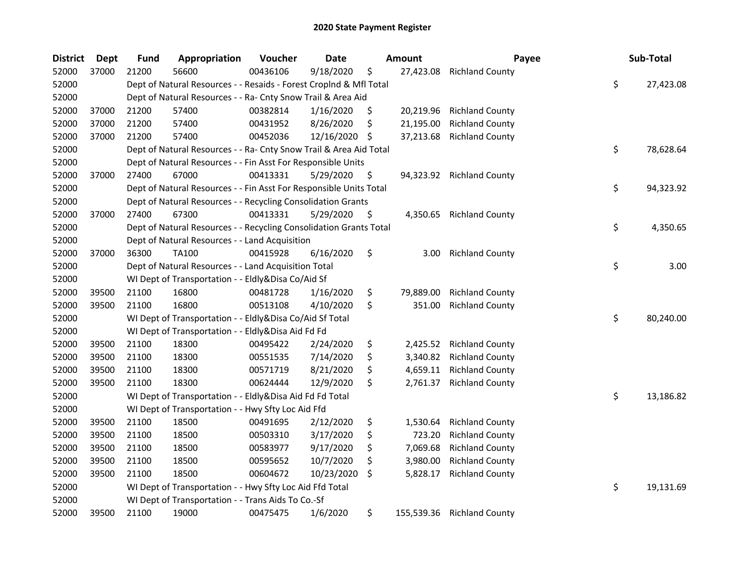| <b>District</b> | <b>Dept</b> | <b>Fund</b> | Appropriation                                                      | Voucher  | Date       |     | <b>Amount</b> | Payee                     | Sub-Total       |
|-----------------|-------------|-------------|--------------------------------------------------------------------|----------|------------|-----|---------------|---------------------------|-----------------|
| 52000           | 37000       | 21200       | 56600                                                              | 00436106 | 9/18/2020  | \$  | 27,423.08     | <b>Richland County</b>    |                 |
| 52000           |             |             | Dept of Natural Resources - - Resaids - Forest CropInd & Mfl Total |          |            |     |               |                           | \$<br>27,423.08 |
| 52000           |             |             | Dept of Natural Resources - - Ra- Cnty Snow Trail & Area Aid       |          |            |     |               |                           |                 |
| 52000           | 37000       | 21200       | 57400                                                              | 00382814 | 1/16/2020  | \$  | 20,219.96     | <b>Richland County</b>    |                 |
| 52000           | 37000       | 21200       | 57400                                                              | 00431952 | 8/26/2020  | \$  | 21,195.00     | <b>Richland County</b>    |                 |
| 52000           | 37000       | 21200       | 57400                                                              | 00452036 | 12/16/2020 | -\$ | 37,213.68     | <b>Richland County</b>    |                 |
| 52000           |             |             | Dept of Natural Resources - - Ra- Cnty Snow Trail & Area Aid Total |          |            |     |               |                           | \$<br>78,628.64 |
| 52000           |             |             | Dept of Natural Resources - - Fin Asst For Responsible Units       |          |            |     |               |                           |                 |
| 52000           | 37000       | 27400       | 67000                                                              | 00413331 | 5/29/2020  | \$  |               | 94,323.92 Richland County |                 |
| 52000           |             |             | Dept of Natural Resources - - Fin Asst For Responsible Units Total |          |            |     |               |                           | \$<br>94,323.92 |
| 52000           |             |             | Dept of Natural Resources - - Recycling Consolidation Grants       |          |            |     |               |                           |                 |
| 52000           | 37000       | 27400       | 67300                                                              | 00413331 | 5/29/2020  | \$  | 4,350.65      | <b>Richland County</b>    |                 |
| 52000           |             |             | Dept of Natural Resources - - Recycling Consolidation Grants Total |          |            |     |               |                           | \$<br>4,350.65  |
| 52000           |             |             | Dept of Natural Resources - - Land Acquisition                     |          |            |     |               |                           |                 |
| 52000           | 37000       | 36300       | <b>TA100</b>                                                       | 00415928 | 6/16/2020  | \$  | 3.00          | <b>Richland County</b>    |                 |
| 52000           |             |             | Dept of Natural Resources - - Land Acquisition Total               |          |            |     |               |                           | \$<br>3.00      |
| 52000           |             |             | WI Dept of Transportation - - Eldly&Disa Co/Aid Sf                 |          |            |     |               |                           |                 |
| 52000           | 39500       | 21100       | 16800                                                              | 00481728 | 1/16/2020  | \$  | 79,889.00     | <b>Richland County</b>    |                 |
| 52000           | 39500       | 21100       | 16800                                                              | 00513108 | 4/10/2020  | \$  | 351.00        | <b>Richland County</b>    |                 |
| 52000           |             |             | WI Dept of Transportation - - Eldly&Disa Co/Aid Sf Total           |          |            |     |               |                           | \$<br>80,240.00 |
| 52000           |             |             | WI Dept of Transportation - - Eldly&Disa Aid Fd Fd                 |          |            |     |               |                           |                 |
| 52000           | 39500       | 21100       | 18300                                                              | 00495422 | 2/24/2020  | \$  | 2,425.52      | <b>Richland County</b>    |                 |
| 52000           | 39500       | 21100       | 18300                                                              | 00551535 | 7/14/2020  | \$  | 3,340.82      | <b>Richland County</b>    |                 |
| 52000           | 39500       | 21100       | 18300                                                              | 00571719 | 8/21/2020  | \$  | 4,659.11      | <b>Richland County</b>    |                 |
| 52000           | 39500       | 21100       | 18300                                                              | 00624444 | 12/9/2020  | \$  | 2,761.37      | <b>Richland County</b>    |                 |
| 52000           |             |             | WI Dept of Transportation - - Eldly&Disa Aid Fd Fd Total           |          |            |     |               |                           | \$<br>13,186.82 |
| 52000           |             |             | WI Dept of Transportation - - Hwy Sfty Loc Aid Ffd                 |          |            |     |               |                           |                 |
| 52000           | 39500       | 21100       | 18500                                                              | 00491695 | 2/12/2020  | \$  | 1,530.64      | <b>Richland County</b>    |                 |
| 52000           | 39500       | 21100       | 18500                                                              | 00503310 | 3/17/2020  | \$  | 723.20        | <b>Richland County</b>    |                 |
| 52000           | 39500       | 21100       | 18500                                                              | 00583977 | 9/17/2020  | \$  | 7,069.68      | <b>Richland County</b>    |                 |
| 52000           | 39500       | 21100       | 18500                                                              | 00595652 | 10/7/2020  | \$  | 3,980.00      | <b>Richland County</b>    |                 |
| 52000           | 39500       | 21100       | 18500                                                              | 00604672 | 10/23/2020 | S   | 5,828.17      | <b>Richland County</b>    |                 |
| 52000           |             |             | WI Dept of Transportation - - Hwy Sfty Loc Aid Ffd Total           |          |            |     |               |                           | \$<br>19,131.69 |
| 52000           |             |             | WI Dept of Transportation - - Trans Aids To Co.-Sf                 |          |            |     |               |                           |                 |
| 52000           | 39500       | 21100       | 19000                                                              | 00475475 | 1/6/2020   | \$  | 155,539.36    | <b>Richland County</b>    |                 |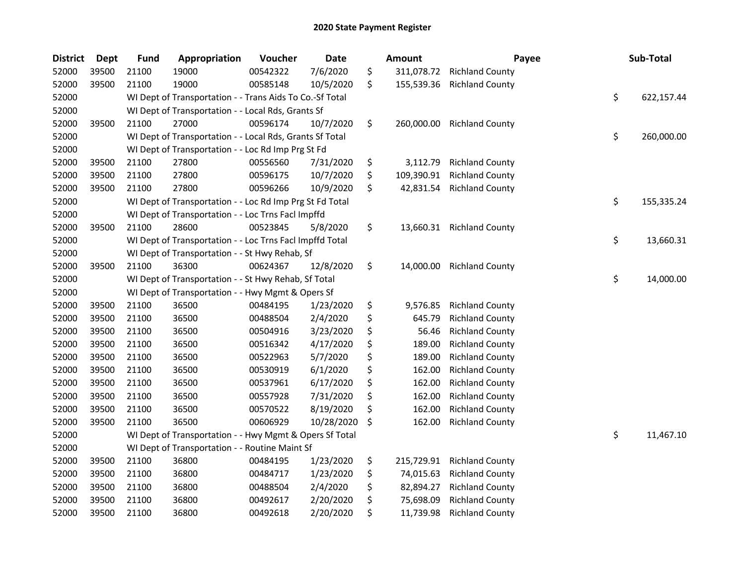| <b>District</b> | <b>Dept</b> | <b>Fund</b> | Appropriation                                            | Voucher  | <b>Date</b> | <b>Amount</b>    | Payee                  | Sub-Total        |
|-----------------|-------------|-------------|----------------------------------------------------------|----------|-------------|------------------|------------------------|------------------|
| 52000           | 39500       | 21100       | 19000                                                    | 00542322 | 7/6/2020    | \$<br>311,078.72 | <b>Richland County</b> |                  |
| 52000           | 39500       | 21100       | 19000                                                    | 00585148 | 10/5/2020   | \$<br>155,539.36 | <b>Richland County</b> |                  |
| 52000           |             |             | WI Dept of Transportation - - Trans Aids To Co.-Sf Total |          |             |                  |                        | \$<br>622,157.44 |
| 52000           |             |             | WI Dept of Transportation - - Local Rds, Grants Sf       |          |             |                  |                        |                  |
| 52000           | 39500       | 21100       | 27000                                                    | 00596174 | 10/7/2020   | \$<br>260,000.00 | <b>Richland County</b> |                  |
| 52000           |             |             | WI Dept of Transportation - - Local Rds, Grants Sf Total |          |             |                  |                        | \$<br>260,000.00 |
| 52000           |             |             | WI Dept of Transportation - - Loc Rd Imp Prg St Fd       |          |             |                  |                        |                  |
| 52000           | 39500       | 21100       | 27800                                                    | 00556560 | 7/31/2020   | \$<br>3,112.79   | <b>Richland County</b> |                  |
| 52000           | 39500       | 21100       | 27800                                                    | 00596175 | 10/7/2020   | \$<br>109,390.91 | <b>Richland County</b> |                  |
| 52000           | 39500       | 21100       | 27800                                                    | 00596266 | 10/9/2020   | \$<br>42,831.54  | <b>Richland County</b> |                  |
| 52000           |             |             | WI Dept of Transportation - - Loc Rd Imp Prg St Fd Total |          |             |                  |                        | \$<br>155,335.24 |
| 52000           |             |             | WI Dept of Transportation - - Loc Trns Facl Impffd       |          |             |                  |                        |                  |
| 52000           | 39500       | 21100       | 28600                                                    | 00523845 | 5/8/2020    | \$<br>13,660.31  | <b>Richland County</b> |                  |
| 52000           |             |             | WI Dept of Transportation - - Loc Trns Facl Impffd Total |          |             |                  |                        | \$<br>13,660.31  |
| 52000           |             |             | WI Dept of Transportation - - St Hwy Rehab, Sf           |          |             |                  |                        |                  |
| 52000           | 39500       | 21100       | 36300                                                    | 00624367 | 12/8/2020   | \$<br>14,000.00  | <b>Richland County</b> |                  |
| 52000           |             |             | WI Dept of Transportation - - St Hwy Rehab, Sf Total     |          |             |                  |                        | \$<br>14,000.00  |
| 52000           |             |             | WI Dept of Transportation - - Hwy Mgmt & Opers Sf        |          |             |                  |                        |                  |
| 52000           | 39500       | 21100       | 36500                                                    | 00484195 | 1/23/2020   | \$<br>9,576.85   | <b>Richland County</b> |                  |
| 52000           | 39500       | 21100       | 36500                                                    | 00488504 | 2/4/2020    | \$<br>645.79     | <b>Richland County</b> |                  |
| 52000           | 39500       | 21100       | 36500                                                    | 00504916 | 3/23/2020   | \$<br>56.46      | <b>Richland County</b> |                  |
| 52000           | 39500       | 21100       | 36500                                                    | 00516342 | 4/17/2020   | \$<br>189.00     | <b>Richland County</b> |                  |
| 52000           | 39500       | 21100       | 36500                                                    | 00522963 | 5/7/2020    | \$<br>189.00     | <b>Richland County</b> |                  |
| 52000           | 39500       | 21100       | 36500                                                    | 00530919 | 6/1/2020    | \$<br>162.00     | <b>Richland County</b> |                  |
| 52000           | 39500       | 21100       | 36500                                                    | 00537961 | 6/17/2020   | \$<br>162.00     | <b>Richland County</b> |                  |
| 52000           | 39500       | 21100       | 36500                                                    | 00557928 | 7/31/2020   | \$<br>162.00     | <b>Richland County</b> |                  |
| 52000           | 39500       | 21100       | 36500                                                    | 00570522 | 8/19/2020   | \$<br>162.00     | <b>Richland County</b> |                  |
| 52000           | 39500       | 21100       | 36500                                                    | 00606929 | 10/28/2020  | \$<br>162.00     | <b>Richland County</b> |                  |
| 52000           |             |             | WI Dept of Transportation - - Hwy Mgmt & Opers Sf Total  |          |             |                  |                        | \$<br>11,467.10  |
| 52000           |             |             | WI Dept of Transportation - - Routine Maint Sf           |          |             |                  |                        |                  |
| 52000           | 39500       | 21100       | 36800                                                    | 00484195 | 1/23/2020   | \$<br>215,729.91 | <b>Richland County</b> |                  |
| 52000           | 39500       | 21100       | 36800                                                    | 00484717 | 1/23/2020   | \$<br>74,015.63  | <b>Richland County</b> |                  |
| 52000           | 39500       | 21100       | 36800                                                    | 00488504 | 2/4/2020    | \$<br>82,894.27  | <b>Richland County</b> |                  |
| 52000           | 39500       | 21100       | 36800                                                    | 00492617 | 2/20/2020   | \$<br>75,698.09  | <b>Richland County</b> |                  |
| 52000           | 39500       | 21100       | 36800                                                    | 00492618 | 2/20/2020   | \$<br>11,739.98  | <b>Richland County</b> |                  |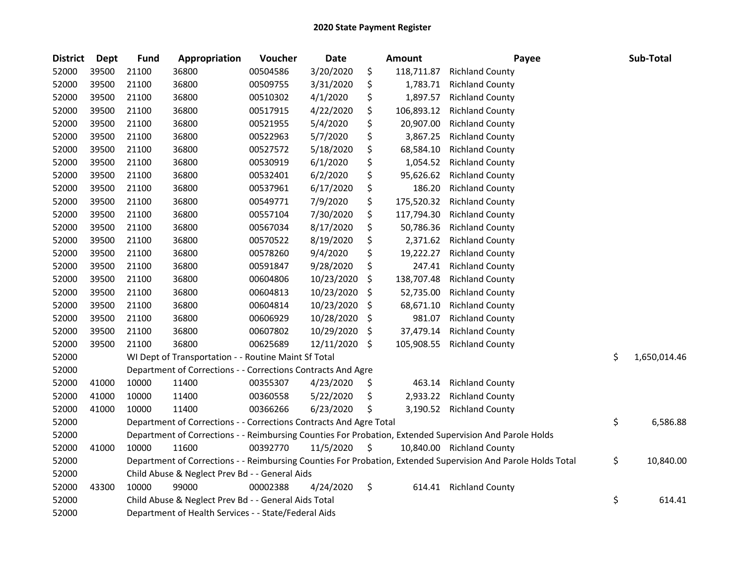| <b>District</b> | <b>Dept</b> | <b>Fund</b> | Appropriation                                                      | Voucher  | <b>Date</b> | Amount           | Payee                                                                                                         | Sub-Total          |
|-----------------|-------------|-------------|--------------------------------------------------------------------|----------|-------------|------------------|---------------------------------------------------------------------------------------------------------------|--------------------|
| 52000           | 39500       | 21100       | 36800                                                              | 00504586 | 3/20/2020   | \$<br>118,711.87 | <b>Richland County</b>                                                                                        |                    |
| 52000           | 39500       | 21100       | 36800                                                              | 00509755 | 3/31/2020   | \$<br>1,783.71   | <b>Richland County</b>                                                                                        |                    |
| 52000           | 39500       | 21100       | 36800                                                              | 00510302 | 4/1/2020    | \$<br>1,897.57   | <b>Richland County</b>                                                                                        |                    |
| 52000           | 39500       | 21100       | 36800                                                              | 00517915 | 4/22/2020   | \$<br>106,893.12 | <b>Richland County</b>                                                                                        |                    |
| 52000           | 39500       | 21100       | 36800                                                              | 00521955 | 5/4/2020    | \$<br>20,907.00  | <b>Richland County</b>                                                                                        |                    |
| 52000           | 39500       | 21100       | 36800                                                              | 00522963 | 5/7/2020    | \$<br>3,867.25   | <b>Richland County</b>                                                                                        |                    |
| 52000           | 39500       | 21100       | 36800                                                              | 00527572 | 5/18/2020   | \$<br>68,584.10  | <b>Richland County</b>                                                                                        |                    |
| 52000           | 39500       | 21100       | 36800                                                              | 00530919 | 6/1/2020    | \$<br>1,054.52   | <b>Richland County</b>                                                                                        |                    |
| 52000           | 39500       | 21100       | 36800                                                              | 00532401 | 6/2/2020    | \$<br>95,626.62  | <b>Richland County</b>                                                                                        |                    |
| 52000           | 39500       | 21100       | 36800                                                              | 00537961 | 6/17/2020   | \$<br>186.20     | <b>Richland County</b>                                                                                        |                    |
| 52000           | 39500       | 21100       | 36800                                                              | 00549771 | 7/9/2020    | \$<br>175,520.32 | <b>Richland County</b>                                                                                        |                    |
| 52000           | 39500       | 21100       | 36800                                                              | 00557104 | 7/30/2020   | \$<br>117,794.30 | <b>Richland County</b>                                                                                        |                    |
| 52000           | 39500       | 21100       | 36800                                                              | 00567034 | 8/17/2020   | \$<br>50,786.36  | <b>Richland County</b>                                                                                        |                    |
| 52000           | 39500       | 21100       | 36800                                                              | 00570522 | 8/19/2020   | \$<br>2,371.62   | <b>Richland County</b>                                                                                        |                    |
| 52000           | 39500       | 21100       | 36800                                                              | 00578260 | 9/4/2020    | \$<br>19,222.27  | <b>Richland County</b>                                                                                        |                    |
| 52000           | 39500       | 21100       | 36800                                                              | 00591847 | 9/28/2020   | \$<br>247.41     | <b>Richland County</b>                                                                                        |                    |
| 52000           | 39500       | 21100       | 36800                                                              | 00604806 | 10/23/2020  | \$<br>138,707.48 | <b>Richland County</b>                                                                                        |                    |
| 52000           | 39500       | 21100       | 36800                                                              | 00604813 | 10/23/2020  | \$<br>52,735.00  | <b>Richland County</b>                                                                                        |                    |
| 52000           | 39500       | 21100       | 36800                                                              | 00604814 | 10/23/2020  | \$<br>68,671.10  | <b>Richland County</b>                                                                                        |                    |
| 52000           | 39500       | 21100       | 36800                                                              | 00606929 | 10/28/2020  | \$<br>981.07     | <b>Richland County</b>                                                                                        |                    |
| 52000           | 39500       | 21100       | 36800                                                              | 00607802 | 10/29/2020  | \$<br>37,479.14  | <b>Richland County</b>                                                                                        |                    |
| 52000           | 39500       | 21100       | 36800                                                              | 00625689 | 12/11/2020  | \$<br>105,908.55 | <b>Richland County</b>                                                                                        |                    |
| 52000           |             |             | WI Dept of Transportation - - Routine Maint Sf Total               |          |             |                  |                                                                                                               | \$<br>1,650,014.46 |
| 52000           |             |             | Department of Corrections - - Corrections Contracts And Agre       |          |             |                  |                                                                                                               |                    |
| 52000           | 41000       | 10000       | 11400                                                              | 00355307 | 4/23/2020   | \$<br>463.14     | <b>Richland County</b>                                                                                        |                    |
| 52000           | 41000       | 10000       | 11400                                                              | 00360558 | 5/22/2020   | \$<br>2,933.22   | <b>Richland County</b>                                                                                        |                    |
| 52000           | 41000       | 10000       | 11400                                                              | 00366266 | 6/23/2020   | \$               | 3,190.52 Richland County                                                                                      |                    |
| 52000           |             |             | Department of Corrections - - Corrections Contracts And Agre Total |          |             |                  |                                                                                                               | \$<br>6,586.88     |
| 52000           |             |             |                                                                    |          |             |                  | Department of Corrections - - Reimbursing Counties For Probation, Extended Supervision And Parole Holds       |                    |
| 52000           | 41000       | 10000       | 11600                                                              | 00392770 | 11/5/2020   | \$               | 10,840.00 Richland County                                                                                     |                    |
| 52000           |             |             |                                                                    |          |             |                  | Department of Corrections - - Reimbursing Counties For Probation, Extended Supervision And Parole Holds Total | \$<br>10,840.00    |
| 52000           |             |             | Child Abuse & Neglect Prev Bd - - General Aids                     |          |             |                  |                                                                                                               |                    |
| 52000           | 43300       | 10000       | 99000                                                              | 00002388 | 4/24/2020   | \$<br>614.41     | <b>Richland County</b>                                                                                        |                    |
| 52000           |             |             | Child Abuse & Neglect Prev Bd - - General Aids Total               |          |             |                  |                                                                                                               | \$<br>614.41       |
| 52000           |             |             | Department of Health Services - - State/Federal Aids               |          |             |                  |                                                                                                               |                    |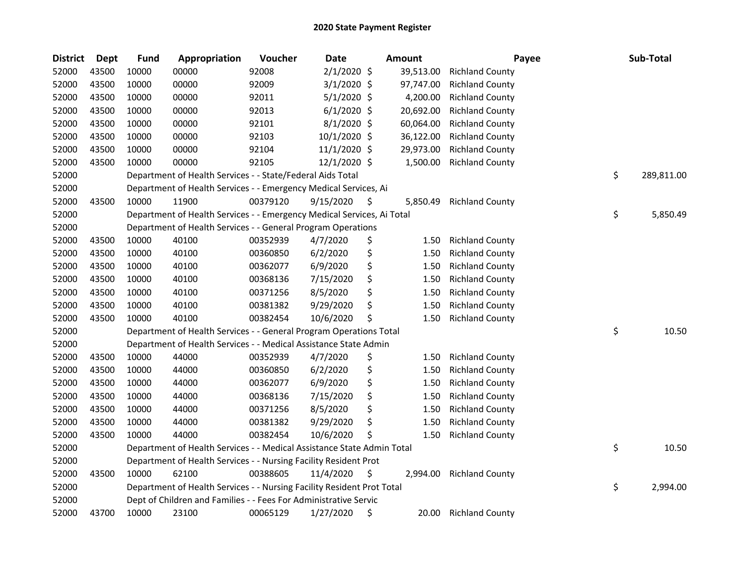| <b>District</b> | <b>Dept</b> | <b>Fund</b> | Appropriation                                                          | Voucher  | <b>Date</b>    |     | <b>Amount</b> | Payee                  | Sub-Total        |
|-----------------|-------------|-------------|------------------------------------------------------------------------|----------|----------------|-----|---------------|------------------------|------------------|
| 52000           | 43500       | 10000       | 00000                                                                  | 92008    | $2/1/2020$ \$  |     | 39,513.00     | <b>Richland County</b> |                  |
| 52000           | 43500       | 10000       | 00000                                                                  | 92009    | $3/1/2020$ \$  |     | 97,747.00     | <b>Richland County</b> |                  |
| 52000           | 43500       | 10000       | 00000                                                                  | 92011    | $5/1/2020$ \$  |     | 4,200.00      | <b>Richland County</b> |                  |
| 52000           | 43500       | 10000       | 00000                                                                  | 92013    | $6/1/2020$ \$  |     | 20,692.00     | <b>Richland County</b> |                  |
| 52000           | 43500       | 10000       | 00000                                                                  | 92101    | 8/1/2020 \$    |     | 60,064.00     | <b>Richland County</b> |                  |
| 52000           | 43500       | 10000       | 00000                                                                  | 92103    | 10/1/2020 \$   |     | 36,122.00     | <b>Richland County</b> |                  |
| 52000           | 43500       | 10000       | 00000                                                                  | 92104    | $11/1/2020$ \$ |     | 29,973.00     | <b>Richland County</b> |                  |
| 52000           | 43500       | 10000       | 00000                                                                  | 92105    | 12/1/2020 \$   |     | 1,500.00      | <b>Richland County</b> |                  |
| 52000           |             |             | Department of Health Services - - State/Federal Aids Total             |          |                |     |               |                        | \$<br>289,811.00 |
| 52000           |             |             | Department of Health Services - - Emergency Medical Services, Ai       |          |                |     |               |                        |                  |
| 52000           | 43500       | 10000       | 11900                                                                  | 00379120 | 9/15/2020      | \$, | 5,850.49      | <b>Richland County</b> |                  |
| 52000           |             |             | Department of Health Services - - Emergency Medical Services, Ai Total |          |                |     |               |                        | \$<br>5,850.49   |
| 52000           |             |             | Department of Health Services - - General Program Operations           |          |                |     |               |                        |                  |
| 52000           | 43500       | 10000       | 40100                                                                  | 00352939 | 4/7/2020       | \$  | 1.50          | <b>Richland County</b> |                  |
| 52000           | 43500       | 10000       | 40100                                                                  | 00360850 | 6/2/2020       | \$  | 1.50          | <b>Richland County</b> |                  |
| 52000           | 43500       | 10000       | 40100                                                                  | 00362077 | 6/9/2020       | \$  | 1.50          | <b>Richland County</b> |                  |
| 52000           | 43500       | 10000       | 40100                                                                  | 00368136 | 7/15/2020      | \$  | 1.50          | <b>Richland County</b> |                  |
| 52000           | 43500       | 10000       | 40100                                                                  | 00371256 | 8/5/2020       | \$  | 1.50          | <b>Richland County</b> |                  |
| 52000           | 43500       | 10000       | 40100                                                                  | 00381382 | 9/29/2020      | \$  | 1.50          | <b>Richland County</b> |                  |
| 52000           | 43500       | 10000       | 40100                                                                  | 00382454 | 10/6/2020      | \$  | 1.50          | <b>Richland County</b> |                  |
| 52000           |             |             | Department of Health Services - - General Program Operations Total     |          |                |     |               |                        | \$<br>10.50      |
| 52000           |             |             | Department of Health Services - - Medical Assistance State Admin       |          |                |     |               |                        |                  |
| 52000           | 43500       | 10000       | 44000                                                                  | 00352939 | 4/7/2020       | \$  | 1.50          | <b>Richland County</b> |                  |
| 52000           | 43500       | 10000       | 44000                                                                  | 00360850 | 6/2/2020       | \$  | 1.50          | <b>Richland County</b> |                  |
| 52000           | 43500       | 10000       | 44000                                                                  | 00362077 | 6/9/2020       | \$  | 1.50          | <b>Richland County</b> |                  |
| 52000           | 43500       | 10000       | 44000                                                                  | 00368136 | 7/15/2020      | \$  | 1.50          | <b>Richland County</b> |                  |
| 52000           | 43500       | 10000       | 44000                                                                  | 00371256 | 8/5/2020       | \$  | 1.50          | <b>Richland County</b> |                  |
| 52000           | 43500       | 10000       | 44000                                                                  | 00381382 | 9/29/2020      | \$  | 1.50          | <b>Richland County</b> |                  |
| 52000           | 43500       | 10000       | 44000                                                                  | 00382454 | 10/6/2020      | Ś   | 1.50          | <b>Richland County</b> |                  |
| 52000           |             |             | Department of Health Services - - Medical Assistance State Admin Total |          |                |     |               |                        | \$<br>10.50      |
| 52000           |             |             | Department of Health Services - - Nursing Facility Resident Prot       |          |                |     |               |                        |                  |
| 52000           | 43500       | 10000       | 62100                                                                  | 00388605 | 11/4/2020      | \$  | 2,994.00      | <b>Richland County</b> |                  |
| 52000           |             |             | Department of Health Services - - Nursing Facility Resident Prot Total |          |                |     |               |                        | \$<br>2,994.00   |
| 52000           |             |             | Dept of Children and Families - - Fees For Administrative Servic       |          |                |     |               |                        |                  |
| 52000           | 43700       | 10000       | 23100                                                                  | 00065129 | 1/27/2020      | \$  | 20.00         | <b>Richland County</b> |                  |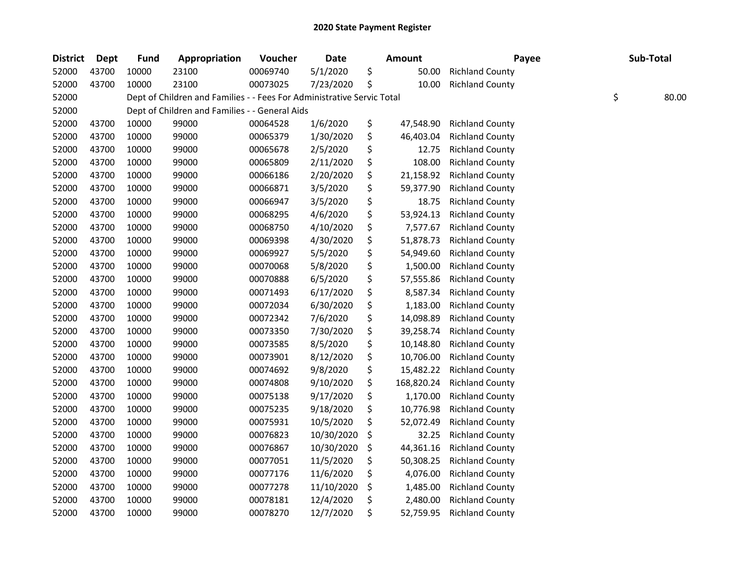| <b>District</b> | Dept  | <b>Fund</b> | Appropriation                                                          | Voucher  | <b>Date</b> | <b>Amount</b>    | Payee                  | Sub-Total   |
|-----------------|-------|-------------|------------------------------------------------------------------------|----------|-------------|------------------|------------------------|-------------|
| 52000           | 43700 | 10000       | 23100                                                                  | 00069740 | 5/1/2020    | \$<br>50.00      | <b>Richland County</b> |             |
| 52000           | 43700 | 10000       | 23100                                                                  | 00073025 | 7/23/2020   | \$<br>10.00      | <b>Richland County</b> |             |
| 52000           |       |             | Dept of Children and Families - - Fees For Administrative Servic Total |          |             |                  |                        | \$<br>80.00 |
| 52000           |       |             | Dept of Children and Families - - General Aids                         |          |             |                  |                        |             |
| 52000           | 43700 | 10000       | 99000                                                                  | 00064528 | 1/6/2020    | \$<br>47,548.90  | <b>Richland County</b> |             |
| 52000           | 43700 | 10000       | 99000                                                                  | 00065379 | 1/30/2020   | \$<br>46,403.04  | <b>Richland County</b> |             |
| 52000           | 43700 | 10000       | 99000                                                                  | 00065678 | 2/5/2020    | \$<br>12.75      | <b>Richland County</b> |             |
| 52000           | 43700 | 10000       | 99000                                                                  | 00065809 | 2/11/2020   | \$<br>108.00     | <b>Richland County</b> |             |
| 52000           | 43700 | 10000       | 99000                                                                  | 00066186 | 2/20/2020   | \$<br>21,158.92  | <b>Richland County</b> |             |
| 52000           | 43700 | 10000       | 99000                                                                  | 00066871 | 3/5/2020    | \$<br>59,377.90  | <b>Richland County</b> |             |
| 52000           | 43700 | 10000       | 99000                                                                  | 00066947 | 3/5/2020    | \$<br>18.75      | <b>Richland County</b> |             |
| 52000           | 43700 | 10000       | 99000                                                                  | 00068295 | 4/6/2020    | \$<br>53,924.13  | <b>Richland County</b> |             |
| 52000           | 43700 | 10000       | 99000                                                                  | 00068750 | 4/10/2020   | \$<br>7,577.67   | <b>Richland County</b> |             |
| 52000           | 43700 | 10000       | 99000                                                                  | 00069398 | 4/30/2020   | \$<br>51,878.73  | <b>Richland County</b> |             |
| 52000           | 43700 | 10000       | 99000                                                                  | 00069927 | 5/5/2020    | \$<br>54,949.60  | <b>Richland County</b> |             |
| 52000           | 43700 | 10000       | 99000                                                                  | 00070068 | 5/8/2020    | \$<br>1,500.00   | <b>Richland County</b> |             |
| 52000           | 43700 | 10000       | 99000                                                                  | 00070888 | 6/5/2020    | \$<br>57,555.86  | <b>Richland County</b> |             |
| 52000           | 43700 | 10000       | 99000                                                                  | 00071493 | 6/17/2020   | \$<br>8,587.34   | <b>Richland County</b> |             |
| 52000           | 43700 | 10000       | 99000                                                                  | 00072034 | 6/30/2020   | \$<br>1,183.00   | <b>Richland County</b> |             |
| 52000           | 43700 | 10000       | 99000                                                                  | 00072342 | 7/6/2020    | \$<br>14,098.89  | <b>Richland County</b> |             |
| 52000           | 43700 | 10000       | 99000                                                                  | 00073350 | 7/30/2020   | \$<br>39,258.74  | <b>Richland County</b> |             |
| 52000           | 43700 | 10000       | 99000                                                                  | 00073585 | 8/5/2020    | \$<br>10,148.80  | <b>Richland County</b> |             |
| 52000           | 43700 | 10000       | 99000                                                                  | 00073901 | 8/12/2020   | \$<br>10,706.00  | <b>Richland County</b> |             |
| 52000           | 43700 | 10000       | 99000                                                                  | 00074692 | 9/8/2020    | \$<br>15,482.22  | <b>Richland County</b> |             |
| 52000           | 43700 | 10000       | 99000                                                                  | 00074808 | 9/10/2020   | \$<br>168,820.24 | <b>Richland County</b> |             |
| 52000           | 43700 | 10000       | 99000                                                                  | 00075138 | 9/17/2020   | \$<br>1,170.00   | <b>Richland County</b> |             |
| 52000           | 43700 | 10000       | 99000                                                                  | 00075235 | 9/18/2020   | \$<br>10,776.98  | <b>Richland County</b> |             |
| 52000           | 43700 | 10000       | 99000                                                                  | 00075931 | 10/5/2020   | \$<br>52,072.49  | <b>Richland County</b> |             |
| 52000           | 43700 | 10000       | 99000                                                                  | 00076823 | 10/30/2020  | \$<br>32.25      | <b>Richland County</b> |             |
| 52000           | 43700 | 10000       | 99000                                                                  | 00076867 | 10/30/2020  | \$<br>44,361.16  | <b>Richland County</b> |             |
| 52000           | 43700 | 10000       | 99000                                                                  | 00077051 | 11/5/2020   | \$<br>50,308.25  | <b>Richland County</b> |             |
| 52000           | 43700 | 10000       | 99000                                                                  | 00077176 | 11/6/2020   | \$<br>4,076.00   | <b>Richland County</b> |             |
| 52000           | 43700 | 10000       | 99000                                                                  | 00077278 | 11/10/2020  | \$<br>1,485.00   | <b>Richland County</b> |             |
| 52000           | 43700 | 10000       | 99000                                                                  | 00078181 | 12/4/2020   | \$<br>2,480.00   | <b>Richland County</b> |             |
| 52000           | 43700 | 10000       | 99000                                                                  | 00078270 | 12/7/2020   | \$<br>52,759.95  | <b>Richland County</b> |             |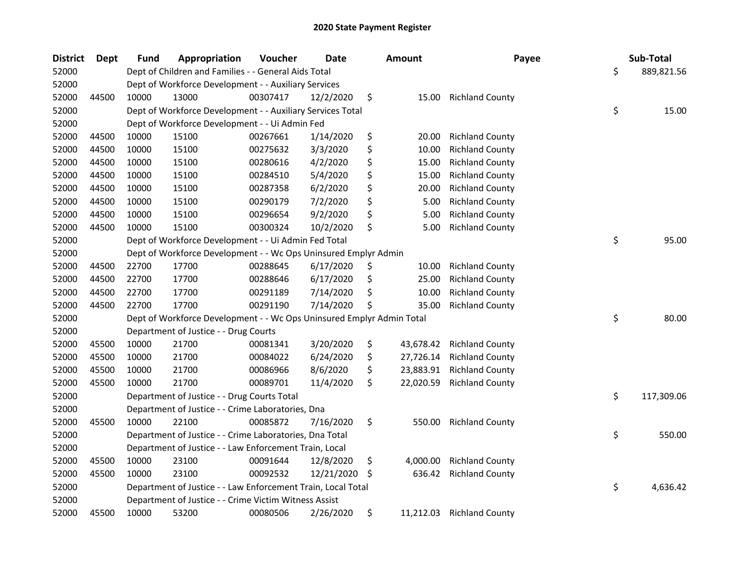| <b>District</b> | <b>Dept</b> | <b>Fund</b> | Appropriation                                                         | Voucher  | <b>Date</b> | Amount          | Payee                  | Sub-Total        |
|-----------------|-------------|-------------|-----------------------------------------------------------------------|----------|-------------|-----------------|------------------------|------------------|
| 52000           |             |             | Dept of Children and Families - - General Aids Total                  |          |             |                 |                        | \$<br>889,821.56 |
| 52000           |             |             | Dept of Workforce Development - - Auxiliary Services                  |          |             |                 |                        |                  |
| 52000           | 44500       | 10000       | 13000                                                                 | 00307417 | 12/2/2020   | \$<br>15.00     | <b>Richland County</b> |                  |
| 52000           |             |             | Dept of Workforce Development - - Auxiliary Services Total            |          |             |                 |                        | \$<br>15.00      |
| 52000           |             |             | Dept of Workforce Development - - Ui Admin Fed                        |          |             |                 |                        |                  |
| 52000           | 44500       | 10000       | 15100                                                                 | 00267661 | 1/14/2020   | \$<br>20.00     | <b>Richland County</b> |                  |
| 52000           | 44500       | 10000       | 15100                                                                 | 00275632 | 3/3/2020    | \$<br>10.00     | <b>Richland County</b> |                  |
| 52000           | 44500       | 10000       | 15100                                                                 | 00280616 | 4/2/2020    | \$<br>15.00     | <b>Richland County</b> |                  |
| 52000           | 44500       | 10000       | 15100                                                                 | 00284510 | 5/4/2020    | \$<br>15.00     | <b>Richland County</b> |                  |
| 52000           | 44500       | 10000       | 15100                                                                 | 00287358 | 6/2/2020    | \$<br>20.00     | <b>Richland County</b> |                  |
| 52000           | 44500       | 10000       | 15100                                                                 | 00290179 | 7/2/2020    | \$<br>5.00      | <b>Richland County</b> |                  |
| 52000           | 44500       | 10000       | 15100                                                                 | 00296654 | 9/2/2020    | \$<br>5.00      | <b>Richland County</b> |                  |
| 52000           | 44500       | 10000       | 15100                                                                 | 00300324 | 10/2/2020   | \$<br>5.00      | <b>Richland County</b> |                  |
| 52000           |             |             | Dept of Workforce Development - - Ui Admin Fed Total                  |          |             |                 |                        | \$<br>95.00      |
| 52000           |             |             | Dept of Workforce Development - - Wc Ops Uninsured Emplyr Admin       |          |             |                 |                        |                  |
| 52000           | 44500       | 22700       | 17700                                                                 | 00288645 | 6/17/2020   | \$<br>10.00     | <b>Richland County</b> |                  |
| 52000           | 44500       | 22700       | 17700                                                                 | 00288646 | 6/17/2020   | \$<br>25.00     | <b>Richland County</b> |                  |
| 52000           | 44500       | 22700       | 17700                                                                 | 00291189 | 7/14/2020   | \$<br>10.00     | <b>Richland County</b> |                  |
| 52000           | 44500       | 22700       | 17700                                                                 | 00291190 | 7/14/2020   | \$<br>35.00     | <b>Richland County</b> |                  |
| 52000           |             |             | Dept of Workforce Development - - Wc Ops Uninsured Emplyr Admin Total |          |             |                 |                        | \$<br>80.00      |
| 52000           |             |             | Department of Justice - - Drug Courts                                 |          |             |                 |                        |                  |
| 52000           | 45500       | 10000       | 21700                                                                 | 00081341 | 3/20/2020   | \$<br>43,678.42 | <b>Richland County</b> |                  |
| 52000           | 45500       | 10000       | 21700                                                                 | 00084022 | 6/24/2020   | \$<br>27,726.14 | <b>Richland County</b> |                  |
| 52000           | 45500       | 10000       | 21700                                                                 | 00086966 | 8/6/2020    | \$<br>23,883.91 | <b>Richland County</b> |                  |
| 52000           | 45500       | 10000       | 21700                                                                 | 00089701 | 11/4/2020   | \$<br>22,020.59 | <b>Richland County</b> |                  |
| 52000           |             |             | Department of Justice - - Drug Courts Total                           |          |             |                 |                        | \$<br>117,309.06 |
| 52000           |             |             | Department of Justice - - Crime Laboratories, Dna                     |          |             |                 |                        |                  |
| 52000           | 45500       | 10000       | 22100                                                                 | 00085872 | 7/16/2020   | \$<br>550.00    | <b>Richland County</b> |                  |
| 52000           |             |             | Department of Justice - - Crime Laboratories, Dna Total               |          |             |                 |                        | \$<br>550.00     |
| 52000           |             |             | Department of Justice - - Law Enforcement Train, Local                |          |             |                 |                        |                  |
| 52000           | 45500       | 10000       | 23100                                                                 | 00091644 | 12/8/2020   | \$<br>4,000.00  | <b>Richland County</b> |                  |
| 52000           | 45500       | 10000       | 23100                                                                 | 00092532 | 12/21/2020  | \$<br>636.42    | <b>Richland County</b> |                  |
| 52000           |             |             | Department of Justice - - Law Enforcement Train, Local Total          |          |             |                 |                        | \$<br>4,636.42   |
| 52000           |             |             | Department of Justice - - Crime Victim Witness Assist                 |          |             |                 |                        |                  |
| 52000           | 45500       | 10000       | 53200                                                                 | 00080506 | 2/26/2020   | \$<br>11,212.03 | <b>Richland County</b> |                  |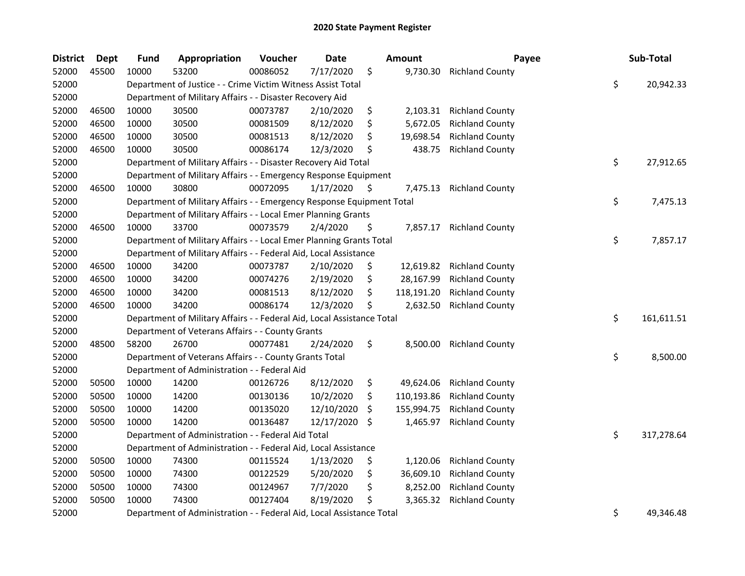| <b>District</b> | <b>Dept</b> | <b>Fund</b> | Appropriation                                                          | Voucher  | <b>Date</b> |     | <b>Amount</b> | Payee                  | Sub-Total        |
|-----------------|-------------|-------------|------------------------------------------------------------------------|----------|-------------|-----|---------------|------------------------|------------------|
| 52000           | 45500       | 10000       | 53200                                                                  | 00086052 | 7/17/2020   | \$  | 9,730.30      | <b>Richland County</b> |                  |
| 52000           |             |             | Department of Justice - - Crime Victim Witness Assist Total            |          |             |     |               |                        | \$<br>20,942.33  |
| 52000           |             |             | Department of Military Affairs - - Disaster Recovery Aid               |          |             |     |               |                        |                  |
| 52000           | 46500       | 10000       | 30500                                                                  | 00073787 | 2/10/2020   | \$  | 2,103.31      | <b>Richland County</b> |                  |
| 52000           | 46500       | 10000       | 30500                                                                  | 00081509 | 8/12/2020   | \$  | 5,672.05      | <b>Richland County</b> |                  |
| 52000           | 46500       | 10000       | 30500                                                                  | 00081513 | 8/12/2020   | \$  | 19,698.54     | <b>Richland County</b> |                  |
| 52000           | 46500       | 10000       | 30500                                                                  | 00086174 | 12/3/2020   | \$  | 438.75        | <b>Richland County</b> |                  |
| 52000           |             |             | Department of Military Affairs - - Disaster Recovery Aid Total         |          |             |     |               |                        | \$<br>27,912.65  |
| 52000           |             |             | Department of Military Affairs - - Emergency Response Equipment        |          |             |     |               |                        |                  |
| 52000           | 46500       | 10000       | 30800                                                                  | 00072095 | 1/17/2020   | \$. | 7,475.13      | <b>Richland County</b> |                  |
| 52000           |             |             | Department of Military Affairs - - Emergency Response Equipment Total  |          |             |     |               |                        | \$<br>7,475.13   |
| 52000           |             |             | Department of Military Affairs - - Local Emer Planning Grants          |          |             |     |               |                        |                  |
| 52000           | 46500       | 10000       | 33700                                                                  | 00073579 | 2/4/2020    | \$  | 7,857.17      | <b>Richland County</b> |                  |
| 52000           |             |             | Department of Military Affairs - - Local Emer Planning Grants Total    |          |             |     |               |                        | \$<br>7,857.17   |
| 52000           |             |             | Department of Military Affairs - - Federal Aid, Local Assistance       |          |             |     |               |                        |                  |
| 52000           | 46500       | 10000       | 34200                                                                  | 00073787 | 2/10/2020   | \$  | 12,619.82     | <b>Richland County</b> |                  |
| 52000           | 46500       | 10000       | 34200                                                                  | 00074276 | 2/19/2020   | \$  | 28,167.99     | <b>Richland County</b> |                  |
| 52000           | 46500       | 10000       | 34200                                                                  | 00081513 | 8/12/2020   | \$  | 118,191.20    | <b>Richland County</b> |                  |
| 52000           | 46500       | 10000       | 34200                                                                  | 00086174 | 12/3/2020   | \$  | 2,632.50      | <b>Richland County</b> |                  |
| 52000           |             |             | Department of Military Affairs - - Federal Aid, Local Assistance Total |          |             |     |               |                        | \$<br>161,611.51 |
| 52000           |             |             | Department of Veterans Affairs - - County Grants                       |          |             |     |               |                        |                  |
| 52000           | 48500       | 58200       | 26700                                                                  | 00077481 | 2/24/2020   | \$  | 8,500.00      | <b>Richland County</b> |                  |
| 52000           |             |             | Department of Veterans Affairs - - County Grants Total                 |          |             |     |               |                        | \$<br>8,500.00   |
| 52000           |             |             | Department of Administration - - Federal Aid                           |          |             |     |               |                        |                  |
| 52000           | 50500       | 10000       | 14200                                                                  | 00126726 | 8/12/2020   | \$  | 49,624.06     | <b>Richland County</b> |                  |
| 52000           | 50500       | 10000       | 14200                                                                  | 00130136 | 10/2/2020   | \$  | 110,193.86    | <b>Richland County</b> |                  |
| 52000           | 50500       | 10000       | 14200                                                                  | 00135020 | 12/10/2020  | \$  | 155,994.75    | <b>Richland County</b> |                  |
| 52000           | 50500       | 10000       | 14200                                                                  | 00136487 | 12/17/2020  | \$  | 1,465.97      | <b>Richland County</b> |                  |
| 52000           |             |             | Department of Administration - - Federal Aid Total                     |          |             |     |               |                        | \$<br>317,278.64 |
| 52000           |             |             | Department of Administration - - Federal Aid, Local Assistance         |          |             |     |               |                        |                  |
| 52000           | 50500       | 10000       | 74300                                                                  | 00115524 | 1/13/2020   | \$  | 1,120.06      | <b>Richland County</b> |                  |
| 52000           | 50500       | 10000       | 74300                                                                  | 00122529 | 5/20/2020   | \$  | 36,609.10     | <b>Richland County</b> |                  |
| 52000           | 50500       | 10000       | 74300                                                                  | 00124967 | 7/7/2020    | \$  | 8,252.00      | <b>Richland County</b> |                  |
| 52000           | 50500       | 10000       | 74300                                                                  | 00127404 | 8/19/2020   | \$  | 3,365.32      | <b>Richland County</b> |                  |
| 52000           |             |             | Department of Administration - - Federal Aid, Local Assistance Total   |          |             |     |               |                        | \$<br>49,346.48  |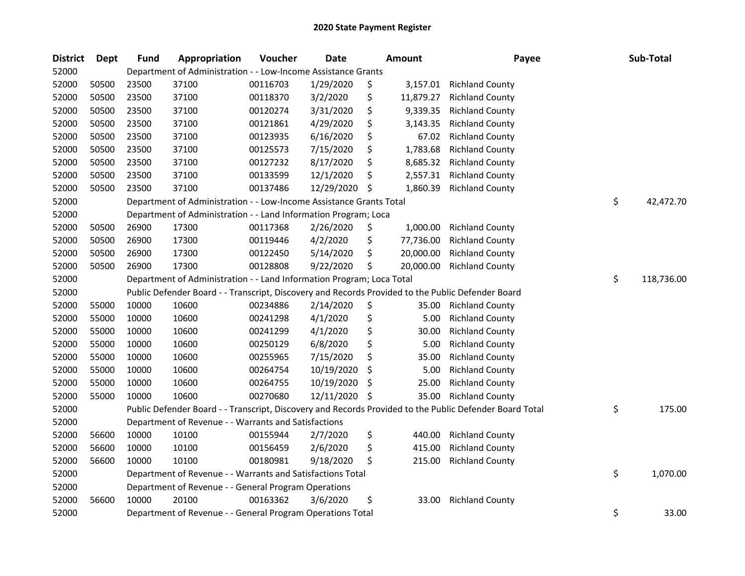| <b>District</b> | <b>Dept</b> | <b>Fund</b> | Appropriation                                                                                     | Voucher  | <b>Date</b> | <b>Amount</b>   | Payee                                                                                                   | Sub-Total        |
|-----------------|-------------|-------------|---------------------------------------------------------------------------------------------------|----------|-------------|-----------------|---------------------------------------------------------------------------------------------------------|------------------|
| 52000           |             |             | Department of Administration - - Low-Income Assistance Grants                                     |          |             |                 |                                                                                                         |                  |
| 52000           | 50500       | 23500       | 37100                                                                                             | 00116703 | 1/29/2020   | \$<br>3,157.01  | <b>Richland County</b>                                                                                  |                  |
| 52000           | 50500       | 23500       | 37100                                                                                             | 00118370 | 3/2/2020    | \$<br>11,879.27 | <b>Richland County</b>                                                                                  |                  |
| 52000           | 50500       | 23500       | 37100                                                                                             | 00120274 | 3/31/2020   | \$<br>9,339.35  | <b>Richland County</b>                                                                                  |                  |
| 52000           | 50500       | 23500       | 37100                                                                                             | 00121861 | 4/29/2020   | \$<br>3,143.35  | <b>Richland County</b>                                                                                  |                  |
| 52000           | 50500       | 23500       | 37100                                                                                             | 00123935 | 6/16/2020   | \$<br>67.02     | <b>Richland County</b>                                                                                  |                  |
| 52000           | 50500       | 23500       | 37100                                                                                             | 00125573 | 7/15/2020   | \$<br>1,783.68  | <b>Richland County</b>                                                                                  |                  |
| 52000           | 50500       | 23500       | 37100                                                                                             | 00127232 | 8/17/2020   | \$<br>8,685.32  | <b>Richland County</b>                                                                                  |                  |
| 52000           | 50500       | 23500       | 37100                                                                                             | 00133599 | 12/1/2020   | \$<br>2,557.31  | <b>Richland County</b>                                                                                  |                  |
| 52000           | 50500       | 23500       | 37100                                                                                             | 00137486 | 12/29/2020  | \$<br>1,860.39  | <b>Richland County</b>                                                                                  |                  |
| 52000           |             |             | Department of Administration - - Low-Income Assistance Grants Total                               |          |             |                 |                                                                                                         | \$<br>42,472.70  |
| 52000           |             |             | Department of Administration - - Land Information Program; Loca                                   |          |             |                 |                                                                                                         |                  |
| 52000           | 50500       | 26900       | 17300                                                                                             | 00117368 | 2/26/2020   | \$<br>1,000.00  | <b>Richland County</b>                                                                                  |                  |
| 52000           | 50500       | 26900       | 17300                                                                                             | 00119446 | 4/2/2020    | \$<br>77,736.00 | <b>Richland County</b>                                                                                  |                  |
| 52000           | 50500       | 26900       | 17300                                                                                             | 00122450 | 5/14/2020   | \$<br>20,000.00 | <b>Richland County</b>                                                                                  |                  |
| 52000           | 50500       | 26900       | 17300                                                                                             | 00128808 | 9/22/2020   | \$<br>20,000.00 | <b>Richland County</b>                                                                                  |                  |
| 52000           |             |             | Department of Administration - - Land Information Program; Loca Total                             |          |             |                 |                                                                                                         | \$<br>118,736.00 |
| 52000           |             |             | Public Defender Board - - Transcript, Discovery and Records Provided to the Public Defender Board |          |             |                 |                                                                                                         |                  |
| 52000           | 55000       | 10000       | 10600                                                                                             | 00234886 | 2/14/2020   | \$<br>35.00     | <b>Richland County</b>                                                                                  |                  |
| 52000           | 55000       | 10000       | 10600                                                                                             | 00241298 | 4/1/2020    | \$<br>5.00      | <b>Richland County</b>                                                                                  |                  |
| 52000           | 55000       | 10000       | 10600                                                                                             | 00241299 | 4/1/2020    | \$<br>30.00     | <b>Richland County</b>                                                                                  |                  |
| 52000           | 55000       | 10000       | 10600                                                                                             | 00250129 | 6/8/2020    | \$<br>5.00      | <b>Richland County</b>                                                                                  |                  |
| 52000           | 55000       | 10000       | 10600                                                                                             | 00255965 | 7/15/2020   | \$<br>35.00     | <b>Richland County</b>                                                                                  |                  |
| 52000           | 55000       | 10000       | 10600                                                                                             | 00264754 | 10/19/2020  | \$<br>5.00      | <b>Richland County</b>                                                                                  |                  |
| 52000           | 55000       | 10000       | 10600                                                                                             | 00264755 | 10/19/2020  | \$<br>25.00     | <b>Richland County</b>                                                                                  |                  |
| 52000           | 55000       | 10000       | 10600                                                                                             | 00270680 | 12/11/2020  | \$<br>35.00     | <b>Richland County</b>                                                                                  |                  |
| 52000           |             |             |                                                                                                   |          |             |                 | Public Defender Board - - Transcript, Discovery and Records Provided to the Public Defender Board Total | \$<br>175.00     |
| 52000           |             |             | Department of Revenue - - Warrants and Satisfactions                                              |          |             |                 |                                                                                                         |                  |
| 52000           | 56600       | 10000       | 10100                                                                                             | 00155944 | 2/7/2020    | \$<br>440.00    | <b>Richland County</b>                                                                                  |                  |
| 52000           | 56600       | 10000       | 10100                                                                                             | 00156459 | 2/6/2020    | \$<br>415.00    | <b>Richland County</b>                                                                                  |                  |
| 52000           | 56600       | 10000       | 10100                                                                                             | 00180981 | 9/18/2020   | \$<br>215.00    | <b>Richland County</b>                                                                                  |                  |
| 52000           |             |             | Department of Revenue - - Warrants and Satisfactions Total                                        |          |             |                 |                                                                                                         | \$<br>1,070.00   |
| 52000           |             |             | Department of Revenue - - General Program Operations                                              |          |             |                 |                                                                                                         |                  |
| 52000           | 56600       | 10000       | 20100                                                                                             | 00163362 | 3/6/2020    | \$<br>33.00     | <b>Richland County</b>                                                                                  |                  |
| 52000           |             |             | Department of Revenue - - General Program Operations Total                                        |          |             |                 |                                                                                                         | \$<br>33.00      |
|                 |             |             |                                                                                                   |          |             |                 |                                                                                                         |                  |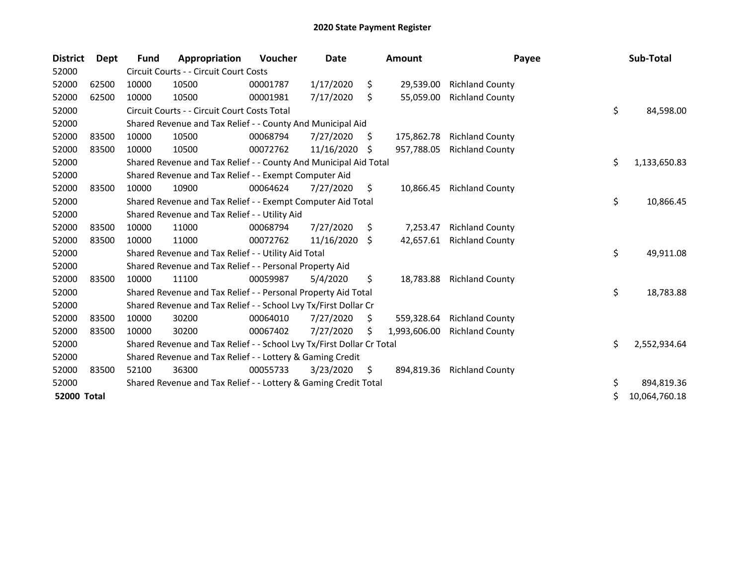| <b>District</b> | Dept  | Fund  | Appropriation                                                         | Voucher  | Date       |     | <b>Amount</b> | Payee                  | Sub-Total           |
|-----------------|-------|-------|-----------------------------------------------------------------------|----------|------------|-----|---------------|------------------------|---------------------|
| 52000           |       |       | Circuit Courts - - Circuit Court Costs                                |          |            |     |               |                        |                     |
| 52000           | 62500 | 10000 | 10500                                                                 | 00001787 | 1/17/2020  | \$  | 29,539.00     | <b>Richland County</b> |                     |
| 52000           | 62500 | 10000 | 10500                                                                 | 00001981 | 7/17/2020  | \$  | 55,059.00     | <b>Richland County</b> |                     |
| 52000           |       |       | Circuit Courts - - Circuit Court Costs Total                          |          |            |     |               |                        | \$<br>84,598.00     |
| 52000           |       |       | Shared Revenue and Tax Relief - - County And Municipal Aid            |          |            |     |               |                        |                     |
| 52000           | 83500 | 10000 | 10500                                                                 | 00068794 | 7/27/2020  | \$. | 175,862.78    | <b>Richland County</b> |                     |
| 52000           | 83500 | 10000 | 10500                                                                 | 00072762 | 11/16/2020 | \$. | 957,788.05    | <b>Richland County</b> |                     |
| 52000           |       |       | Shared Revenue and Tax Relief - - County And Municipal Aid Total      |          |            |     |               |                        | \$<br>1,133,650.83  |
| 52000           |       |       | Shared Revenue and Tax Relief - - Exempt Computer Aid                 |          |            |     |               |                        |                     |
| 52000           | 83500 | 10000 | 10900                                                                 | 00064624 | 7/27/2020  | \$  | 10,866.45     | <b>Richland County</b> |                     |
| 52000           |       |       | Shared Revenue and Tax Relief - - Exempt Computer Aid Total           |          |            |     |               |                        | \$<br>10,866.45     |
| 52000           |       |       | Shared Revenue and Tax Relief - - Utility Aid                         |          |            |     |               |                        |                     |
| 52000           | 83500 | 10000 | 11000                                                                 | 00068794 | 7/27/2020  | \$. | 7,253.47      | <b>Richland County</b> |                     |
| 52000           | 83500 | 10000 | 11000                                                                 | 00072762 | 11/16/2020 | \$  | 42,657.61     | <b>Richland County</b> |                     |
| 52000           |       |       | Shared Revenue and Tax Relief - - Utility Aid Total                   |          |            |     |               |                        | \$<br>49,911.08     |
| 52000           |       |       | Shared Revenue and Tax Relief - - Personal Property Aid               |          |            |     |               |                        |                     |
| 52000           | 83500 | 10000 | 11100                                                                 | 00059987 | 5/4/2020   | \$  | 18,783.88     | <b>Richland County</b> |                     |
| 52000           |       |       | Shared Revenue and Tax Relief - - Personal Property Aid Total         |          |            |     |               |                        | \$<br>18,783.88     |
| 52000           |       |       | Shared Revenue and Tax Relief - - School Lvy Tx/First Dollar Cr       |          |            |     |               |                        |                     |
| 52000           | 83500 | 10000 | 30200                                                                 | 00064010 | 7/27/2020  | \$  | 559,328.64    | <b>Richland County</b> |                     |
| 52000           | 83500 | 10000 | 30200                                                                 | 00067402 | 7/27/2020  | Ś   | 1,993,606.00  | <b>Richland County</b> |                     |
| 52000           |       |       | Shared Revenue and Tax Relief - - School Lvy Tx/First Dollar Cr Total |          |            |     |               |                        | \$<br>2,552,934.64  |
| 52000           |       |       | Shared Revenue and Tax Relief - - Lottery & Gaming Credit             |          |            |     |               |                        |                     |
| 52000           | 83500 | 52100 | 36300                                                                 | 00055733 | 3/23/2020  | \$  | 894,819.36    | <b>Richland County</b> |                     |
| 52000           |       |       | Shared Revenue and Tax Relief - - Lottery & Gaming Credit Total       |          |            |     |               |                        | \$<br>894,819.36    |
| 52000 Total     |       |       |                                                                       |          |            |     |               |                        | \$<br>10,064,760.18 |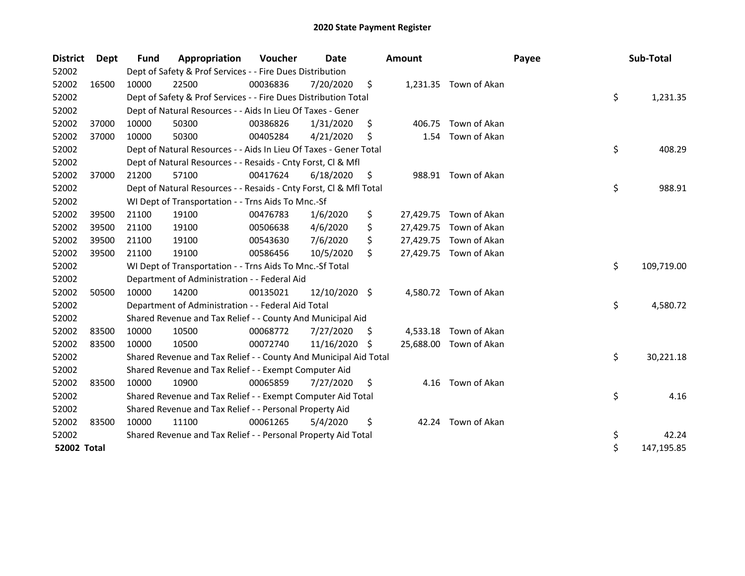| <b>District</b>    | Dept  | <b>Fund</b> | Appropriation                                                      | Voucher  | Date          |     | <b>Amount</b> |                        | Payee | Sub-Total        |
|--------------------|-------|-------------|--------------------------------------------------------------------|----------|---------------|-----|---------------|------------------------|-------|------------------|
| 52002              |       |             | Dept of Safety & Prof Services - - Fire Dues Distribution          |          |               |     |               |                        |       |                  |
| 52002              | 16500 | 10000       | 22500                                                              | 00036836 | 7/20/2020     | \$  |               | 1,231.35 Town of Akan  |       |                  |
| 52002              |       |             | Dept of Safety & Prof Services - - Fire Dues Distribution Total    |          |               |     |               |                        |       | \$<br>1,231.35   |
| 52002              |       |             | Dept of Natural Resources - - Aids In Lieu Of Taxes - Gener        |          |               |     |               |                        |       |                  |
| 52002              | 37000 | 10000       | 50300                                                              | 00386826 | 1/31/2020     | \$  | 406.75        | Town of Akan           |       |                  |
| 52002              | 37000 | 10000       | 50300                                                              | 00405284 | 4/21/2020     | \$  | 1.54          | Town of Akan           |       |                  |
| 52002              |       |             | Dept of Natural Resources - - Aids In Lieu Of Taxes - Gener Total  |          |               |     |               |                        |       | \$<br>408.29     |
| 52002              |       |             | Dept of Natural Resources - - Resaids - Cnty Forst, Cl & Mfl       |          |               |     |               |                        |       |                  |
| 52002              | 37000 | 21200       | 57100                                                              | 00417624 | 6/18/2020     | \$  |               | 988.91 Town of Akan    |       |                  |
| 52002              |       |             | Dept of Natural Resources - - Resaids - Cnty Forst, Cl & Mfl Total |          |               |     |               |                        |       | \$<br>988.91     |
| 52002              |       |             | WI Dept of Transportation - - Trns Aids To Mnc.-Sf                 |          |               |     |               |                        |       |                  |
| 52002              | 39500 | 21100       | 19100                                                              | 00476783 | 1/6/2020      | \$  |               | 27,429.75 Town of Akan |       |                  |
| 52002              | 39500 | 21100       | 19100                                                              | 00506638 | 4/6/2020      | \$  |               | 27,429.75 Town of Akan |       |                  |
| 52002              | 39500 | 21100       | 19100                                                              | 00543630 | 7/6/2020      | \$  |               | 27,429.75 Town of Akan |       |                  |
| 52002              | 39500 | 21100       | 19100                                                              | 00586456 | 10/5/2020     | \$  |               | 27,429.75 Town of Akan |       |                  |
| 52002              |       |             | WI Dept of Transportation - - Trns Aids To Mnc.-Sf Total           |          |               |     |               |                        |       | \$<br>109,719.00 |
| 52002              |       |             | Department of Administration - - Federal Aid                       |          |               |     |               |                        |       |                  |
| 52002              | 50500 | 10000       | 14200                                                              | 00135021 | 12/10/2020 \$ |     |               | 4,580.72 Town of Akan  |       |                  |
| 52002              |       |             | Department of Administration - - Federal Aid Total                 |          |               |     |               |                        |       | \$<br>4,580.72   |
| 52002              |       |             | Shared Revenue and Tax Relief - - County And Municipal Aid         |          |               |     |               |                        |       |                  |
| 52002              | 83500 | 10000       | 10500                                                              | 00068772 | 7/27/2020     | \$. |               | 4,533.18 Town of Akan  |       |                  |
| 52002              | 83500 | 10000       | 10500                                                              | 00072740 | 11/16/2020    | S   | 25,688.00     | Town of Akan           |       |                  |
| 52002              |       |             | Shared Revenue and Tax Relief - - County And Municipal Aid Total   |          |               |     |               |                        |       | \$<br>30,221.18  |
| 52002              |       |             | Shared Revenue and Tax Relief - - Exempt Computer Aid              |          |               |     |               |                        |       |                  |
| 52002              | 83500 | 10000       | 10900                                                              | 00065859 | 7/27/2020     | \$  | 4.16          | Town of Akan           |       |                  |
| 52002              |       |             | Shared Revenue and Tax Relief - - Exempt Computer Aid Total        |          |               |     |               |                        |       | \$<br>4.16       |
| 52002              |       |             | Shared Revenue and Tax Relief - - Personal Property Aid            |          |               |     |               |                        |       |                  |
| 52002              | 83500 | 10000       | 11100                                                              | 00061265 | 5/4/2020      | \$  |               | 42.24 Town of Akan     |       |                  |
| 52002              |       |             | Shared Revenue and Tax Relief - - Personal Property Aid Total      |          |               |     |               |                        |       | \$<br>42.24      |
| <b>52002 Total</b> |       |             |                                                                    |          |               |     |               |                        |       | \$<br>147,195.85 |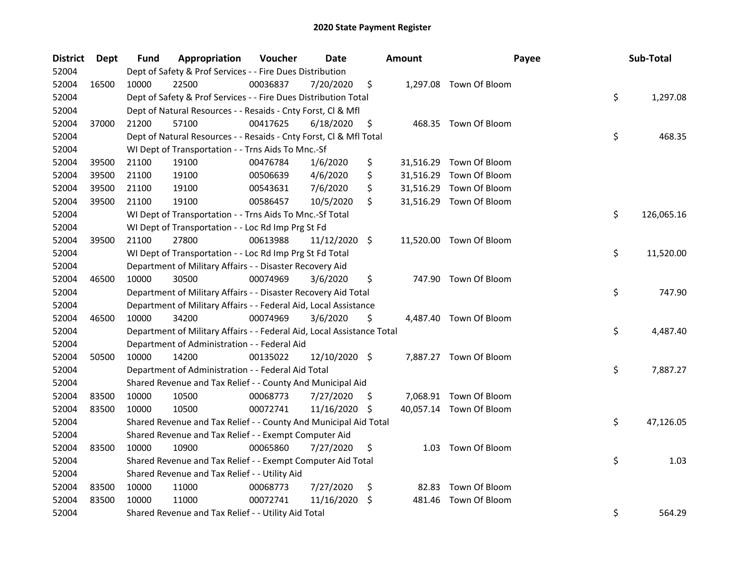| <b>District</b> | Dept  | Fund  | Appropriation                                                          | Voucher  | Date          |    | <b>Amount</b> | Payee                   | Sub-Total        |
|-----------------|-------|-------|------------------------------------------------------------------------|----------|---------------|----|---------------|-------------------------|------------------|
| 52004           |       |       | Dept of Safety & Prof Services - - Fire Dues Distribution              |          |               |    |               |                         |                  |
| 52004           | 16500 | 10000 | 22500                                                                  | 00036837 | 7/20/2020     | \$ |               | 1,297.08 Town Of Bloom  |                  |
| 52004           |       |       | Dept of Safety & Prof Services - - Fire Dues Distribution Total        |          |               |    |               |                         | \$<br>1,297.08   |
| 52004           |       |       | Dept of Natural Resources - - Resaids - Cnty Forst, Cl & Mfl           |          |               |    |               |                         |                  |
| 52004           | 37000 | 21200 | 57100                                                                  | 00417625 | 6/18/2020     | \$ |               | 468.35 Town Of Bloom    |                  |
| 52004           |       |       | Dept of Natural Resources - - Resaids - Cnty Forst, Cl & Mfl Total     |          |               |    |               |                         | \$<br>468.35     |
| 52004           |       |       | WI Dept of Transportation - - Trns Aids To Mnc.-Sf                     |          |               |    |               |                         |                  |
| 52004           | 39500 | 21100 | 19100                                                                  | 00476784 | 1/6/2020      | \$ |               | 31,516.29 Town Of Bloom |                  |
| 52004           | 39500 | 21100 | 19100                                                                  | 00506639 | 4/6/2020      | \$ |               | 31,516.29 Town Of Bloom |                  |
| 52004           | 39500 | 21100 | 19100                                                                  | 00543631 | 7/6/2020      | \$ |               | 31,516.29 Town Of Bloom |                  |
| 52004           | 39500 | 21100 | 19100                                                                  | 00586457 | 10/5/2020     | \$ |               | 31,516.29 Town Of Bloom |                  |
| 52004           |       |       | WI Dept of Transportation - - Trns Aids To Mnc.-Sf Total               |          |               |    |               |                         | \$<br>126,065.16 |
| 52004           |       |       | WI Dept of Transportation - - Loc Rd Imp Prg St Fd                     |          |               |    |               |                         |                  |
| 52004           | 39500 | 21100 | 27800                                                                  | 00613988 | 11/12/2020 \$ |    |               | 11,520.00 Town Of Bloom |                  |
| 52004           |       |       | WI Dept of Transportation - - Loc Rd Imp Prg St Fd Total               |          |               |    |               |                         | \$<br>11,520.00  |
| 52004           |       |       | Department of Military Affairs - - Disaster Recovery Aid               |          |               |    |               |                         |                  |
| 52004           | 46500 | 10000 | 30500                                                                  | 00074969 | 3/6/2020      | \$ |               | 747.90 Town Of Bloom    |                  |
| 52004           |       |       | Department of Military Affairs - - Disaster Recovery Aid Total         |          |               |    |               |                         | \$<br>747.90     |
| 52004           |       |       | Department of Military Affairs - - Federal Aid, Local Assistance       |          |               |    |               |                         |                  |
| 52004           | 46500 | 10000 | 34200                                                                  | 00074969 | 3/6/2020      | \$ |               | 4,487.40 Town Of Bloom  |                  |
| 52004           |       |       | Department of Military Affairs - - Federal Aid, Local Assistance Total |          |               |    |               |                         | \$<br>4,487.40   |
| 52004           |       |       | Department of Administration - - Federal Aid                           |          |               |    |               |                         |                  |
| 52004           | 50500 | 10000 | 14200                                                                  | 00135022 | 12/10/2020 \$ |    |               | 7,887.27 Town Of Bloom  |                  |
| 52004           |       |       | Department of Administration - - Federal Aid Total                     |          |               |    |               |                         | \$<br>7,887.27   |
| 52004           |       |       | Shared Revenue and Tax Relief - - County And Municipal Aid             |          |               |    |               |                         |                  |
| 52004           | 83500 | 10000 | 10500                                                                  | 00068773 | 7/27/2020     | -S |               | 7,068.91 Town Of Bloom  |                  |
| 52004           | 83500 | 10000 | 10500                                                                  | 00072741 | 11/16/2020    | \$ |               | 40,057.14 Town Of Bloom |                  |
| 52004           |       |       | Shared Revenue and Tax Relief - - County And Municipal Aid Total       |          |               |    |               |                         | \$<br>47,126.05  |
| 52004           |       |       | Shared Revenue and Tax Relief - - Exempt Computer Aid                  |          |               |    |               |                         |                  |
| 52004           | 83500 | 10000 | 10900                                                                  | 00065860 | 7/27/2020     | \$ |               | 1.03 Town Of Bloom      |                  |
| 52004           |       |       | Shared Revenue and Tax Relief - - Exempt Computer Aid Total            |          |               |    |               |                         | \$<br>1.03       |
| 52004           |       |       | Shared Revenue and Tax Relief - - Utility Aid                          |          |               |    |               |                         |                  |
| 52004           | 83500 | 10000 | 11000                                                                  | 00068773 | 7/27/2020     | \$ | 82.83         | Town Of Bloom           |                  |
| 52004           | 83500 | 10000 | 11000                                                                  | 00072741 | 11/16/2020    | \$ | 481.46        | Town Of Bloom           |                  |
| 52004           |       |       | Shared Revenue and Tax Relief - - Utility Aid Total                    |          |               |    |               |                         | \$<br>564.29     |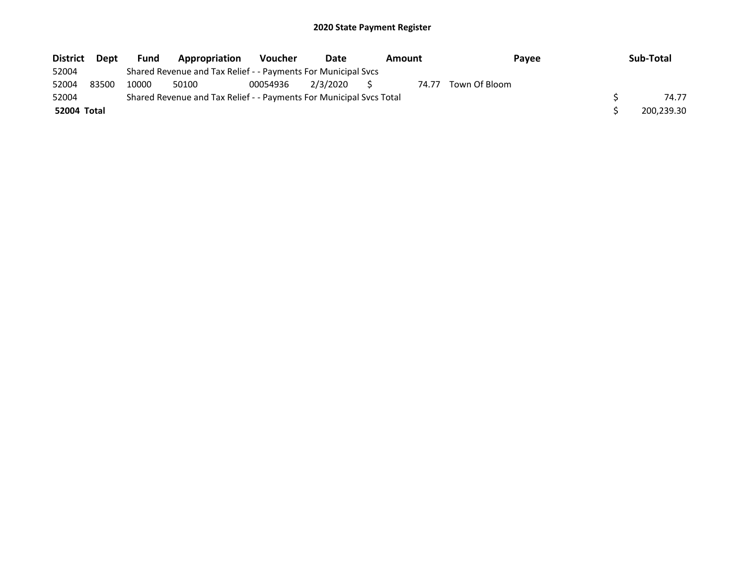| <b>District</b> | Dept  | <b>Fund</b> | Appropriation                                                       | <b>Voucher</b> | Date        | Amount |       | Pavee         | Sub-Total  |
|-----------------|-------|-------------|---------------------------------------------------------------------|----------------|-------------|--------|-------|---------------|------------|
| 52004           |       |             | Shared Revenue and Tax Relief - - Payments For Municipal Svcs       |                |             |        |       |               |            |
| 52004           | 83500 | 10000       | 50100                                                               | 00054936       | 2/3/2020 \$ |        | 74.77 | Town Of Bloom |            |
| 52004           |       |             | Shared Revenue and Tax Relief - - Payments For Municipal Svcs Total |                |             |        |       |               | 74.77      |
| 52004 Total     |       |             |                                                                     |                |             |        |       |               | 200,239.30 |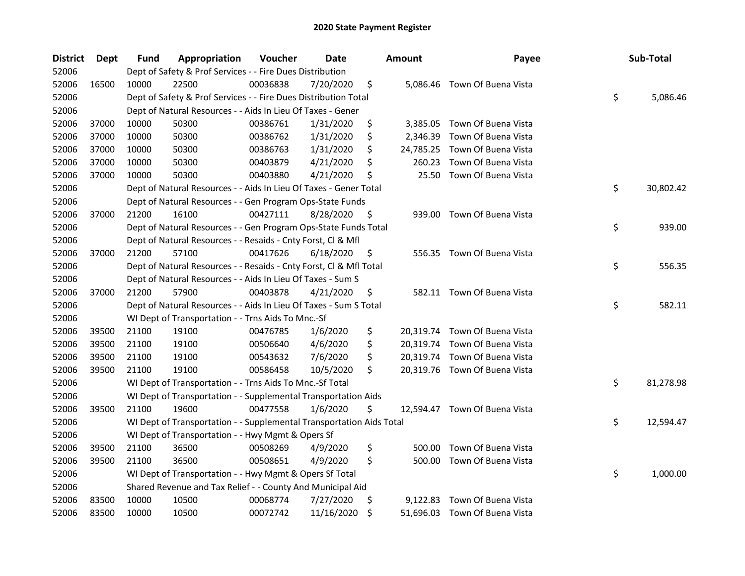| <b>District</b> | <b>Dept</b> | Fund  | Appropriation                                                        | Voucher  | <b>Date</b> |     | <b>Amount</b> | Payee                         | Sub-Total       |
|-----------------|-------------|-------|----------------------------------------------------------------------|----------|-------------|-----|---------------|-------------------------------|-----------------|
| 52006           |             |       | Dept of Safety & Prof Services - - Fire Dues Distribution            |          |             |     |               |                               |                 |
| 52006           | 16500       | 10000 | 22500                                                                | 00036838 | 7/20/2020   | \$  |               | 5,086.46 Town Of Buena Vista  |                 |
| 52006           |             |       | Dept of Safety & Prof Services - - Fire Dues Distribution Total      |          |             |     |               |                               | \$<br>5,086.46  |
| 52006           |             |       | Dept of Natural Resources - - Aids In Lieu Of Taxes - Gener          |          |             |     |               |                               |                 |
| 52006           | 37000       | 10000 | 50300                                                                | 00386761 | 1/31/2020   | \$  | 3,385.05      | Town Of Buena Vista           |                 |
| 52006           | 37000       | 10000 | 50300                                                                | 00386762 | 1/31/2020   | \$  | 2,346.39      | Town Of Buena Vista           |                 |
| 52006           | 37000       | 10000 | 50300                                                                | 00386763 | 1/31/2020   | \$  | 24,785.25     | Town Of Buena Vista           |                 |
| 52006           | 37000       | 10000 | 50300                                                                | 00403879 | 4/21/2020   | \$  | 260.23        | Town Of Buena Vista           |                 |
| 52006           | 37000       | 10000 | 50300                                                                | 00403880 | 4/21/2020   | \$  | 25.50         | Town Of Buena Vista           |                 |
| 52006           |             |       | Dept of Natural Resources - - Aids In Lieu Of Taxes - Gener Total    |          |             |     |               |                               | \$<br>30,802.42 |
| 52006           |             |       | Dept of Natural Resources - - Gen Program Ops-State Funds            |          |             |     |               |                               |                 |
| 52006           | 37000       | 21200 | 16100                                                                | 00427111 | 8/28/2020   | \$  | 939.00        | Town Of Buena Vista           |                 |
| 52006           |             |       | Dept of Natural Resources - - Gen Program Ops-State Funds Total      |          |             |     |               |                               | \$<br>939.00    |
| 52006           |             |       | Dept of Natural Resources - - Resaids - Cnty Forst, Cl & Mfl         |          |             |     |               |                               |                 |
| 52006           | 37000       | 21200 | 57100                                                                | 00417626 | 6/18/2020   | \$  |               | 556.35 Town Of Buena Vista    |                 |
| 52006           |             |       | Dept of Natural Resources - - Resaids - Cnty Forst, Cl & Mfl Total   |          |             |     |               |                               | \$<br>556.35    |
| 52006           |             |       | Dept of Natural Resources - - Aids In Lieu Of Taxes - Sum S          |          |             |     |               |                               |                 |
| 52006           | 37000       | 21200 | 57900                                                                | 00403878 | 4/21/2020   | \$  |               | 582.11 Town Of Buena Vista    |                 |
| 52006           |             |       | Dept of Natural Resources - - Aids In Lieu Of Taxes - Sum S Total    |          |             |     |               |                               | \$<br>582.11    |
| 52006           |             |       | WI Dept of Transportation - - Trns Aids To Mnc.-Sf                   |          |             |     |               |                               |                 |
| 52006           | 39500       | 21100 | 19100                                                                | 00476785 | 1/6/2020    | \$  |               | 20,319.74 Town Of Buena Vista |                 |
| 52006           | 39500       | 21100 | 19100                                                                | 00506640 | 4/6/2020    | \$  |               | 20,319.74 Town Of Buena Vista |                 |
| 52006           | 39500       | 21100 | 19100                                                                | 00543632 | 7/6/2020    | \$  |               | 20,319.74 Town Of Buena Vista |                 |
| 52006           | 39500       | 21100 | 19100                                                                | 00586458 | 10/5/2020   | \$  |               | 20,319.76 Town Of Buena Vista |                 |
| 52006           |             |       | WI Dept of Transportation - - Trns Aids To Mnc.-Sf Total             |          |             |     |               |                               | \$<br>81,278.98 |
| 52006           |             |       | WI Dept of Transportation - - Supplemental Transportation Aids       |          |             |     |               |                               |                 |
| 52006           | 39500       | 21100 | 19600                                                                | 00477558 | 1/6/2020    | \$  |               | 12,594.47 Town Of Buena Vista |                 |
| 52006           |             |       | WI Dept of Transportation - - Supplemental Transportation Aids Total |          |             |     |               |                               | \$<br>12,594.47 |
| 52006           |             |       | WI Dept of Transportation - - Hwy Mgmt & Opers Sf                    |          |             |     |               |                               |                 |
| 52006           | 39500       | 21100 | 36500                                                                | 00508269 | 4/9/2020    | \$  | 500.00        | Town Of Buena Vista           |                 |
| 52006           | 39500       | 21100 | 36500                                                                | 00508651 | 4/9/2020    | \$  | 500.00        | Town Of Buena Vista           |                 |
| 52006           |             |       | WI Dept of Transportation - - Hwy Mgmt & Opers Sf Total              |          |             |     |               |                               | \$<br>1,000.00  |
| 52006           |             |       | Shared Revenue and Tax Relief - - County And Municipal Aid           |          |             |     |               |                               |                 |
| 52006           | 83500       | 10000 | 10500                                                                | 00068774 | 7/27/2020   | \$. | 9,122.83      | Town Of Buena Vista           |                 |
| 52006           | 83500       | 10000 | 10500                                                                | 00072742 | 11/16/2020  | \$  |               | 51,696.03 Town Of Buena Vista |                 |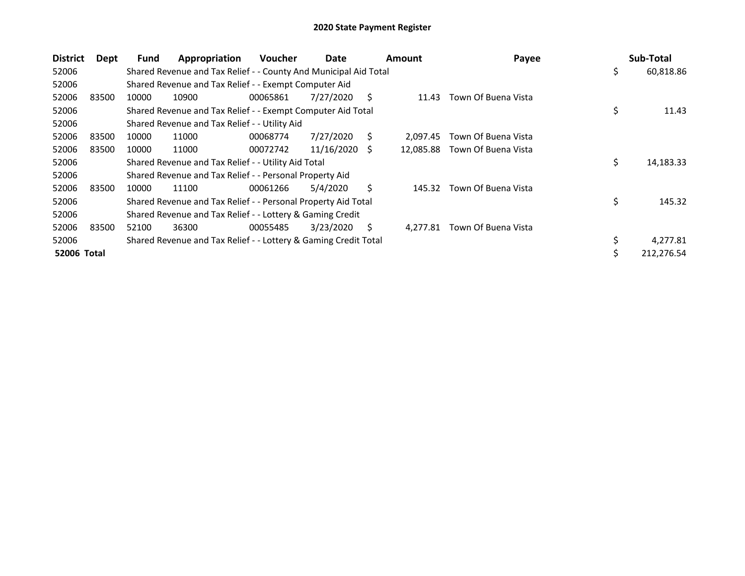| <b>District</b> | <b>Dept</b> | <b>Fund</b> | Appropriation                                                    | <b>Voucher</b> | Date       |    | <b>Amount</b> | Payee               | Sub-Total        |
|-----------------|-------------|-------------|------------------------------------------------------------------|----------------|------------|----|---------------|---------------------|------------------|
| 52006           |             |             | Shared Revenue and Tax Relief - - County And Municipal Aid Total |                |            |    |               |                     | \$<br>60,818.86  |
| 52006           |             |             | Shared Revenue and Tax Relief - - Exempt Computer Aid            |                |            |    |               |                     |                  |
| 52006           | 83500       | 10000       | 10900                                                            | 00065861       | 7/27/2020  | S. | 11.43         | Town Of Buena Vista |                  |
| 52006           |             |             | Shared Revenue and Tax Relief - - Exempt Computer Aid Total      |                |            |    |               |                     | \$<br>11.43      |
| 52006           |             |             | Shared Revenue and Tax Relief - - Utility Aid                    |                |            |    |               |                     |                  |
| 52006           | 83500       | 10000       | 11000                                                            | 00068774       | 7/27/2020  | S  | 2.097.45      | Town Of Buena Vista |                  |
| 52006           | 83500       | 10000       | 11000                                                            | 00072742       | 11/16/2020 | S  | 12,085.88     | Town Of Buena Vista |                  |
| 52006           |             |             | Shared Revenue and Tax Relief - - Utility Aid Total              |                |            |    |               |                     | \$<br>14,183.33  |
| 52006           |             |             | Shared Revenue and Tax Relief - - Personal Property Aid          |                |            |    |               |                     |                  |
| 52006           | 83500       | 10000       | 11100                                                            | 00061266       | 5/4/2020   | Ś. | 145.32        | Town Of Buena Vista |                  |
| 52006           |             |             | Shared Revenue and Tax Relief - - Personal Property Aid Total    |                |            |    |               |                     | \$<br>145.32     |
| 52006           |             |             | Shared Revenue and Tax Relief - - Lottery & Gaming Credit        |                |            |    |               |                     |                  |
| 52006           | 83500       | 52100       | 36300                                                            | 00055485       | 3/23/2020  | S  | 4.277.81      | Town Of Buena Vista |                  |
| 52006           |             |             | Shared Revenue and Tax Relief - - Lottery & Gaming Credit Total  |                |            |    |               |                     | \$<br>4,277.81   |
| 52006 Total     |             |             |                                                                  |                |            |    |               |                     | \$<br>212,276.54 |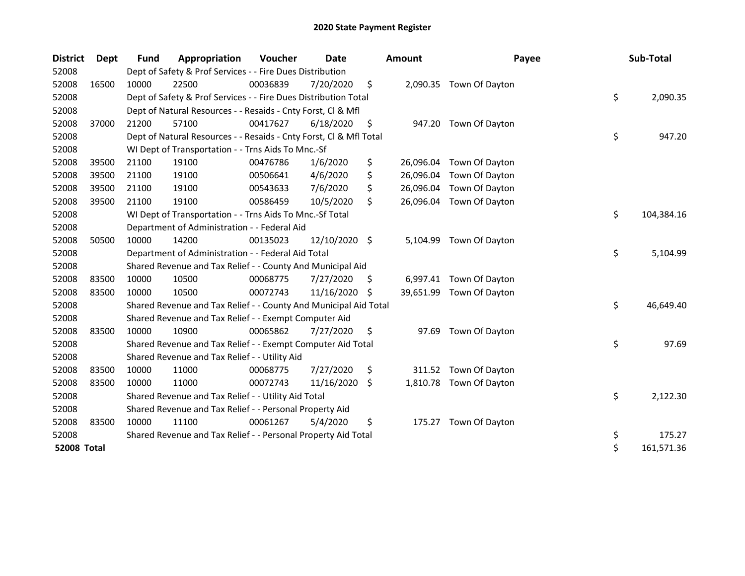| <b>District</b>    | Dept  | <b>Fund</b> | Appropriation                                                      | Voucher  | Date          |    | <b>Amount</b> | Payee                   | Sub-Total        |
|--------------------|-------|-------------|--------------------------------------------------------------------|----------|---------------|----|---------------|-------------------------|------------------|
| 52008              |       |             | Dept of Safety & Prof Services - - Fire Dues Distribution          |          |               |    |               |                         |                  |
| 52008              | 16500 | 10000       | 22500                                                              | 00036839 | 7/20/2020     | \$ |               | 2,090.35 Town Of Dayton |                  |
| 52008              |       |             | Dept of Safety & Prof Services - - Fire Dues Distribution Total    |          |               |    |               |                         | \$<br>2,090.35   |
| 52008              |       |             | Dept of Natural Resources - - Resaids - Cnty Forst, Cl & Mfl       |          |               |    |               |                         |                  |
| 52008              | 37000 | 21200       | 57100                                                              | 00417627 | 6/18/2020     | \$ | 947.20        | Town Of Dayton          |                  |
| 52008              |       |             | Dept of Natural Resources - - Resaids - Cnty Forst, Cl & Mfl Total |          |               |    |               |                         | \$<br>947.20     |
| 52008              |       |             | WI Dept of Transportation - - Trns Aids To Mnc.-Sf                 |          |               |    |               |                         |                  |
| 52008              | 39500 | 21100       | 19100                                                              | 00476786 | 1/6/2020      | \$ | 26,096.04     | Town Of Dayton          |                  |
| 52008              | 39500 | 21100       | 19100                                                              | 00506641 | 4/6/2020      | \$ | 26,096.04     | Town Of Dayton          |                  |
| 52008              | 39500 | 21100       | 19100                                                              | 00543633 | 7/6/2020      | \$ | 26,096.04     | Town Of Dayton          |                  |
| 52008              | 39500 | 21100       | 19100                                                              | 00586459 | 10/5/2020     | \$ | 26,096.04     | Town Of Dayton          |                  |
| 52008              |       |             | WI Dept of Transportation - - Trns Aids To Mnc.-Sf Total           |          |               |    |               |                         | \$<br>104,384.16 |
| 52008              |       |             | Department of Administration - - Federal Aid                       |          |               |    |               |                         |                  |
| 52008              | 50500 | 10000       | 14200                                                              | 00135023 | 12/10/2020 \$ |    | 5,104.99      | Town Of Dayton          |                  |
| 52008              |       |             | Department of Administration - - Federal Aid Total                 |          |               |    |               |                         | \$<br>5,104.99   |
| 52008              |       |             | Shared Revenue and Tax Relief - - County And Municipal Aid         |          |               |    |               |                         |                  |
| 52008              | 83500 | 10000       | 10500                                                              | 00068775 | 7/27/2020     | S. | 6,997.41      | Town Of Dayton          |                  |
| 52008              | 83500 | 10000       | 10500                                                              | 00072743 | 11/16/2020    | S  | 39,651.99     | Town Of Dayton          |                  |
| 52008              |       |             | Shared Revenue and Tax Relief - - County And Municipal Aid Total   |          |               |    |               |                         | \$<br>46,649.40  |
| 52008              |       |             | Shared Revenue and Tax Relief - - Exempt Computer Aid              |          |               |    |               |                         |                  |
| 52008              | 83500 | 10000       | 10900                                                              | 00065862 | 7/27/2020     | \$ | 97.69         | Town Of Dayton          |                  |
| 52008              |       |             | Shared Revenue and Tax Relief - - Exempt Computer Aid Total        |          |               |    |               |                         | \$<br>97.69      |
| 52008              |       |             | Shared Revenue and Tax Relief - - Utility Aid                      |          |               |    |               |                         |                  |
| 52008              | 83500 | 10000       | 11000                                                              | 00068775 | 7/27/2020     | \$ | 311.52        | Town Of Dayton          |                  |
| 52008              | 83500 | 10000       | 11000                                                              | 00072743 | 11/16/2020    | \$ | 1,810.78      | Town Of Dayton          |                  |
| 52008              |       |             | Shared Revenue and Tax Relief - - Utility Aid Total                |          |               |    |               |                         | \$<br>2,122.30   |
| 52008              |       |             | Shared Revenue and Tax Relief - - Personal Property Aid            |          |               |    |               |                         |                  |
| 52008              | 83500 | 10000       | 11100                                                              | 00061267 | 5/4/2020      | \$ | 175.27        | Town Of Dayton          |                  |
| 52008              |       |             | Shared Revenue and Tax Relief - - Personal Property Aid Total      |          |               |    |               |                         | \$<br>175.27     |
| <b>52008 Total</b> |       |             |                                                                    |          |               |    |               |                         | \$<br>161,571.36 |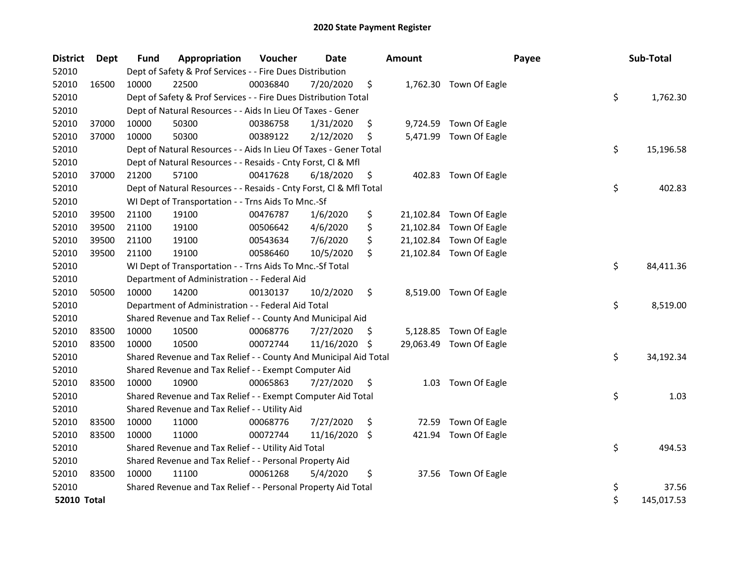| <b>District</b>    | Dept  | Fund  | Appropriation                                                      | Voucher  | <b>Date</b> | <b>Amount</b> | Payee                   | Sub-Total        |
|--------------------|-------|-------|--------------------------------------------------------------------|----------|-------------|---------------|-------------------------|------------------|
| 52010              |       |       | Dept of Safety & Prof Services - - Fire Dues Distribution          |          |             |               |                         |                  |
| 52010              | 16500 | 10000 | 22500                                                              | 00036840 | 7/20/2020   | \$            | 1,762.30 Town Of Eagle  |                  |
| 52010              |       |       | Dept of Safety & Prof Services - - Fire Dues Distribution Total    |          |             |               |                         | \$<br>1,762.30   |
| 52010              |       |       | Dept of Natural Resources - - Aids In Lieu Of Taxes - Gener        |          |             |               |                         |                  |
| 52010              | 37000 | 10000 | 50300                                                              | 00386758 | 1/31/2020   | \$            | 9,724.59 Town Of Eagle  |                  |
| 52010              | 37000 | 10000 | 50300                                                              | 00389122 | 2/12/2020   | \$            | 5,471.99 Town Of Eagle  |                  |
| 52010              |       |       | Dept of Natural Resources - - Aids In Lieu Of Taxes - Gener Total  |          |             |               |                         | \$<br>15,196.58  |
| 52010              |       |       | Dept of Natural Resources - - Resaids - Cnty Forst, Cl & Mfl       |          |             |               |                         |                  |
| 52010              | 37000 | 21200 | 57100                                                              | 00417628 | 6/18/2020   | \$<br>402.83  | Town Of Eagle           |                  |
| 52010              |       |       | Dept of Natural Resources - - Resaids - Cnty Forst, Cl & Mfl Total |          |             |               |                         | \$<br>402.83     |
| 52010              |       |       | WI Dept of Transportation - - Trns Aids To Mnc.-Sf                 |          |             |               |                         |                  |
| 52010              | 39500 | 21100 | 19100                                                              | 00476787 | 1/6/2020    | \$            | 21,102.84 Town Of Eagle |                  |
| 52010              | 39500 | 21100 | 19100                                                              | 00506642 | 4/6/2020    | \$            | 21,102.84 Town Of Eagle |                  |
| 52010              | 39500 | 21100 | 19100                                                              | 00543634 | 7/6/2020    | \$            | 21,102.84 Town Of Eagle |                  |
| 52010              | 39500 | 21100 | 19100                                                              | 00586460 | 10/5/2020   | \$            | 21,102.84 Town Of Eagle |                  |
| 52010              |       |       | WI Dept of Transportation - - Trns Aids To Mnc.-Sf Total           |          |             |               |                         | \$<br>84,411.36  |
| 52010              |       |       | Department of Administration - - Federal Aid                       |          |             |               |                         |                  |
| 52010              | 50500 | 10000 | 14200                                                              | 00130137 | 10/2/2020   | \$            | 8,519.00 Town Of Eagle  |                  |
| 52010              |       |       | Department of Administration - - Federal Aid Total                 |          |             |               |                         | \$<br>8,519.00   |
| 52010              |       |       | Shared Revenue and Tax Relief - - County And Municipal Aid         |          |             |               |                         |                  |
| 52010              | 83500 | 10000 | 10500                                                              | 00068776 | 7/27/2020   | \$            | 5,128.85 Town Of Eagle  |                  |
| 52010              | 83500 | 10000 | 10500                                                              | 00072744 | 11/16/2020  | \$            | 29,063.49 Town Of Eagle |                  |
| 52010              |       |       | Shared Revenue and Tax Relief - - County And Municipal Aid Total   |          |             |               |                         | \$<br>34,192.34  |
| 52010              |       |       | Shared Revenue and Tax Relief - - Exempt Computer Aid              |          |             |               |                         |                  |
| 52010              | 83500 | 10000 | 10900                                                              | 00065863 | 7/27/2020   | \$<br>1.03    | Town Of Eagle           |                  |
| 52010              |       |       | Shared Revenue and Tax Relief - - Exempt Computer Aid Total        |          |             |               |                         | \$<br>1.03       |
| 52010              |       |       | Shared Revenue and Tax Relief - - Utility Aid                      |          |             |               |                         |                  |
| 52010              | 83500 | 10000 | 11000                                                              | 00068776 | 7/27/2020   | \$<br>72.59   | Town Of Eagle           |                  |
| 52010              | 83500 | 10000 | 11000                                                              | 00072744 | 11/16/2020  | \$<br>421.94  | Town Of Eagle           |                  |
| 52010              |       |       | Shared Revenue and Tax Relief - - Utility Aid Total                |          |             |               |                         | \$<br>494.53     |
| 52010              |       |       | Shared Revenue and Tax Relief - - Personal Property Aid            |          |             |               |                         |                  |
| 52010              | 83500 | 10000 | 11100                                                              | 00061268 | 5/4/2020    | \$            | 37.56 Town Of Eagle     |                  |
| 52010              |       |       | Shared Revenue and Tax Relief - - Personal Property Aid Total      |          |             |               |                         | \$<br>37.56      |
| <b>52010 Total</b> |       |       |                                                                    |          |             |               |                         | \$<br>145,017.53 |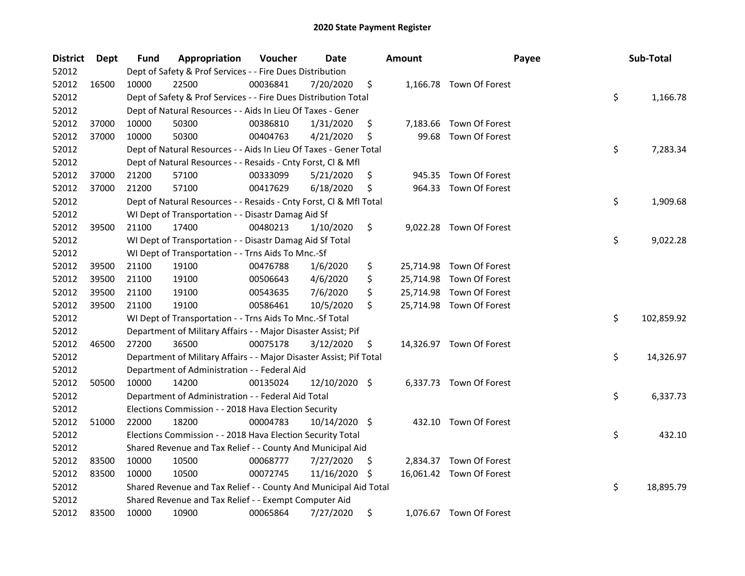| <b>District</b> | <b>Dept</b> | Fund  | Appropriation                                                       | Voucher  | Date          |     | <b>Amount</b> | Payee                    | Sub-Total        |
|-----------------|-------------|-------|---------------------------------------------------------------------|----------|---------------|-----|---------------|--------------------------|------------------|
| 52012           |             |       | Dept of Safety & Prof Services - - Fire Dues Distribution           |          |               |     |               |                          |                  |
| 52012           | 16500       | 10000 | 22500                                                               | 00036841 | 7/20/2020     | \$  |               | 1,166.78 Town Of Forest  |                  |
| 52012           |             |       | Dept of Safety & Prof Services - - Fire Dues Distribution Total     |          |               |     |               |                          | \$<br>1,166.78   |
| 52012           |             |       | Dept of Natural Resources - - Aids In Lieu Of Taxes - Gener         |          |               |     |               |                          |                  |
| 52012           | 37000       | 10000 | 50300                                                               | 00386810 | 1/31/2020     | \$  |               | 7,183.66 Town Of Forest  |                  |
| 52012           | 37000       | 10000 | 50300                                                               | 00404763 | 4/21/2020     | \$  | 99.68         | Town Of Forest           |                  |
| 52012           |             |       | Dept of Natural Resources - - Aids In Lieu Of Taxes - Gener Total   |          |               |     |               |                          | \$<br>7,283.34   |
| 52012           |             |       | Dept of Natural Resources - - Resaids - Cnty Forst, Cl & Mfl        |          |               |     |               |                          |                  |
| 52012           | 37000       | 21200 | 57100                                                               | 00333099 | 5/21/2020     | \$  |               | 945.35 Town Of Forest    |                  |
| 52012           | 37000       | 21200 | 57100                                                               | 00417629 | 6/18/2020     | \$  |               | 964.33 Town Of Forest    |                  |
| 52012           |             |       | Dept of Natural Resources - - Resaids - Cnty Forst, Cl & Mfl Total  |          |               |     |               |                          | \$<br>1,909.68   |
| 52012           |             |       | WI Dept of Transportation - - Disastr Damag Aid Sf                  |          |               |     |               |                          |                  |
| 52012           | 39500       | 21100 | 17400                                                               | 00480213 | 1/10/2020     | \$  |               | 9,022.28 Town Of Forest  |                  |
| 52012           |             |       | WI Dept of Transportation - - Disastr Damag Aid Sf Total            |          |               |     |               |                          | \$<br>9,022.28   |
| 52012           |             |       | WI Dept of Transportation - - Trns Aids To Mnc.-Sf                  |          |               |     |               |                          |                  |
| 52012           | 39500       | 21100 | 19100                                                               | 00476788 | 1/6/2020      | \$  |               | 25,714.98 Town Of Forest |                  |
| 52012           | 39500       | 21100 | 19100                                                               | 00506643 | 4/6/2020      | \$  |               | 25,714.98 Town Of Forest |                  |
| 52012           | 39500       | 21100 | 19100                                                               | 00543635 | 7/6/2020      | \$  |               | 25,714.98 Town Of Forest |                  |
| 52012           | 39500       | 21100 | 19100                                                               | 00586461 | 10/5/2020     | \$  |               | 25,714.98 Town Of Forest |                  |
| 52012           |             |       | WI Dept of Transportation - - Trns Aids To Mnc.-Sf Total            |          |               |     |               |                          | \$<br>102,859.92 |
| 52012           |             |       | Department of Military Affairs - - Major Disaster Assist; Pif       |          |               |     |               |                          |                  |
| 52012           | 46500       | 27200 | 36500                                                               | 00075178 | 3/12/2020     | \$. |               | 14,326.97 Town Of Forest |                  |
| 52012           |             |       | Department of Military Affairs - - Major Disaster Assist; Pif Total |          |               |     |               |                          | \$<br>14,326.97  |
| 52012           |             |       | Department of Administration - - Federal Aid                        |          |               |     |               |                          |                  |
| 52012           | 50500       | 10000 | 14200                                                               | 00135024 | 12/10/2020 \$ |     |               | 6,337.73 Town Of Forest  |                  |
| 52012           |             |       | Department of Administration - - Federal Aid Total                  |          |               |     |               |                          | \$<br>6,337.73   |
| 52012           |             |       | Elections Commission - - 2018 Hava Election Security                |          |               |     |               |                          |                  |
| 52012           | 51000       | 22000 | 18200                                                               | 00004783 | 10/14/2020 \$ |     |               | 432.10 Town Of Forest    |                  |
| 52012           |             |       | Elections Commission - - 2018 Hava Election Security Total          |          |               |     |               |                          | \$<br>432.10     |
| 52012           |             |       | Shared Revenue and Tax Relief - - County And Municipal Aid          |          |               |     |               |                          |                  |
| 52012           | 83500       | 10000 | 10500                                                               | 00068777 | 7/27/2020     | \$  |               | 2,834.37 Town Of Forest  |                  |
| 52012           | 83500       | 10000 | 10500                                                               | 00072745 | 11/16/2020    | -S  |               | 16,061.42 Town Of Forest |                  |
| 52012           |             |       | Shared Revenue and Tax Relief - - County And Municipal Aid Total    |          |               |     |               |                          | \$<br>18,895.79  |
| 52012           |             |       | Shared Revenue and Tax Relief - - Exempt Computer Aid               |          |               |     |               |                          |                  |
| 52012           | 83500       | 10000 | 10900                                                               | 00065864 | 7/27/2020     | \$  |               | 1,076.67 Town Of Forest  |                  |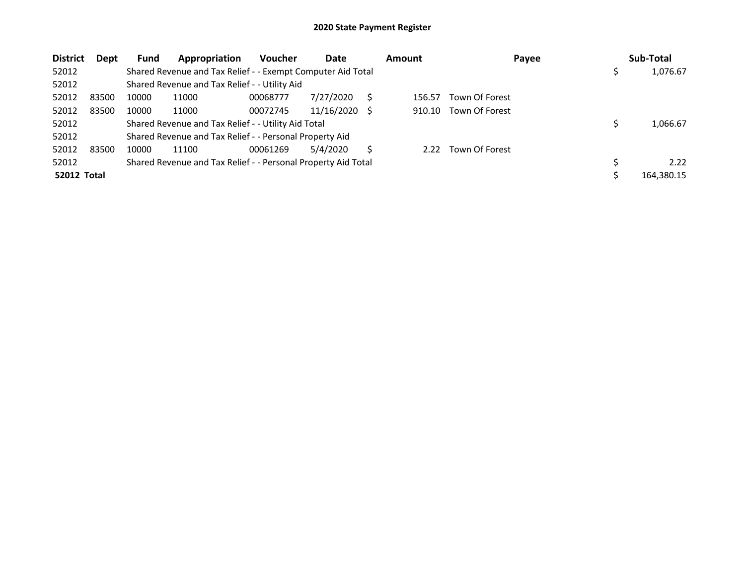| <b>District</b>    | Dept  | <b>Fund</b> | Appropriation                                                 | <b>Voucher</b> | Date       |     | <b>Amount</b> | Payee          | Sub-Total  |
|--------------------|-------|-------------|---------------------------------------------------------------|----------------|------------|-----|---------------|----------------|------------|
| 52012              |       |             | Shared Revenue and Tax Relief - - Exempt Computer Aid Total   |                |            |     |               |                | 1,076.67   |
| 52012              |       |             | Shared Revenue and Tax Relief - - Utility Aid                 |                |            |     |               |                |            |
| 52012              | 83500 | 10000       | 11000                                                         | 00068777       | 7/27/2020  |     | 156.57        | Town Of Forest |            |
| 52012              | 83500 | 10000       | 11000                                                         | 00072745       | 11/16/2020 | - S | 910.10        | Town Of Forest |            |
| 52012              |       |             | Shared Revenue and Tax Relief - - Utility Aid Total           |                |            |     |               |                | 1,066.67   |
| 52012              |       |             | Shared Revenue and Tax Relief - - Personal Property Aid       |                |            |     |               |                |            |
| 52012              | 83500 | 10000       | 11100                                                         | 00061269       | 5/4/2020   |     | 2.22          | Town Of Forest |            |
| 52012              |       |             | Shared Revenue and Tax Relief - - Personal Property Aid Total |                |            |     |               |                | 2.22       |
| <b>52012 Total</b> |       |             |                                                               |                |            |     |               |                | 164,380.15 |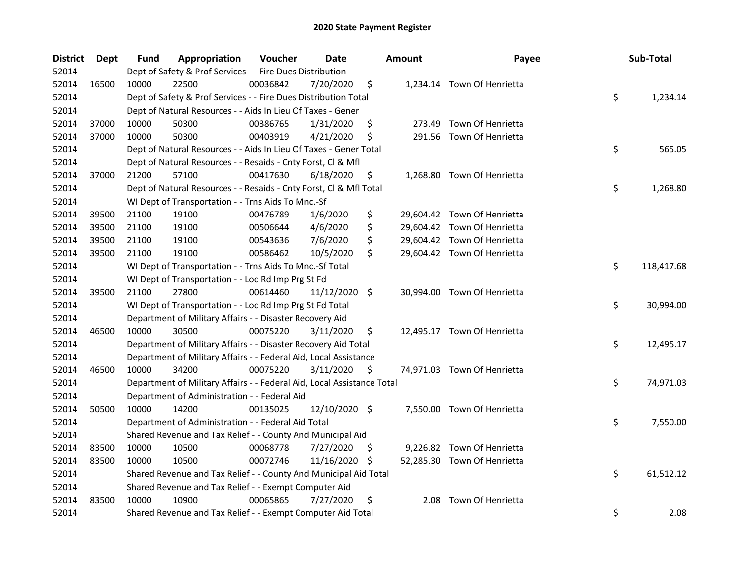| <b>District</b> | <b>Dept</b> | Fund  | Appropriation                                                          | Voucher  | <b>Date</b>   |     | <b>Amount</b> | Payee                       | Sub-Total        |
|-----------------|-------------|-------|------------------------------------------------------------------------|----------|---------------|-----|---------------|-----------------------------|------------------|
| 52014           |             |       | Dept of Safety & Prof Services - - Fire Dues Distribution              |          |               |     |               |                             |                  |
| 52014           | 16500       | 10000 | 22500                                                                  | 00036842 | 7/20/2020     | \$  |               | 1,234.14 Town Of Henrietta  |                  |
| 52014           |             |       | Dept of Safety & Prof Services - - Fire Dues Distribution Total        |          |               |     |               |                             | \$<br>1,234.14   |
| 52014           |             |       | Dept of Natural Resources - - Aids In Lieu Of Taxes - Gener            |          |               |     |               |                             |                  |
| 52014           | 37000       | 10000 | 50300                                                                  | 00386765 | 1/31/2020     | \$  | 273.49        | Town Of Henrietta           |                  |
| 52014           | 37000       | 10000 | 50300                                                                  | 00403919 | 4/21/2020     | \$  | 291.56        | Town Of Henrietta           |                  |
| 52014           |             |       | Dept of Natural Resources - - Aids In Lieu Of Taxes - Gener Total      |          |               |     |               |                             | \$<br>565.05     |
| 52014           |             |       | Dept of Natural Resources - - Resaids - Cnty Forst, Cl & Mfl           |          |               |     |               |                             |                  |
| 52014           | 37000       | 21200 | 57100                                                                  | 00417630 | 6/18/2020     | \$  |               | 1,268.80 Town Of Henrietta  |                  |
| 52014           |             |       | Dept of Natural Resources - - Resaids - Cnty Forst, Cl & Mfl Total     |          |               |     |               |                             | \$<br>1,268.80   |
| 52014           |             |       | WI Dept of Transportation - - Trns Aids To Mnc.-Sf                     |          |               |     |               |                             |                  |
| 52014           | 39500       | 21100 | 19100                                                                  | 00476789 | 1/6/2020      | \$  |               | 29,604.42 Town Of Henrietta |                  |
| 52014           | 39500       | 21100 | 19100                                                                  | 00506644 | 4/6/2020      | \$  |               | 29,604.42 Town Of Henrietta |                  |
| 52014           | 39500       | 21100 | 19100                                                                  | 00543636 | 7/6/2020      | \$  |               | 29,604.42 Town Of Henrietta |                  |
| 52014           | 39500       | 21100 | 19100                                                                  | 00586462 | 10/5/2020     | \$  |               | 29,604.42 Town Of Henrietta |                  |
| 52014           |             |       | WI Dept of Transportation - - Trns Aids To Mnc.-Sf Total               |          |               |     |               |                             | \$<br>118,417.68 |
| 52014           |             |       | WI Dept of Transportation - - Loc Rd Imp Prg St Fd                     |          |               |     |               |                             |                  |
| 52014           | 39500       | 21100 | 27800                                                                  | 00614460 | 11/12/2020 \$ |     |               | 30,994.00 Town Of Henrietta |                  |
| 52014           |             |       | WI Dept of Transportation - - Loc Rd Imp Prg St Fd Total               |          |               |     |               |                             | \$<br>30,994.00  |
| 52014           |             |       | Department of Military Affairs - - Disaster Recovery Aid               |          |               |     |               |                             |                  |
| 52014           | 46500       | 10000 | 30500                                                                  | 00075220 | 3/11/2020     | \$  |               | 12,495.17 Town Of Henrietta |                  |
| 52014           |             |       | Department of Military Affairs - - Disaster Recovery Aid Total         |          |               |     |               |                             | \$<br>12,495.17  |
| 52014           |             |       | Department of Military Affairs - - Federal Aid, Local Assistance       |          |               |     |               |                             |                  |
| 52014           | 46500       | 10000 | 34200                                                                  | 00075220 | 3/11/2020     | \$  |               | 74,971.03 Town Of Henrietta |                  |
| 52014           |             |       | Department of Military Affairs - - Federal Aid, Local Assistance Total |          |               |     |               |                             | \$<br>74,971.03  |
| 52014           |             |       | Department of Administration - - Federal Aid                           |          |               |     |               |                             |                  |
| 52014           | 50500       | 10000 | 14200                                                                  | 00135025 | 12/10/2020 \$ |     |               | 7,550.00 Town Of Henrietta  |                  |
| 52014           |             |       | Department of Administration - - Federal Aid Total                     |          |               |     |               |                             | \$<br>7,550.00   |
| 52014           |             |       | Shared Revenue and Tax Relief - - County And Municipal Aid             |          |               |     |               |                             |                  |
| 52014           | 83500       | 10000 | 10500                                                                  | 00068778 | 7/27/2020     | \$. |               | 9,226.82 Town Of Henrietta  |                  |
| 52014           | 83500       | 10000 | 10500                                                                  | 00072746 | 11/16/2020    | \$. |               | 52,285.30 Town Of Henrietta |                  |
| 52014           |             |       | Shared Revenue and Tax Relief - - County And Municipal Aid Total       |          |               |     |               |                             | \$<br>61,512.12  |
| 52014           |             |       | Shared Revenue and Tax Relief - - Exempt Computer Aid                  |          |               |     |               |                             |                  |
| 52014           | 83500       | 10000 | 10900                                                                  | 00065865 | 7/27/2020     | \$  | 2.08          | Town Of Henrietta           |                  |
| 52014           |             |       | Shared Revenue and Tax Relief - - Exempt Computer Aid Total            |          |               |     |               |                             | \$<br>2.08       |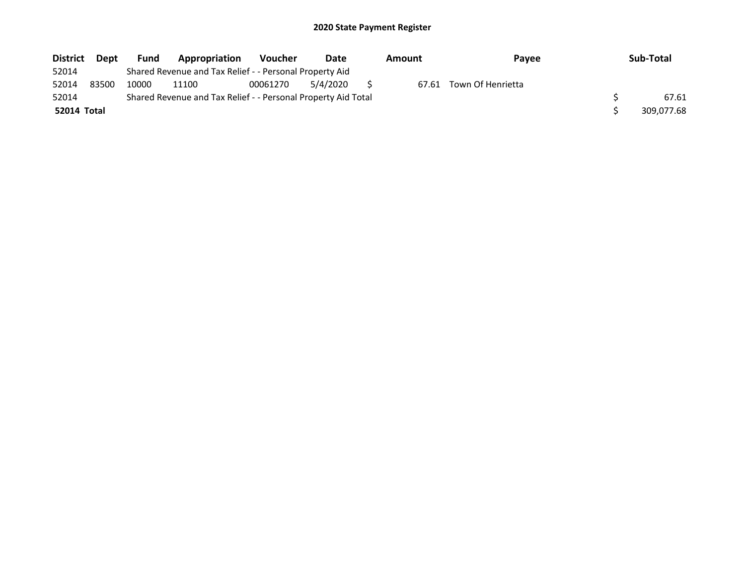| <b>District</b>    | <b>Dept</b> | <b>Fund</b>                                             | Appropriation                                                 | <b>Voucher</b> | Date     | Amount |       | Pavee             |  | Sub-Total  |
|--------------------|-------------|---------------------------------------------------------|---------------------------------------------------------------|----------------|----------|--------|-------|-------------------|--|------------|
| 52014              |             | Shared Revenue and Tax Relief - - Personal Property Aid |                                                               |                |          |        |       |                   |  |            |
| 52014              | 83500       | 10000                                                   | 11100                                                         | 00061270       | 5/4/2020 |        | 67.61 | Town Of Henrietta |  |            |
| 52014              |             |                                                         | Shared Revenue and Tax Relief - - Personal Property Aid Total |                |          |        |       |                   |  | 67.61      |
| <b>52014 Total</b> |             |                                                         |                                                               |                |          |        |       |                   |  | 309,077.68 |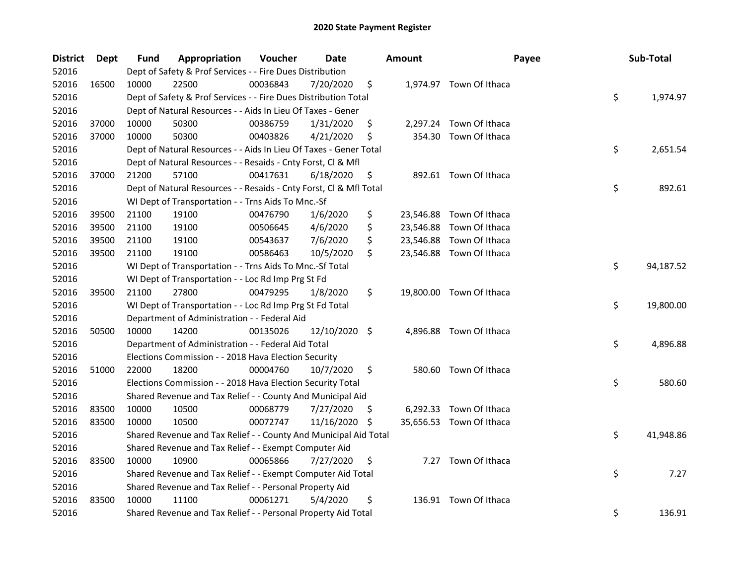| <b>District</b> | Dept  | Fund  | Appropriation                                                      | Voucher  | Date          |     | <b>Amount</b> | Payee                    | Sub-Total       |
|-----------------|-------|-------|--------------------------------------------------------------------|----------|---------------|-----|---------------|--------------------------|-----------------|
| 52016           |       |       | Dept of Safety & Prof Services - - Fire Dues Distribution          |          |               |     |               |                          |                 |
| 52016           | 16500 | 10000 | 22500                                                              | 00036843 | 7/20/2020     | \$  |               | 1,974.97 Town Of Ithaca  |                 |
| 52016           |       |       | Dept of Safety & Prof Services - - Fire Dues Distribution Total    |          |               |     |               |                          | \$<br>1,974.97  |
| 52016           |       |       | Dept of Natural Resources - - Aids In Lieu Of Taxes - Gener        |          |               |     |               |                          |                 |
| 52016           | 37000 | 10000 | 50300                                                              | 00386759 | 1/31/2020     | \$  |               | 2,297.24 Town Of Ithaca  |                 |
| 52016           | 37000 | 10000 | 50300                                                              | 00403826 | 4/21/2020     | \$  | 354.30        | Town Of Ithaca           |                 |
| 52016           |       |       | Dept of Natural Resources - - Aids In Lieu Of Taxes - Gener Total  |          |               |     |               |                          | \$<br>2,651.54  |
| 52016           |       |       | Dept of Natural Resources - - Resaids - Cnty Forst, Cl & Mfl       |          |               |     |               |                          |                 |
| 52016           | 37000 | 21200 | 57100                                                              | 00417631 | 6/18/2020     | \$  |               | 892.61 Town Of Ithaca    |                 |
| 52016           |       |       | Dept of Natural Resources - - Resaids - Cnty Forst, Cl & Mfl Total |          |               |     |               |                          | \$<br>892.61    |
| 52016           |       |       | WI Dept of Transportation - - Trns Aids To Mnc.-Sf                 |          |               |     |               |                          |                 |
| 52016           | 39500 | 21100 | 19100                                                              | 00476790 | 1/6/2020      | \$  | 23,546.88     | Town Of Ithaca           |                 |
| 52016           | 39500 | 21100 | 19100                                                              | 00506645 | 4/6/2020      | \$  | 23,546.88     | Town Of Ithaca           |                 |
| 52016           | 39500 | 21100 | 19100                                                              | 00543637 | 7/6/2020      | \$  | 23,546.88     | Town Of Ithaca           |                 |
| 52016           | 39500 | 21100 | 19100                                                              | 00586463 | 10/5/2020     | \$  |               | 23,546.88 Town Of Ithaca |                 |
| 52016           |       |       | WI Dept of Transportation - - Trns Aids To Mnc.-Sf Total           |          |               |     |               |                          | \$<br>94,187.52 |
| 52016           |       |       | WI Dept of Transportation - - Loc Rd Imp Prg St Fd                 |          |               |     |               |                          |                 |
| 52016           | 39500 | 21100 | 27800                                                              | 00479295 | 1/8/2020      | \$  |               | 19,800.00 Town Of Ithaca |                 |
| 52016           |       |       | WI Dept of Transportation - - Loc Rd Imp Prg St Fd Total           |          |               |     |               |                          | \$<br>19,800.00 |
| 52016           |       |       | Department of Administration - - Federal Aid                       |          |               |     |               |                          |                 |
| 52016           | 50500 | 10000 | 14200                                                              | 00135026 | 12/10/2020 \$ |     |               | 4,896.88 Town Of Ithaca  |                 |
| 52016           |       |       | Department of Administration - - Federal Aid Total                 |          |               |     |               |                          | \$<br>4,896.88  |
| 52016           |       |       | Elections Commission - - 2018 Hava Election Security               |          |               |     |               |                          |                 |
| 52016           | 51000 | 22000 | 18200                                                              | 00004760 | 10/7/2020     | \$  |               | 580.60 Town Of Ithaca    |                 |
| 52016           |       |       | Elections Commission - - 2018 Hava Election Security Total         |          |               |     |               |                          | \$<br>580.60    |
| 52016           |       |       | Shared Revenue and Tax Relief - - County And Municipal Aid         |          |               |     |               |                          |                 |
| 52016           | 83500 | 10000 | 10500                                                              | 00068779 | 7/27/2020     | \$. |               | 6,292.33 Town Of Ithaca  |                 |
| 52016           | 83500 | 10000 | 10500                                                              | 00072747 | 11/16/2020    | \$  |               | 35,656.53 Town Of Ithaca |                 |
| 52016           |       |       | Shared Revenue and Tax Relief - - County And Municipal Aid Total   |          |               |     |               |                          | \$<br>41,948.86 |
| 52016           |       |       | Shared Revenue and Tax Relief - - Exempt Computer Aid              |          |               |     |               |                          |                 |
| 52016           | 83500 | 10000 | 10900                                                              | 00065866 | 7/27/2020     | \$  |               | 7.27 Town Of Ithaca      |                 |
| 52016           |       |       | Shared Revenue and Tax Relief - - Exempt Computer Aid Total        |          |               |     |               |                          | \$<br>7.27      |
| 52016           |       |       | Shared Revenue and Tax Relief - - Personal Property Aid            |          |               |     |               |                          |                 |
| 52016           | 83500 | 10000 | 11100                                                              | 00061271 | 5/4/2020      | \$  |               | 136.91 Town Of Ithaca    |                 |
| 52016           |       |       | Shared Revenue and Tax Relief - - Personal Property Aid Total      |          |               |     |               |                          | \$<br>136.91    |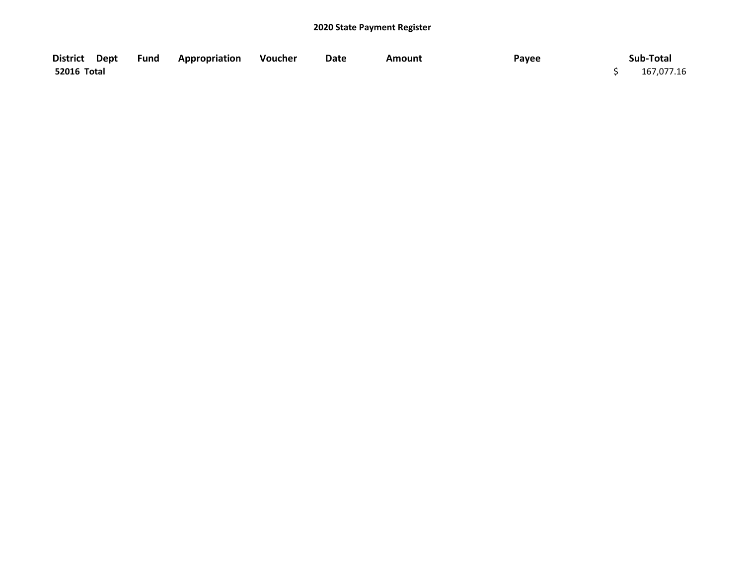| District Dept | <b>Fund Appropriation</b> | Voucher | Date | Amount | Payee | Sub-Total  |
|---------------|---------------------------|---------|------|--------|-------|------------|
| 52016 Total   |                           |         |      |        |       | 167,077.16 |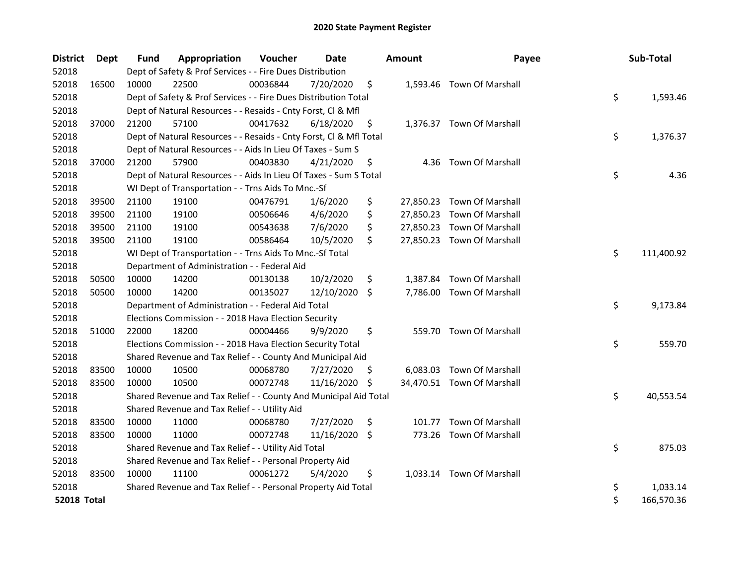| <b>District</b>    | Dept  | <b>Fund</b> | Appropriation                                                      | Voucher  | <b>Date</b> |     | <b>Amount</b> | Payee                      | Sub-Total        |
|--------------------|-------|-------------|--------------------------------------------------------------------|----------|-------------|-----|---------------|----------------------------|------------------|
| 52018              |       |             | Dept of Safety & Prof Services - - Fire Dues Distribution          |          |             |     |               |                            |                  |
| 52018              | 16500 | 10000       | 22500                                                              | 00036844 | 7/20/2020   | \$  |               | 1,593.46 Town Of Marshall  |                  |
| 52018              |       |             | Dept of Safety & Prof Services - - Fire Dues Distribution Total    |          |             |     |               |                            | \$<br>1,593.46   |
| 52018              |       |             | Dept of Natural Resources - - Resaids - Cnty Forst, Cl & Mfl       |          |             |     |               |                            |                  |
| 52018              | 37000 | 21200       | 57100                                                              | 00417632 | 6/18/2020   | \$  |               | 1,376.37 Town Of Marshall  |                  |
| 52018              |       |             | Dept of Natural Resources - - Resaids - Cnty Forst, Cl & Mfl Total |          |             |     |               |                            | \$<br>1,376.37   |
| 52018              |       |             | Dept of Natural Resources - - Aids In Lieu Of Taxes - Sum S        |          |             |     |               |                            |                  |
| 52018              | 37000 | 21200       | 57900                                                              | 00403830 | 4/21/2020   | \$  |               | 4.36 Town Of Marshall      |                  |
| 52018              |       |             | Dept of Natural Resources - - Aids In Lieu Of Taxes - Sum S Total  |          |             |     |               |                            | \$<br>4.36       |
| 52018              |       |             | WI Dept of Transportation - - Trns Aids To Mnc.-Sf                 |          |             |     |               |                            |                  |
| 52018              | 39500 | 21100       | 19100                                                              | 00476791 | 1/6/2020    | \$  |               | 27,850.23 Town Of Marshall |                  |
| 52018              | 39500 | 21100       | 19100                                                              | 00506646 | 4/6/2020    | \$  |               | 27,850.23 Town Of Marshall |                  |
| 52018              | 39500 | 21100       | 19100                                                              | 00543638 | 7/6/2020    | \$  |               | 27,850.23 Town Of Marshall |                  |
| 52018              | 39500 | 21100       | 19100                                                              | 00586464 | 10/5/2020   | \$  |               | 27,850.23 Town Of Marshall |                  |
| 52018              |       |             | WI Dept of Transportation - - Trns Aids To Mnc.-Sf Total           |          |             |     |               |                            | \$<br>111,400.92 |
| 52018              |       |             | Department of Administration - - Federal Aid                       |          |             |     |               |                            |                  |
| 52018              | 50500 | 10000       | 14200                                                              | 00130138 | 10/2/2020   | \$  |               | 1,387.84 Town Of Marshall  |                  |
| 52018              | 50500 | 10000       | 14200                                                              | 00135027 | 12/10/2020  | \$  |               | 7,786.00 Town Of Marshall  |                  |
| 52018              |       |             | Department of Administration - - Federal Aid Total                 |          |             |     |               |                            | \$<br>9,173.84   |
| 52018              |       |             | Elections Commission - - 2018 Hava Election Security               |          |             |     |               |                            |                  |
| 52018              | 51000 | 22000       | 18200                                                              | 00004466 | 9/9/2020    | \$  |               | 559.70 Town Of Marshall    |                  |
| 52018              |       |             | Elections Commission - - 2018 Hava Election Security Total         |          |             |     |               |                            | \$<br>559.70     |
| 52018              |       |             | Shared Revenue and Tax Relief - - County And Municipal Aid         |          |             |     |               |                            |                  |
| 52018              | 83500 | 10000       | 10500                                                              | 00068780 | 7/27/2020   | \$. |               | 6,083.03 Town Of Marshall  |                  |
| 52018              | 83500 | 10000       | 10500                                                              | 00072748 | 11/16/2020  | \$  |               | 34,470.51 Town Of Marshall |                  |
| 52018              |       |             | Shared Revenue and Tax Relief - - County And Municipal Aid Total   |          |             |     |               |                            | \$<br>40,553.54  |
| 52018              |       |             | Shared Revenue and Tax Relief - - Utility Aid                      |          |             |     |               |                            |                  |
| 52018              | 83500 | 10000       | 11000                                                              | 00068780 | 7/27/2020   | \$  | 101.77        | <b>Town Of Marshall</b>    |                  |
| 52018              | 83500 | 10000       | 11000                                                              | 00072748 | 11/16/2020  | \$  | 773.26        | Town Of Marshall           |                  |
| 52018              |       |             | Shared Revenue and Tax Relief - - Utility Aid Total                |          |             |     |               |                            | \$<br>875.03     |
| 52018              |       |             | Shared Revenue and Tax Relief - - Personal Property Aid            |          |             |     |               |                            |                  |
| 52018              | 83500 | 10000       | 11100                                                              | 00061272 | 5/4/2020    | \$  |               | 1,033.14 Town Of Marshall  |                  |
| 52018              |       |             | Shared Revenue and Tax Relief - - Personal Property Aid Total      |          |             |     |               |                            | \$<br>1,033.14   |
| <b>52018 Total</b> |       |             |                                                                    |          |             |     |               |                            | \$<br>166,570.36 |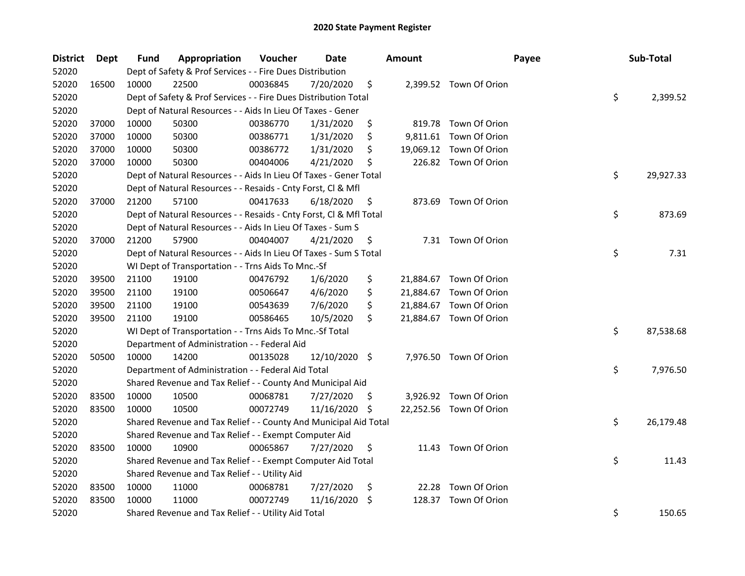| <b>District</b> | Dept  | Fund  | Appropriation                                                      | Voucher  | Date          |     | <b>Amount</b> |                         | Payee | Sub-Total       |
|-----------------|-------|-------|--------------------------------------------------------------------|----------|---------------|-----|---------------|-------------------------|-------|-----------------|
| 52020           |       |       | Dept of Safety & Prof Services - - Fire Dues Distribution          |          |               |     |               |                         |       |                 |
| 52020           | 16500 | 10000 | 22500                                                              | 00036845 | 7/20/2020     | \$  |               | 2,399.52 Town Of Orion  |       |                 |
| 52020           |       |       | Dept of Safety & Prof Services - - Fire Dues Distribution Total    |          |               |     |               |                         |       | \$<br>2,399.52  |
| 52020           |       |       | Dept of Natural Resources - - Aids In Lieu Of Taxes - Gener        |          |               |     |               |                         |       |                 |
| 52020           | 37000 | 10000 | 50300                                                              | 00386770 | 1/31/2020     | \$  |               | 819.78 Town Of Orion    |       |                 |
| 52020           | 37000 | 10000 | 50300                                                              | 00386771 | 1/31/2020     | \$  |               | 9,811.61 Town Of Orion  |       |                 |
| 52020           | 37000 | 10000 | 50300                                                              | 00386772 | 1/31/2020     | \$  |               | 19,069.12 Town Of Orion |       |                 |
| 52020           | 37000 | 10000 | 50300                                                              | 00404006 | 4/21/2020     | \$  |               | 226.82 Town Of Orion    |       |                 |
| 52020           |       |       | Dept of Natural Resources - - Aids In Lieu Of Taxes - Gener Total  |          |               |     |               |                         |       | \$<br>29,927.33 |
| 52020           |       |       | Dept of Natural Resources - - Resaids - Cnty Forst, Cl & Mfl       |          |               |     |               |                         |       |                 |
| 52020           | 37000 | 21200 | 57100                                                              | 00417633 | 6/18/2020     | \$  |               | 873.69 Town Of Orion    |       |                 |
| 52020           |       |       | Dept of Natural Resources - - Resaids - Cnty Forst, Cl & Mfl Total |          |               |     |               |                         |       | \$<br>873.69    |
| 52020           |       |       | Dept of Natural Resources - - Aids In Lieu Of Taxes - Sum S        |          |               |     |               |                         |       |                 |
| 52020           | 37000 | 21200 | 57900                                                              | 00404007 | 4/21/2020     | \$  |               | 7.31 Town Of Orion      |       |                 |
| 52020           |       |       | Dept of Natural Resources - - Aids In Lieu Of Taxes - Sum S Total  |          |               |     |               |                         |       | \$<br>7.31      |
| 52020           |       |       | WI Dept of Transportation - - Trns Aids To Mnc.-Sf                 |          |               |     |               |                         |       |                 |
| 52020           | 39500 | 21100 | 19100                                                              | 00476792 | 1/6/2020      | \$  |               | 21,884.67 Town Of Orion |       |                 |
| 52020           | 39500 | 21100 | 19100                                                              | 00506647 | 4/6/2020      | \$  |               | 21,884.67 Town Of Orion |       |                 |
| 52020           | 39500 | 21100 | 19100                                                              | 00543639 | 7/6/2020      | \$  | 21,884.67     | Town Of Orion           |       |                 |
| 52020           | 39500 | 21100 | 19100                                                              | 00586465 | 10/5/2020     | \$  |               | 21,884.67 Town Of Orion |       |                 |
| 52020           |       |       | WI Dept of Transportation - - Trns Aids To Mnc.-Sf Total           |          |               |     |               |                         |       | \$<br>87,538.68 |
| 52020           |       |       | Department of Administration - - Federal Aid                       |          |               |     |               |                         |       |                 |
| 52020           | 50500 | 10000 | 14200                                                              | 00135028 | 12/10/2020 \$ |     |               | 7,976.50 Town Of Orion  |       |                 |
| 52020           |       |       | Department of Administration - - Federal Aid Total                 |          |               |     |               |                         |       | \$<br>7,976.50  |
| 52020           |       |       | Shared Revenue and Tax Relief - - County And Municipal Aid         |          |               |     |               |                         |       |                 |
| 52020           | 83500 | 10000 | 10500                                                              | 00068781 | 7/27/2020     | \$. |               | 3,926.92 Town Of Orion  |       |                 |
| 52020           | 83500 | 10000 | 10500                                                              | 00072749 | 11/16/2020    | \$  |               | 22,252.56 Town Of Orion |       |                 |
| 52020           |       |       | Shared Revenue and Tax Relief - - County And Municipal Aid Total   |          |               |     |               |                         |       | \$<br>26,179.48 |
| 52020           |       |       | Shared Revenue and Tax Relief - - Exempt Computer Aid              |          |               |     |               |                         |       |                 |
| 52020           | 83500 | 10000 | 10900                                                              | 00065867 | 7/27/2020     | \$  |               | 11.43 Town Of Orion     |       |                 |
| 52020           |       |       | Shared Revenue and Tax Relief - - Exempt Computer Aid Total        |          |               |     |               |                         |       | \$<br>11.43     |
| 52020           |       |       | Shared Revenue and Tax Relief - - Utility Aid                      |          |               |     |               |                         |       |                 |
| 52020           | 83500 | 10000 | 11000                                                              | 00068781 | 7/27/2020     | \$  | 22.28         | Town Of Orion           |       |                 |
| 52020           | 83500 | 10000 | 11000                                                              | 00072749 | 11/16/2020    | \$  | 128.37        | Town Of Orion           |       |                 |
| 52020           |       |       | Shared Revenue and Tax Relief - - Utility Aid Total                |          |               |     |               |                         |       | \$<br>150.65    |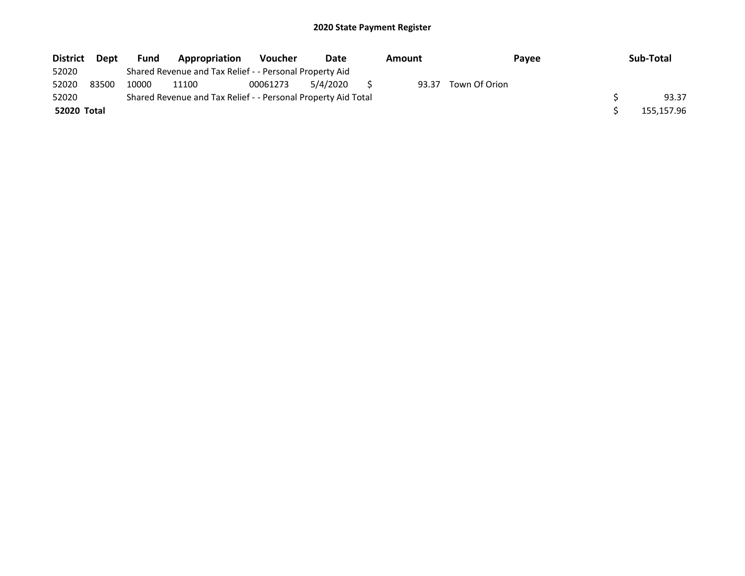| <b>District</b> | <b>Dept</b> | <b>Fund</b> | Appropriation                                                 | <b>Voucher</b> | Date     | Amount | <b>Pavee</b>  | Sub-Total  |
|-----------------|-------------|-------------|---------------------------------------------------------------|----------------|----------|--------|---------------|------------|
| 52020           |             |             | Shared Revenue and Tax Relief - - Personal Property Aid       |                |          |        |               |            |
| 52020           | 83500       | 10000       | 11100                                                         | 00061273       | 5/4/2020 | 93.37  | Town Of Orion |            |
| 52020           |             |             | Shared Revenue and Tax Relief - - Personal Property Aid Total |                |          |        |               | 93.37      |
| 52020 Total     |             |             |                                                               |                |          |        |               | 155,157.96 |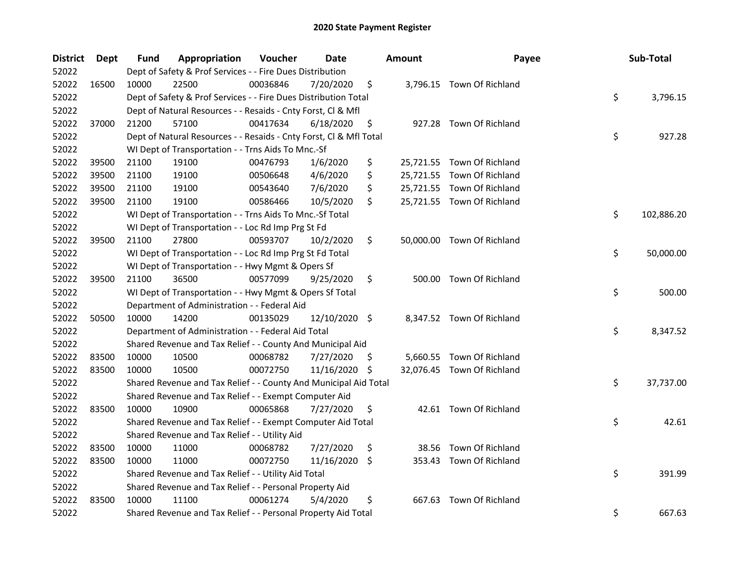| <b>District</b> | Dept  | Fund  | Appropriation                                                      | Voucher  | Date          |     | <b>Amount</b> | Payee                      | Sub-Total        |
|-----------------|-------|-------|--------------------------------------------------------------------|----------|---------------|-----|---------------|----------------------------|------------------|
| 52022           |       |       | Dept of Safety & Prof Services - - Fire Dues Distribution          |          |               |     |               |                            |                  |
| 52022           | 16500 | 10000 | 22500                                                              | 00036846 | 7/20/2020     | \$  |               | 3,796.15 Town Of Richland  |                  |
| 52022           |       |       | Dept of Safety & Prof Services - - Fire Dues Distribution Total    |          |               |     |               |                            | \$<br>3,796.15   |
| 52022           |       |       | Dept of Natural Resources - - Resaids - Cnty Forst, Cl & Mfl       |          |               |     |               |                            |                  |
| 52022           | 37000 | 21200 | 57100                                                              | 00417634 | 6/18/2020     | \$  |               | 927.28 Town Of Richland    |                  |
| 52022           |       |       | Dept of Natural Resources - - Resaids - Cnty Forst, Cl & Mfl Total |          |               |     |               |                            | \$<br>927.28     |
| 52022           |       |       | WI Dept of Transportation - - Trns Aids To Mnc.-Sf                 |          |               |     |               |                            |                  |
| 52022           | 39500 | 21100 | 19100                                                              | 00476793 | 1/6/2020      | \$  |               | 25,721.55 Town Of Richland |                  |
| 52022           | 39500 | 21100 | 19100                                                              | 00506648 | 4/6/2020      | \$  |               | 25,721.55 Town Of Richland |                  |
| 52022           | 39500 | 21100 | 19100                                                              | 00543640 | 7/6/2020      | \$  |               | 25,721.55 Town Of Richland |                  |
| 52022           | 39500 | 21100 | 19100                                                              | 00586466 | 10/5/2020     | \$  |               | 25,721.55 Town Of Richland |                  |
| 52022           |       |       | WI Dept of Transportation - - Trns Aids To Mnc.-Sf Total           |          |               |     |               |                            | \$<br>102,886.20 |
| 52022           |       |       | WI Dept of Transportation - - Loc Rd Imp Prg St Fd                 |          |               |     |               |                            |                  |
| 52022           | 39500 | 21100 | 27800                                                              | 00593707 | 10/2/2020     | \$  |               | 50,000.00 Town Of Richland |                  |
| 52022           |       |       | WI Dept of Transportation - - Loc Rd Imp Prg St Fd Total           |          |               |     |               |                            | \$<br>50,000.00  |
| 52022           |       |       | WI Dept of Transportation - - Hwy Mgmt & Opers Sf                  |          |               |     |               |                            |                  |
| 52022           | 39500 | 21100 | 36500                                                              | 00577099 | 9/25/2020     | \$  |               | 500.00 Town Of Richland    |                  |
| 52022           |       |       | WI Dept of Transportation - - Hwy Mgmt & Opers Sf Total            |          |               |     |               |                            | \$<br>500.00     |
| 52022           |       |       | Department of Administration - - Federal Aid                       |          |               |     |               |                            |                  |
| 52022           | 50500 | 10000 | 14200                                                              | 00135029 | 12/10/2020 \$ |     |               | 8,347.52 Town Of Richland  |                  |
| 52022           |       |       | Department of Administration - - Federal Aid Total                 |          |               |     |               |                            | \$<br>8,347.52   |
| 52022           |       |       | Shared Revenue and Tax Relief - - County And Municipal Aid         |          |               |     |               |                            |                  |
| 52022           | 83500 | 10000 | 10500                                                              | 00068782 | 7/27/2020     | \$. |               | 5,660.55 Town Of Richland  |                  |
| 52022           | 83500 | 10000 | 10500                                                              | 00072750 | 11/16/2020    | -\$ |               | 32,076.45 Town Of Richland |                  |
| 52022           |       |       | Shared Revenue and Tax Relief - - County And Municipal Aid Total   |          |               |     |               |                            | \$<br>37,737.00  |
| 52022           |       |       | Shared Revenue and Tax Relief - - Exempt Computer Aid              |          |               |     |               |                            |                  |
| 52022           | 83500 | 10000 | 10900                                                              | 00065868 | 7/27/2020     | \$  |               | 42.61 Town Of Richland     |                  |
| 52022           |       |       | Shared Revenue and Tax Relief - - Exempt Computer Aid Total        |          |               |     |               |                            | \$<br>42.61      |
| 52022           |       |       | Shared Revenue and Tax Relief - - Utility Aid                      |          |               |     |               |                            |                  |
| 52022           | 83500 | 10000 | 11000                                                              | 00068782 | 7/27/2020     | \$  | 38.56         | Town Of Richland           |                  |
| 52022           | 83500 | 10000 | 11000                                                              | 00072750 | 11/16/2020    | -S  |               | 353.43 Town Of Richland    |                  |
| 52022           |       |       | Shared Revenue and Tax Relief - - Utility Aid Total                |          |               |     |               |                            | \$<br>391.99     |
| 52022           |       |       | Shared Revenue and Tax Relief - - Personal Property Aid            |          |               |     |               |                            |                  |
| 52022           | 83500 | 10000 | 11100                                                              | 00061274 | 5/4/2020      | \$  |               | 667.63 Town Of Richland    |                  |
| 52022           |       |       | Shared Revenue and Tax Relief - - Personal Property Aid Total      |          |               |     |               |                            | \$<br>667.63     |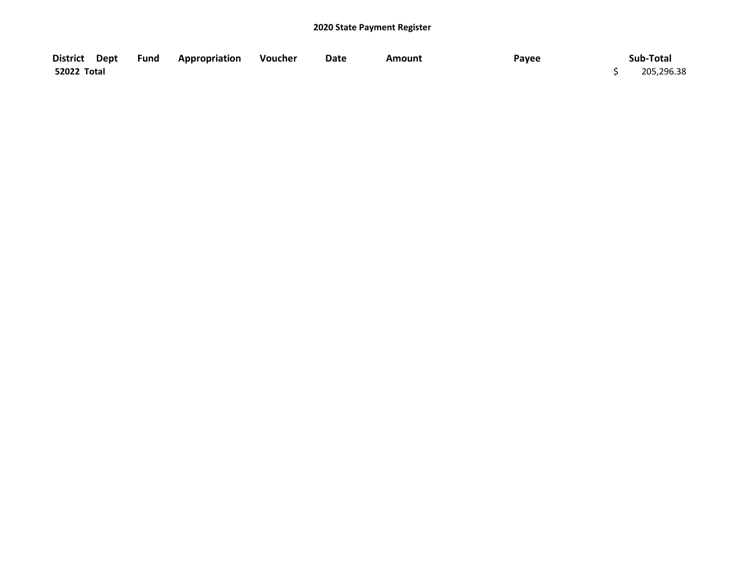| District Dept      | Fund | <b>Appropriation</b> | Voucher | Date | <b>Amount</b> | Payee | Sub-Total  |
|--------------------|------|----------------------|---------|------|---------------|-------|------------|
| <b>52022 Total</b> |      |                      |         |      |               |       | 205,296.38 |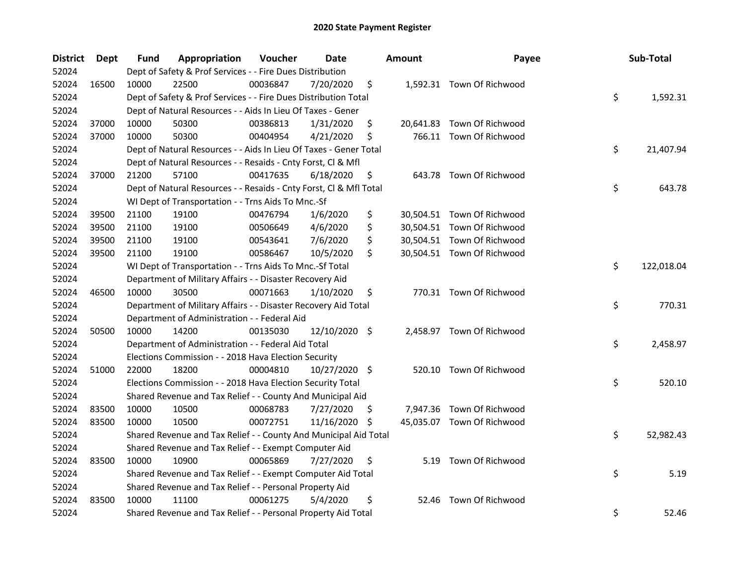| <b>District</b> | <b>Dept</b> | Fund  | Appropriation                                                      | Voucher  | <b>Date</b>   |     | <b>Amount</b> | Payee                      | Sub-Total        |
|-----------------|-------------|-------|--------------------------------------------------------------------|----------|---------------|-----|---------------|----------------------------|------------------|
| 52024           |             |       | Dept of Safety & Prof Services - - Fire Dues Distribution          |          |               |     |               |                            |                  |
| 52024           | 16500       | 10000 | 22500                                                              | 00036847 | 7/20/2020     | \$  |               | 1,592.31 Town Of Richwood  |                  |
| 52024           |             |       | Dept of Safety & Prof Services - - Fire Dues Distribution Total    |          |               |     |               |                            | \$<br>1,592.31   |
| 52024           |             |       | Dept of Natural Resources - - Aids In Lieu Of Taxes - Gener        |          |               |     |               |                            |                  |
| 52024           | 37000       | 10000 | 50300                                                              | 00386813 | 1/31/2020     | \$  |               | 20,641.83 Town Of Richwood |                  |
| 52024           | 37000       | 10000 | 50300                                                              | 00404954 | 4/21/2020     | \$  |               | 766.11 Town Of Richwood    |                  |
| 52024           |             |       | Dept of Natural Resources - - Aids In Lieu Of Taxes - Gener Total  |          |               |     |               |                            | \$<br>21,407.94  |
| 52024           |             |       | Dept of Natural Resources - - Resaids - Cnty Forst, Cl & Mfl       |          |               |     |               |                            |                  |
| 52024           | 37000       | 21200 | 57100                                                              | 00417635 | 6/18/2020     | \$  |               | 643.78 Town Of Richwood    |                  |
| 52024           |             |       | Dept of Natural Resources - - Resaids - Cnty Forst, Cl & Mfl Total |          |               |     |               |                            | \$<br>643.78     |
| 52024           |             |       | WI Dept of Transportation - - Trns Aids To Mnc.-Sf                 |          |               |     |               |                            |                  |
| 52024           | 39500       | 21100 | 19100                                                              | 00476794 | 1/6/2020      | \$  |               | 30,504.51 Town Of Richwood |                  |
| 52024           | 39500       | 21100 | 19100                                                              | 00506649 | 4/6/2020      | \$  |               | 30,504.51 Town Of Richwood |                  |
| 52024           | 39500       | 21100 | 19100                                                              | 00543641 | 7/6/2020      | \$  |               | 30,504.51 Town Of Richwood |                  |
| 52024           | 39500       | 21100 | 19100                                                              | 00586467 | 10/5/2020     | \$  |               | 30,504.51 Town Of Richwood |                  |
| 52024           |             |       | WI Dept of Transportation - - Trns Aids To Mnc.-Sf Total           |          |               |     |               |                            | \$<br>122,018.04 |
| 52024           |             |       | Department of Military Affairs - - Disaster Recovery Aid           |          |               |     |               |                            |                  |
| 52024           | 46500       | 10000 | 30500                                                              | 00071663 | 1/10/2020     | \$  |               | 770.31 Town Of Richwood    |                  |
| 52024           |             |       | Department of Military Affairs - - Disaster Recovery Aid Total     |          |               |     |               |                            | \$<br>770.31     |
| 52024           |             |       | Department of Administration - - Federal Aid                       |          |               |     |               |                            |                  |
| 52024           | 50500       | 10000 | 14200                                                              | 00135030 | 12/10/2020 \$ |     |               | 2,458.97 Town Of Richwood  |                  |
| 52024           |             |       | Department of Administration - - Federal Aid Total                 |          |               |     |               |                            | \$<br>2,458.97   |
| 52024           |             |       | Elections Commission - - 2018 Hava Election Security               |          |               |     |               |                            |                  |
| 52024           | 51000       | 22000 | 18200                                                              | 00004810 | 10/27/2020 \$ |     |               | 520.10 Town Of Richwood    |                  |
| 52024           |             |       | Elections Commission - - 2018 Hava Election Security Total         |          |               |     |               |                            | \$<br>520.10     |
| 52024           |             |       | Shared Revenue and Tax Relief - - County And Municipal Aid         |          |               |     |               |                            |                  |
| 52024           | 83500       | 10000 | 10500                                                              | 00068783 | 7/27/2020     | \$. |               | 7,947.36 Town Of Richwood  |                  |
| 52024           | 83500       | 10000 | 10500                                                              | 00072751 | 11/16/2020    | \$, |               | 45,035.07 Town Of Richwood |                  |
| 52024           |             |       | Shared Revenue and Tax Relief - - County And Municipal Aid Total   |          |               |     |               |                            | \$<br>52,982.43  |
| 52024           |             |       | Shared Revenue and Tax Relief - - Exempt Computer Aid              |          |               |     |               |                            |                  |
| 52024           | 83500       | 10000 | 10900                                                              | 00065869 | 7/27/2020     | \$  |               | 5.19 Town Of Richwood      |                  |
| 52024           |             |       | Shared Revenue and Tax Relief - - Exempt Computer Aid Total        |          |               |     |               |                            | \$<br>5.19       |
| 52024           |             |       | Shared Revenue and Tax Relief - - Personal Property Aid            |          |               |     |               |                            |                  |
| 52024           | 83500       | 10000 | 11100                                                              | 00061275 | 5/4/2020      | \$  | 52.46         | Town Of Richwood           |                  |
| 52024           |             |       | Shared Revenue and Tax Relief - - Personal Property Aid Total      |          |               |     |               |                            | \$<br>52.46      |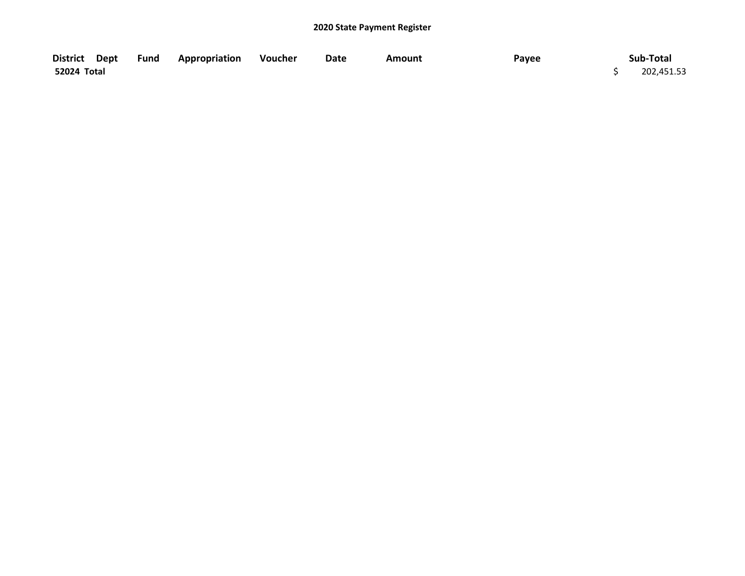| District Dept | <b>Fund Appropriation</b> | Voucher | Date | <b>Amount</b> | Payee | Sub-Total  |
|---------------|---------------------------|---------|------|---------------|-------|------------|
| 52024 Total   |                           |         |      |               |       | 202,451.53 |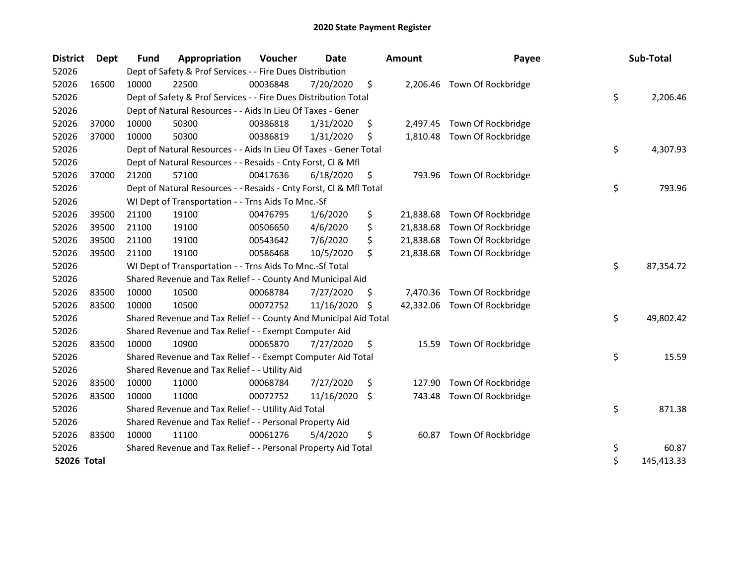| <b>District</b> | Dept  | <b>Fund</b> | Appropriation                                                      | Voucher  | <b>Date</b> |    | <b>Amount</b> | Payee                        | Sub-Total        |
|-----------------|-------|-------------|--------------------------------------------------------------------|----------|-------------|----|---------------|------------------------------|------------------|
| 52026           |       |             | Dept of Safety & Prof Services - - Fire Dues Distribution          |          |             |    |               |                              |                  |
| 52026           | 16500 | 10000       | 22500                                                              | 00036848 | 7/20/2020   | \$ |               | 2,206.46 Town Of Rockbridge  |                  |
| 52026           |       |             | Dept of Safety & Prof Services - - Fire Dues Distribution Total    |          |             |    |               |                              | \$<br>2,206.46   |
| 52026           |       |             | Dept of Natural Resources - - Aids In Lieu Of Taxes - Gener        |          |             |    |               |                              |                  |
| 52026           | 37000 | 10000       | 50300                                                              | 00386818 | 1/31/2020   | \$ | 2,497.45      | Town Of Rockbridge           |                  |
| 52026           | 37000 | 10000       | 50300                                                              | 00386819 | 1/31/2020   | \$ |               | 1,810.48 Town Of Rockbridge  |                  |
| 52026           |       |             | Dept of Natural Resources - - Aids In Lieu Of Taxes - Gener Total  |          |             |    |               |                              | \$<br>4,307.93   |
| 52026           |       |             | Dept of Natural Resources - - Resaids - Cnty Forst, Cl & Mfl       |          |             |    |               |                              |                  |
| 52026           | 37000 | 21200       | 57100                                                              | 00417636 | 6/18/2020   | \$ |               | 793.96 Town Of Rockbridge    |                  |
| 52026           |       |             | Dept of Natural Resources - - Resaids - Cnty Forst, Cl & Mfl Total |          |             |    |               |                              | \$<br>793.96     |
| 52026           |       |             | WI Dept of Transportation - - Trns Aids To Mnc.-Sf                 |          |             |    |               |                              |                  |
| 52026           | 39500 | 21100       | 19100                                                              | 00476795 | 1/6/2020    | \$ | 21,838.68     | Town Of Rockbridge           |                  |
| 52026           | 39500 | 21100       | 19100                                                              | 00506650 | 4/6/2020    | \$ | 21,838.68     | Town Of Rockbridge           |                  |
| 52026           | 39500 | 21100       | 19100                                                              | 00543642 | 7/6/2020    | \$ |               | 21,838.68 Town Of Rockbridge |                  |
| 52026           | 39500 | 21100       | 19100                                                              | 00586468 | 10/5/2020   | \$ | 21,838.68     | Town Of Rockbridge           |                  |
| 52026           |       |             | WI Dept of Transportation - - Trns Aids To Mnc.-Sf Total           |          |             |    |               |                              | \$<br>87,354.72  |
| 52026           |       |             | Shared Revenue and Tax Relief - - County And Municipal Aid         |          |             |    |               |                              |                  |
| 52026           | 83500 | 10000       | 10500                                                              | 00068784 | 7/27/2020   | S. | 7,470.36      | Town Of Rockbridge           |                  |
| 52026           | 83500 | 10000       | 10500                                                              | 00072752 | 11/16/2020  | -S |               | 42,332.06 Town Of Rockbridge |                  |
| 52026           |       |             | Shared Revenue and Tax Relief - - County And Municipal Aid Total   |          |             |    |               |                              | \$<br>49,802.42  |
| 52026           |       |             | Shared Revenue and Tax Relief - - Exempt Computer Aid              |          |             |    |               |                              |                  |
| 52026           | 83500 | 10000       | 10900                                                              | 00065870 | 7/27/2020   | \$ | 15.59         | Town Of Rockbridge           |                  |
| 52026           |       |             | Shared Revenue and Tax Relief - - Exempt Computer Aid Total        |          |             |    |               |                              | \$<br>15.59      |
| 52026           |       |             | Shared Revenue and Tax Relief - - Utility Aid                      |          |             |    |               |                              |                  |
| 52026           | 83500 | 10000       | 11000                                                              | 00068784 | 7/27/2020   | \$ | 127.90        | Town Of Rockbridge           |                  |
| 52026           | 83500 | 10000       | 11000                                                              | 00072752 | 11/16/2020  | \$ | 743.48        | Town Of Rockbridge           |                  |
| 52026           |       |             | Shared Revenue and Tax Relief - - Utility Aid Total                |          |             |    |               |                              | \$<br>871.38     |
| 52026           |       |             | Shared Revenue and Tax Relief - - Personal Property Aid            |          |             |    |               |                              |                  |
| 52026           | 83500 | 10000       | 11100                                                              | 00061276 | 5/4/2020    | \$ | 60.87         | Town Of Rockbridge           |                  |
| 52026           |       |             | Shared Revenue and Tax Relief - - Personal Property Aid Total      |          |             |    |               |                              | \$<br>60.87      |
| 52026 Total     |       |             |                                                                    |          |             |    |               |                              | \$<br>145,413.33 |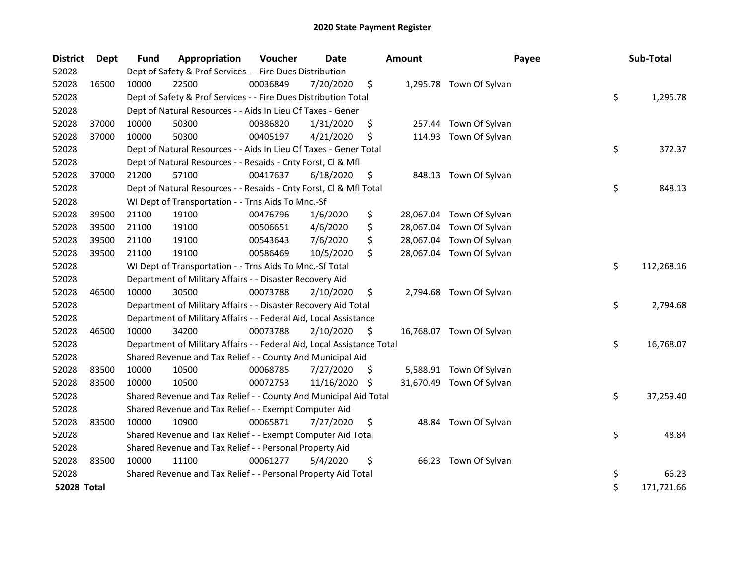| <b>District</b> | Dept  | <b>Fund</b> | Appropriation                                                          | Voucher  | <b>Date</b> |    | <b>Amount</b> | Payee                    | Sub-Total        |
|-----------------|-------|-------------|------------------------------------------------------------------------|----------|-------------|----|---------------|--------------------------|------------------|
| 52028           |       |             | Dept of Safety & Prof Services - - Fire Dues Distribution              |          |             |    |               |                          |                  |
| 52028           | 16500 | 10000       | 22500                                                                  | 00036849 | 7/20/2020   | \$ |               | 1,295.78 Town Of Sylvan  |                  |
| 52028           |       |             | Dept of Safety & Prof Services - - Fire Dues Distribution Total        |          |             |    |               |                          | \$<br>1,295.78   |
| 52028           |       |             | Dept of Natural Resources - - Aids In Lieu Of Taxes - Gener            |          |             |    |               |                          |                  |
| 52028           | 37000 | 10000       | 50300                                                                  | 00386820 | 1/31/2020   | \$ | 257.44        | Town Of Sylvan           |                  |
| 52028           | 37000 | 10000       | 50300                                                                  | 00405197 | 4/21/2020   | \$ | 114.93        | Town Of Sylvan           |                  |
| 52028           |       |             | Dept of Natural Resources - - Aids In Lieu Of Taxes - Gener Total      |          |             |    |               |                          | \$<br>372.37     |
| 52028           |       |             | Dept of Natural Resources - - Resaids - Cnty Forst, Cl & Mfl           |          |             |    |               |                          |                  |
| 52028           | 37000 | 21200       | 57100                                                                  | 00417637 | 6/18/2020   | \$ | 848.13        | Town Of Sylvan           |                  |
| 52028           |       |             | Dept of Natural Resources - - Resaids - Cnty Forst, Cl & Mfl Total     |          |             |    |               |                          | \$<br>848.13     |
| 52028           |       |             | WI Dept of Transportation - - Trns Aids To Mnc.-Sf                     |          |             |    |               |                          |                  |
| 52028           | 39500 | 21100       | 19100                                                                  | 00476796 | 1/6/2020    | \$ |               | 28,067.04 Town Of Sylvan |                  |
| 52028           | 39500 | 21100       | 19100                                                                  | 00506651 | 4/6/2020    | \$ |               | 28,067.04 Town Of Sylvan |                  |
| 52028           | 39500 | 21100       | 19100                                                                  | 00543643 | 7/6/2020    | \$ | 28,067.04     | Town Of Sylvan           |                  |
| 52028           | 39500 | 21100       | 19100                                                                  | 00586469 | 10/5/2020   | \$ | 28,067.04     | Town Of Sylvan           |                  |
| 52028           |       |             | WI Dept of Transportation - - Trns Aids To Mnc.-Sf Total               |          |             |    |               |                          | \$<br>112,268.16 |
| 52028           |       |             | Department of Military Affairs - - Disaster Recovery Aid               |          |             |    |               |                          |                  |
| 52028           | 46500 | 10000       | 30500                                                                  | 00073788 | 2/10/2020   | \$ |               | 2,794.68 Town Of Sylvan  |                  |
| 52028           |       |             | Department of Military Affairs - - Disaster Recovery Aid Total         |          |             |    |               |                          | \$<br>2,794.68   |
| 52028           |       |             | Department of Military Affairs - - Federal Aid, Local Assistance       |          |             |    |               |                          |                  |
| 52028           | 46500 | 10000       | 34200                                                                  | 00073788 | 2/10/2020   | S. |               | 16,768.07 Town Of Sylvan |                  |
| 52028           |       |             | Department of Military Affairs - - Federal Aid, Local Assistance Total |          |             |    |               |                          | \$<br>16,768.07  |
| 52028           |       |             | Shared Revenue and Tax Relief - - County And Municipal Aid             |          |             |    |               |                          |                  |
| 52028           | 83500 | 10000       | 10500                                                                  | 00068785 | 7/27/2020   | S. |               | 5,588.91 Town Of Sylvan  |                  |
| 52028           | 83500 | 10000       | 10500                                                                  | 00072753 | 11/16/2020  | \$ | 31,670.49     | Town Of Sylvan           |                  |
| 52028           |       |             | Shared Revenue and Tax Relief - - County And Municipal Aid Total       |          |             |    |               |                          | \$<br>37,259.40  |
| 52028           |       |             | Shared Revenue and Tax Relief - - Exempt Computer Aid                  |          |             |    |               |                          |                  |
| 52028           | 83500 | 10000       | 10900                                                                  | 00065871 | 7/27/2020   | \$ |               | 48.84 Town Of Sylvan     |                  |
| 52028           |       |             | Shared Revenue and Tax Relief - - Exempt Computer Aid Total            |          |             |    |               |                          | \$<br>48.84      |
| 52028           |       |             | Shared Revenue and Tax Relief - - Personal Property Aid                |          |             |    |               |                          |                  |
| 52028           | 83500 | 10000       | 11100                                                                  | 00061277 | 5/4/2020    | \$ | 66.23         | Town Of Sylvan           |                  |
| 52028           |       |             | Shared Revenue and Tax Relief - - Personal Property Aid Total          |          |             |    |               |                          | \$<br>66.23      |
| 52028 Total     |       |             |                                                                        |          |             |    |               |                          | \$<br>171,721.66 |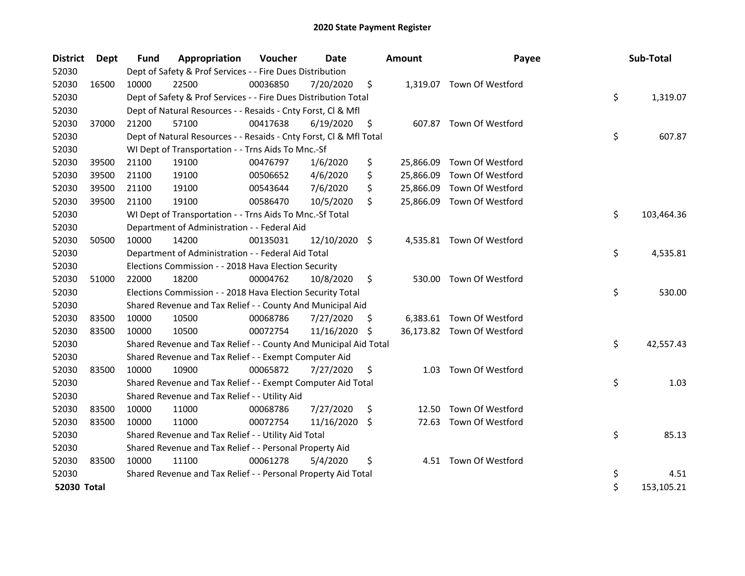| <b>District</b> | <b>Dept</b> | <b>Fund</b> | Appropriation                                                      | Voucher  | <b>Date</b>   |     | <b>Amount</b> | Payee                      | Sub-Total        |
|-----------------|-------------|-------------|--------------------------------------------------------------------|----------|---------------|-----|---------------|----------------------------|------------------|
| 52030           |             |             | Dept of Safety & Prof Services - - Fire Dues Distribution          |          |               |     |               |                            |                  |
| 52030           | 16500       | 10000       | 22500                                                              | 00036850 | 7/20/2020     | \$  |               | 1,319.07 Town Of Westford  |                  |
| 52030           |             |             | Dept of Safety & Prof Services - - Fire Dues Distribution Total    |          |               |     |               |                            | \$<br>1,319.07   |
| 52030           |             |             | Dept of Natural Resources - - Resaids - Cnty Forst, Cl & Mfl       |          |               |     |               |                            |                  |
| 52030           | 37000       | 21200       | 57100                                                              | 00417638 | 6/19/2020     | \$  |               | 607.87 Town Of Westford    |                  |
| 52030           |             |             | Dept of Natural Resources - - Resaids - Cnty Forst, Cl & Mfl Total |          |               |     |               |                            | \$<br>607.87     |
| 52030           |             |             | WI Dept of Transportation - - Trns Aids To Mnc.-Sf                 |          |               |     |               |                            |                  |
| 52030           | 39500       | 21100       | 19100                                                              | 00476797 | 1/6/2020      | \$  | 25,866.09     | Town Of Westford           |                  |
| 52030           | 39500       | 21100       | 19100                                                              | 00506652 | 4/6/2020      | \$  |               | 25,866.09 Town Of Westford |                  |
| 52030           | 39500       | 21100       | 19100                                                              | 00543644 | 7/6/2020      | \$  | 25,866.09     | Town Of Westford           |                  |
| 52030           | 39500       | 21100       | 19100                                                              | 00586470 | 10/5/2020     | \$  |               | 25,866.09 Town Of Westford |                  |
| 52030           |             |             | WI Dept of Transportation - - Trns Aids To Mnc.-Sf Total           |          |               |     |               |                            | \$<br>103,464.36 |
| 52030           |             |             | Department of Administration - - Federal Aid                       |          |               |     |               |                            |                  |
| 52030           | 50500       | 10000       | 14200                                                              | 00135031 | 12/10/2020 \$ |     |               | 4,535.81 Town Of Westford  |                  |
| 52030           |             |             | Department of Administration - - Federal Aid Total                 |          |               |     |               |                            | \$<br>4,535.81   |
| 52030           |             |             | Elections Commission - - 2018 Hava Election Security               |          |               |     |               |                            |                  |
| 52030           | 51000       | 22000       | 18200                                                              | 00004762 | 10/8/2020     | \$  | 530.00        | Town Of Westford           |                  |
| 52030           |             |             | Elections Commission - - 2018 Hava Election Security Total         |          |               |     |               |                            | \$<br>530.00     |
| 52030           |             |             | Shared Revenue and Tax Relief - - County And Municipal Aid         |          |               |     |               |                            |                  |
| 52030           | 83500       | 10000       | 10500                                                              | 00068786 | 7/27/2020     | \$. |               | 6,383.61 Town Of Westford  |                  |
| 52030           | 83500       | 10000       | 10500                                                              | 00072754 | 11/16/2020    | S   |               | 36,173.82 Town Of Westford |                  |
| 52030           |             |             | Shared Revenue and Tax Relief - - County And Municipal Aid Total   |          |               |     |               |                            | \$<br>42,557.43  |
| 52030           |             |             | Shared Revenue and Tax Relief - - Exempt Computer Aid              |          |               |     |               |                            |                  |
| 52030           | 83500       | 10000       | 10900                                                              | 00065872 | 7/27/2020     | \$  |               | 1.03 Town Of Westford      |                  |
| 52030           |             |             | Shared Revenue and Tax Relief - - Exempt Computer Aid Total        |          |               |     |               |                            | \$<br>1.03       |
| 52030           |             |             | Shared Revenue and Tax Relief - - Utility Aid                      |          |               |     |               |                            |                  |
| 52030           | 83500       | 10000       | 11000                                                              | 00068786 | 7/27/2020     | \$  | 12.50         | Town Of Westford           |                  |
| 52030           | 83500       | 10000       | 11000                                                              | 00072754 | 11/16/2020 \$ |     | 72.63         | Town Of Westford           |                  |
| 52030           |             |             | Shared Revenue and Tax Relief - - Utility Aid Total                |          |               |     |               |                            | \$<br>85.13      |
| 52030           |             |             | Shared Revenue and Tax Relief - - Personal Property Aid            |          |               |     |               |                            |                  |
| 52030           | 83500       | 10000       | 11100                                                              | 00061278 | 5/4/2020      | \$  |               | 4.51 Town Of Westford      |                  |
| 52030           |             |             | Shared Revenue and Tax Relief - - Personal Property Aid Total      |          |               |     |               |                            | \$<br>4.51       |
| 52030 Total     |             |             |                                                                    |          |               |     |               |                            | \$<br>153,105.21 |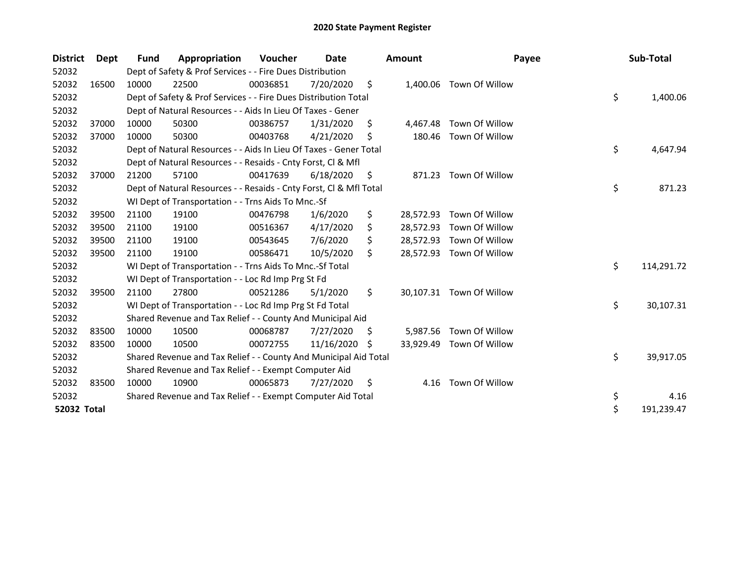| <b>District</b> | <b>Dept</b> | <b>Fund</b> | Appropriation                                                      | Voucher  | Date       |     | <b>Amount</b> | Payee                    | Sub-Total        |
|-----------------|-------------|-------------|--------------------------------------------------------------------|----------|------------|-----|---------------|--------------------------|------------------|
| 52032           |             |             | Dept of Safety & Prof Services - - Fire Dues Distribution          |          |            |     |               |                          |                  |
| 52032           | 16500       | 10000       | 22500                                                              | 00036851 | 7/20/2020  | \$  |               | 1,400.06 Town Of Willow  |                  |
| 52032           |             |             | Dept of Safety & Prof Services - - Fire Dues Distribution Total    |          |            |     |               |                          | \$<br>1,400.06   |
| 52032           |             |             | Dept of Natural Resources - - Aids In Lieu Of Taxes - Gener        |          |            |     |               |                          |                  |
| 52032           | 37000       | 10000       | 50300                                                              | 00386757 | 1/31/2020  | \$  | 4,467.48      | Town Of Willow           |                  |
| 52032           | 37000       | 10000       | 50300                                                              | 00403768 | 4/21/2020  | Ś   | 180.46        | Town Of Willow           |                  |
| 52032           |             |             | Dept of Natural Resources - - Aids In Lieu Of Taxes - Gener Total  |          |            |     |               |                          | \$<br>4,647.94   |
| 52032           |             |             | Dept of Natural Resources - - Resaids - Cnty Forst, CI & Mfl       |          |            |     |               |                          |                  |
| 52032           | 37000       | 21200       | 57100                                                              | 00417639 | 6/18/2020  | S   | 871.23        | Town Of Willow           |                  |
| 52032           |             |             | Dept of Natural Resources - - Resaids - Cnty Forst, CI & Mfl Total |          |            |     |               |                          | \$<br>871.23     |
| 52032           |             |             | WI Dept of Transportation - - Trns Aids To Mnc.-Sf                 |          |            |     |               |                          |                  |
| 52032           | 39500       | 21100       | 19100                                                              | 00476798 | 1/6/2020   | \$  | 28,572.93     | Town Of Willow           |                  |
| 52032           | 39500       | 21100       | 19100                                                              | 00516367 | 4/17/2020  | \$  | 28,572.93     | Town Of Willow           |                  |
| 52032           | 39500       | 21100       | 19100                                                              | 00543645 | 7/6/2020   |     |               | 28,572.93 Town Of Willow |                  |
| 52032           | 39500       | 21100       | 19100                                                              | 00586471 | 10/5/2020  | \$  |               | 28,572.93 Town Of Willow |                  |
| 52032           |             |             | WI Dept of Transportation - - Trns Aids To Mnc.-Sf Total           |          |            |     |               |                          | \$<br>114,291.72 |
| 52032           |             |             | WI Dept of Transportation - - Loc Rd Imp Prg St Fd                 |          |            |     |               |                          |                  |
| 52032           | 39500       | 21100       | 27800                                                              | 00521286 | 5/1/2020   | \$  |               | 30,107.31 Town Of Willow |                  |
| 52032           |             |             | WI Dept of Transportation - - Loc Rd Imp Prg St Fd Total           |          |            |     |               |                          | \$<br>30,107.31  |
| 52032           |             |             | Shared Revenue and Tax Relief - - County And Municipal Aid         |          |            |     |               |                          |                  |
| 52032           | 83500       | 10000       | 10500                                                              | 00068787 | 7/27/2020  | \$. | 5,987.56      | Town Of Willow           |                  |
| 52032           | 83500       | 10000       | 10500                                                              | 00072755 | 11/16/2020 | -S  |               | 33,929.49 Town Of Willow |                  |
| 52032           |             |             | Shared Revenue and Tax Relief - - County And Municipal Aid Total   |          |            |     |               |                          | \$<br>39,917.05  |
| 52032           |             |             | Shared Revenue and Tax Relief - - Exempt Computer Aid              |          |            |     |               |                          |                  |
| 52032           | 83500       | 10000       | 10900                                                              | 00065873 | 7/27/2020  | \$  | 4.16          | Town Of Willow           |                  |
| 52032           |             |             | Shared Revenue and Tax Relief - - Exempt Computer Aid Total        |          |            |     |               |                          | \$<br>4.16       |
| 52032 Total     |             |             |                                                                    |          |            |     |               |                          | \$<br>191,239.47 |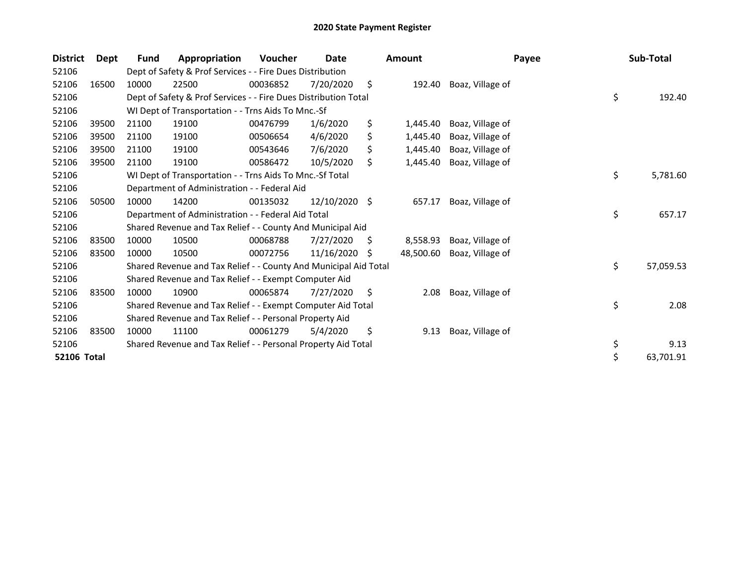| <b>District</b> | <b>Dept</b> | Fund  | Appropriation                                                    | Voucher  | Date          |     | <b>Amount</b> | Payee            | Sub-Total       |
|-----------------|-------------|-------|------------------------------------------------------------------|----------|---------------|-----|---------------|------------------|-----------------|
| 52106           |             |       | Dept of Safety & Prof Services - - Fire Dues Distribution        |          |               |     |               |                  |                 |
| 52106           | 16500       | 10000 | 22500                                                            | 00036852 | 7/20/2020     | \$  | 192.40        | Boaz, Village of |                 |
| 52106           |             |       | Dept of Safety & Prof Services - - Fire Dues Distribution Total  |          |               |     |               |                  | \$<br>192.40    |
| 52106           |             |       | WI Dept of Transportation - - Trns Aids To Mnc.-Sf               |          |               |     |               |                  |                 |
| 52106           | 39500       | 21100 | 19100                                                            | 00476799 | 1/6/2020      | \$  | 1,445.40      | Boaz, Village of |                 |
| 52106           | 39500       | 21100 | 19100                                                            | 00506654 | 4/6/2020      | \$  | 1,445.40      | Boaz, Village of |                 |
| 52106           | 39500       | 21100 | 19100                                                            | 00543646 | 7/6/2020      |     | 1,445.40      | Boaz, Village of |                 |
| 52106           | 39500       | 21100 | 19100                                                            | 00586472 | 10/5/2020     | \$  | 1,445.40      | Boaz, Village of |                 |
| 52106           |             |       | WI Dept of Transportation - - Trns Aids To Mnc.-Sf Total         |          |               |     |               |                  | \$<br>5,781.60  |
| 52106           |             |       | Department of Administration - - Federal Aid                     |          |               |     |               |                  |                 |
| 52106           | 50500       | 10000 | 14200                                                            | 00135032 | 12/10/2020 \$ |     | 657.17        | Boaz, Village of |                 |
| 52106           |             |       | Department of Administration - - Federal Aid Total               |          |               |     |               |                  | \$<br>657.17    |
| 52106           |             |       | Shared Revenue and Tax Relief - - County And Municipal Aid       |          |               |     |               |                  |                 |
| 52106           | 83500       | 10000 | 10500                                                            | 00068788 | 7/27/2020     | S.  | 8,558.93      | Boaz, Village of |                 |
| 52106           | 83500       | 10000 | 10500                                                            | 00072756 | 11/16/2020    | S   | 48,500.60     | Boaz, Village of |                 |
| 52106           |             |       | Shared Revenue and Tax Relief - - County And Municipal Aid Total |          |               |     |               |                  | \$<br>57,059.53 |
| 52106           |             |       | Shared Revenue and Tax Relief - - Exempt Computer Aid            |          |               |     |               |                  |                 |
| 52106           | 83500       | 10000 | 10900                                                            | 00065874 | 7/27/2020     | \$, | 2.08          | Boaz, Village of |                 |
| 52106           |             |       | Shared Revenue and Tax Relief - - Exempt Computer Aid Total      |          |               |     |               |                  | \$<br>2.08      |
| 52106           |             |       | Shared Revenue and Tax Relief - - Personal Property Aid          |          |               |     |               |                  |                 |
| 52106           | 83500       | 10000 | 11100                                                            | 00061279 | 5/4/2020      | \$  | 9.13          | Boaz, Village of |                 |
| 52106           |             |       | Shared Revenue and Tax Relief - - Personal Property Aid Total    |          |               |     |               |                  | \$<br>9.13      |
| 52106 Total     |             |       |                                                                  |          |               |     |               |                  | \$<br>63,701.91 |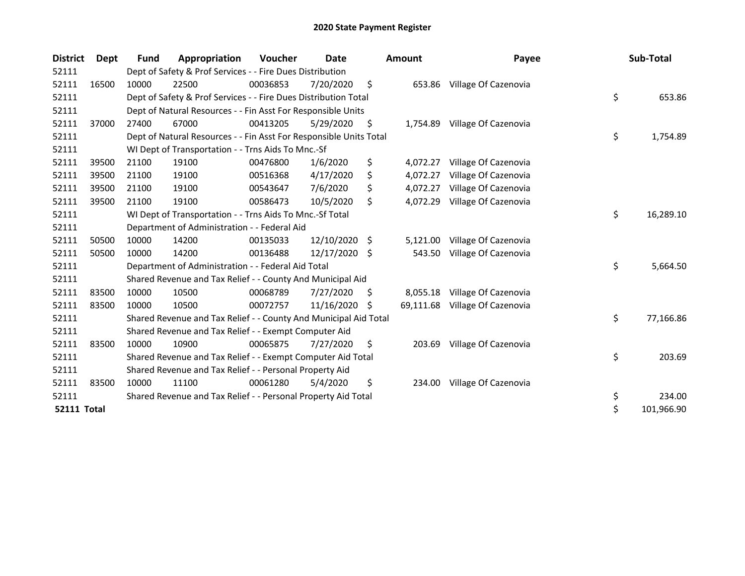| <b>District</b>    | <b>Dept</b> | <b>Fund</b> | Appropriation                                                      | Voucher  | Date       |     | <b>Amount</b> | Payee                          | Sub-Total        |
|--------------------|-------------|-------------|--------------------------------------------------------------------|----------|------------|-----|---------------|--------------------------------|------------------|
| 52111              |             |             | Dept of Safety & Prof Services - - Fire Dues Distribution          |          |            |     |               |                                |                  |
| 52111              | 16500       | 10000       | 22500                                                              | 00036853 | 7/20/2020  | \$  |               | 653.86 Village Of Cazenovia    |                  |
| 52111              |             |             | Dept of Safety & Prof Services - - Fire Dues Distribution Total    |          |            |     |               |                                | \$<br>653.86     |
| 52111              |             |             | Dept of Natural Resources - - Fin Asst For Responsible Units       |          |            |     |               |                                |                  |
| 52111              | 37000       | 27400       | 67000                                                              | 00413205 | 5/29/2020  | \$  | 1,754.89      | Village Of Cazenovia           |                  |
| 52111              |             |             | Dept of Natural Resources - - Fin Asst For Responsible Units Total |          |            |     |               |                                | \$<br>1,754.89   |
| 52111              |             |             | WI Dept of Transportation - - Trns Aids To Mnc.-Sf                 |          |            |     |               |                                |                  |
| 52111              | 39500       | 21100       | 19100                                                              | 00476800 | 1/6/2020   | \$  | 4,072.27      | Village Of Cazenovia           |                  |
| 52111              | 39500       | 21100       | 19100                                                              | 00516368 | 4/17/2020  | \$  | 4,072.27      | Village Of Cazenovia           |                  |
| 52111              | 39500       | 21100       | 19100                                                              | 00543647 | 7/6/2020   | \$  | 4,072.27      | Village Of Cazenovia           |                  |
| 52111              | 39500       | 21100       | 19100                                                              | 00586473 | 10/5/2020  | \$  | 4,072.29      | Village Of Cazenovia           |                  |
| 52111              |             |             | WI Dept of Transportation - - Trns Aids To Mnc.-Sf Total           |          |            |     |               |                                | \$<br>16,289.10  |
| 52111              |             |             | Department of Administration - - Federal Aid                       |          |            |     |               |                                |                  |
| 52111              | 50500       | 10000       | 14200                                                              | 00135033 | 12/10/2020 | -\$ | 5,121.00      | Village Of Cazenovia           |                  |
| 52111              | 50500       | 10000       | 14200                                                              | 00136488 | 12/17/2020 | Ŝ.  | 543.50        | Village Of Cazenovia           |                  |
| 52111              |             |             | Department of Administration - - Federal Aid Total                 |          |            |     |               |                                | \$<br>5,664.50   |
| 52111              |             |             | Shared Revenue and Tax Relief - - County And Municipal Aid         |          |            |     |               |                                |                  |
| 52111              | 83500       | 10000       | 10500                                                              | 00068789 | 7/27/2020  | S   | 8,055.18      | Village Of Cazenovia           |                  |
| 52111              | 83500       | 10000       | 10500                                                              | 00072757 | 11/16/2020 | S   |               | 69,111.68 Village Of Cazenovia |                  |
| 52111              |             |             | Shared Revenue and Tax Relief - - County And Municipal Aid Total   |          |            |     |               |                                | \$<br>77,166.86  |
| 52111              |             |             | Shared Revenue and Tax Relief - - Exempt Computer Aid              |          |            |     |               |                                |                  |
| 52111              | 83500       | 10000       | 10900                                                              | 00065875 | 7/27/2020  | \$  | 203.69        | Village Of Cazenovia           |                  |
| 52111              |             |             | Shared Revenue and Tax Relief - - Exempt Computer Aid Total        |          |            |     |               |                                | \$<br>203.69     |
| 52111              |             |             | Shared Revenue and Tax Relief - - Personal Property Aid            |          |            |     |               |                                |                  |
| 52111              | 83500       | 10000       | 11100                                                              | 00061280 | 5/4/2020   | \$  | 234.00        | Village Of Cazenovia           |                  |
| 52111              |             |             | Shared Revenue and Tax Relief - - Personal Property Aid Total      |          |            |     |               |                                | \$<br>234.00     |
| <b>52111 Total</b> |             |             |                                                                    |          |            |     |               |                                | \$<br>101,966.90 |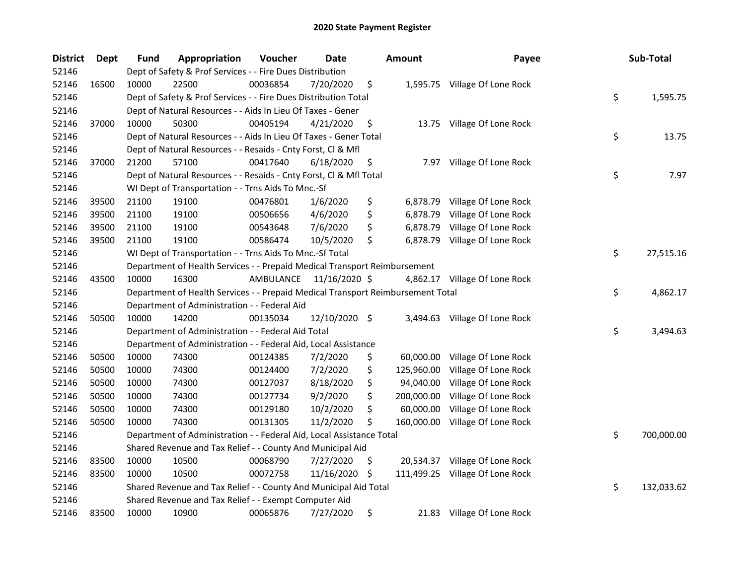| <b>District</b> | <b>Dept</b> | Fund                                                  | Appropriation                                                                   | Voucher   | Date          |    | <b>Amount</b> | Payee                           |    | Sub-Total  |
|-----------------|-------------|-------------------------------------------------------|---------------------------------------------------------------------------------|-----------|---------------|----|---------------|---------------------------------|----|------------|
| 52146           |             |                                                       | Dept of Safety & Prof Services - - Fire Dues Distribution                       |           |               |    |               |                                 |    |            |
| 52146           | 16500       | 10000                                                 | 22500                                                                           | 00036854  | 7/20/2020     | \$ |               | 1,595.75 Village Of Lone Rock   |    |            |
| 52146           |             |                                                       | Dept of Safety & Prof Services - - Fire Dues Distribution Total                 |           |               |    |               |                                 | \$ | 1,595.75   |
| 52146           |             |                                                       | Dept of Natural Resources - - Aids In Lieu Of Taxes - Gener                     |           |               |    |               |                                 |    |            |
| 52146           | 37000       | 10000                                                 | 50300                                                                           | 00405194  | 4/21/2020     | \$ |               | 13.75 Village Of Lone Rock      |    |            |
| 52146           |             |                                                       | Dept of Natural Resources - - Aids In Lieu Of Taxes - Gener Total               |           |               |    |               |                                 | \$ | 13.75      |
| 52146           |             |                                                       | Dept of Natural Resources - - Resaids - Cnty Forst, Cl & Mfl                    |           |               |    |               |                                 |    |            |
| 52146           | 37000       | 21200                                                 | 57100                                                                           | 00417640  | 6/18/2020     | \$ |               | 7.97 Village Of Lone Rock       |    |            |
| 52146           |             |                                                       | Dept of Natural Resources - - Resaids - Cnty Forst, Cl & Mfl Total              |           |               |    |               |                                 | \$ | 7.97       |
| 52146           |             |                                                       | WI Dept of Transportation - - Trns Aids To Mnc.-Sf                              |           |               |    |               |                                 |    |            |
| 52146           | 39500       | 21100                                                 | 19100                                                                           | 00476801  | 1/6/2020      | \$ | 6,878.79      | Village Of Lone Rock            |    |            |
| 52146           | 39500       | 21100                                                 | 19100                                                                           | 00506656  | 4/6/2020      | \$ | 6,878.79      | Village Of Lone Rock            |    |            |
| 52146           | 39500       | 21100                                                 | 19100                                                                           | 00543648  | 7/6/2020      | \$ | 6,878.79      | Village Of Lone Rock            |    |            |
| 52146           | 39500       | 21100                                                 | 19100                                                                           | 00586474  | 10/5/2020     | \$ | 6,878.79      | Village Of Lone Rock            |    |            |
| 52146           |             |                                                       | WI Dept of Transportation - - Trns Aids To Mnc.-Sf Total                        | \$        | 27,515.16     |    |               |                                 |    |            |
| 52146           |             |                                                       | Department of Health Services - - Prepaid Medical Transport Reimbursement       |           |               |    |               |                                 |    |            |
| 52146           | 43500       | 10000                                                 | 16300                                                                           | AMBULANCE | 11/16/2020 \$ |    |               | 4,862.17 Village Of Lone Rock   |    |            |
| 52146           |             |                                                       | Department of Health Services - - Prepaid Medical Transport Reimbursement Total |           |               |    |               |                                 | \$ | 4,862.17   |
| 52146           |             | Department of Administration - - Federal Aid          |                                                                                 |           |               |    |               |                                 |    |            |
| 52146           | 50500       | 10000                                                 | 14200                                                                           | 00135034  | 12/10/2020 \$ |    | 3,494.63      | Village Of Lone Rock            |    |            |
| 52146           |             |                                                       | Department of Administration - - Federal Aid Total                              |           |               |    |               |                                 | \$ | 3,494.63   |
| 52146           |             |                                                       | Department of Administration - - Federal Aid, Local Assistance                  |           |               |    |               |                                 |    |            |
| 52146           | 50500       | 10000                                                 | 74300                                                                           | 00124385  | 7/2/2020      | \$ | 60,000.00     | Village Of Lone Rock            |    |            |
| 52146           | 50500       | 10000                                                 | 74300                                                                           | 00124400  | 7/2/2020      | \$ | 125,960.00    | Village Of Lone Rock            |    |            |
| 52146           | 50500       | 10000                                                 | 74300                                                                           | 00127037  | 8/18/2020     | \$ | 94,040.00     | Village Of Lone Rock            |    |            |
| 52146           | 50500       | 10000                                                 | 74300                                                                           | 00127734  | 9/2/2020      | \$ | 200,000.00    | Village Of Lone Rock            |    |            |
| 52146           | 50500       | 10000                                                 | 74300                                                                           | 00129180  | 10/2/2020     | \$ | 60,000.00     | Village Of Lone Rock            |    |            |
| 52146           | 50500       | 10000                                                 | 74300                                                                           | 00131305  | 11/2/2020     | \$ | 160,000.00    | Village Of Lone Rock            |    |            |
| 52146           |             |                                                       | Department of Administration - - Federal Aid, Local Assistance Total            |           |               |    |               |                                 | \$ | 700,000.00 |
| 52146           |             |                                                       | Shared Revenue and Tax Relief - - County And Municipal Aid                      |           |               |    |               |                                 |    |            |
| 52146           | 83500       | 10000                                                 | 10500                                                                           | 00068790  | 7/27/2020     | \$ | 20,534.37     | Village Of Lone Rock            |    |            |
| 52146           | 83500       | 10000                                                 | 10500                                                                           | 00072758  | 11/16/2020    | \$ |               | 111,499.25 Village Of Lone Rock |    |            |
| 52146           |             |                                                       | Shared Revenue and Tax Relief - - County And Municipal Aid Total                |           |               |    |               |                                 | \$ | 132,033.62 |
| 52146           |             | Shared Revenue and Tax Relief - - Exempt Computer Aid |                                                                                 |           |               |    |               |                                 |    |            |
| 52146           | 83500       | 10000                                                 | 10900                                                                           | 00065876  | 7/27/2020     | \$ |               | 21.83 Village Of Lone Rock      |    |            |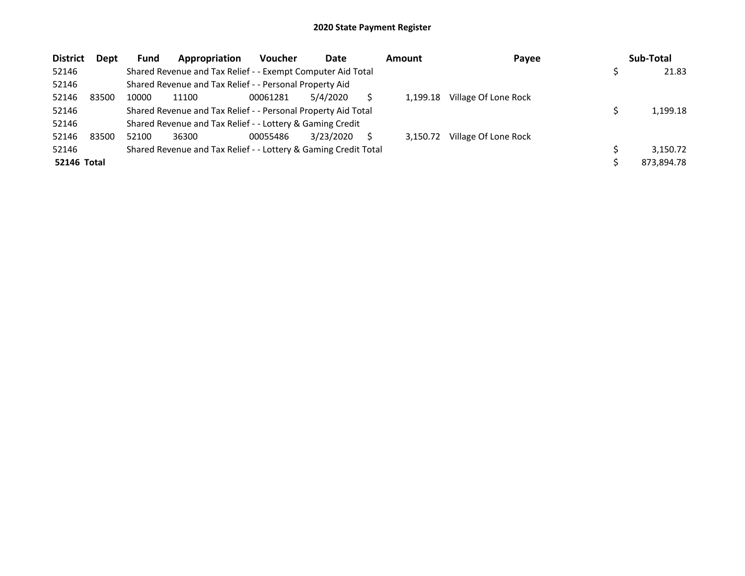| <b>District</b>    | Dept  | <b>Fund</b> | Appropriation                                                   | <b>Voucher</b> | Date      |  | Amount   | Payee                |  | Sub-Total  |  |
|--------------------|-------|-------------|-----------------------------------------------------------------|----------------|-----------|--|----------|----------------------|--|------------|--|
| 52146              |       |             | Shared Revenue and Tax Relief - - Exempt Computer Aid Total     |                |           |  |          |                      |  | 21.83      |  |
| 52146              |       |             | Shared Revenue and Tax Relief - - Personal Property Aid         |                |           |  |          |                      |  |            |  |
| 52146              | 83500 | 10000       | 11100                                                           | 00061281       | 5/4/2020  |  | 1.199.18 | Village Of Lone Rock |  |            |  |
| 52146              |       |             | Shared Revenue and Tax Relief - - Personal Property Aid Total   |                |           |  |          |                      |  |            |  |
| 52146              |       |             | Shared Revenue and Tax Relief - - Lottery & Gaming Credit       |                |           |  |          |                      |  |            |  |
| 52146              | 83500 | 52100       | 36300                                                           | 00055486       | 3/23/2020 |  | 3.150.72 | Village Of Lone Rock |  |            |  |
| 52146              |       |             | Shared Revenue and Tax Relief - - Lottery & Gaming Credit Total |                |           |  |          |                      |  | 3.150.72   |  |
| <b>52146 Total</b> |       |             |                                                                 |                |           |  |          |                      |  | 873,894.78 |  |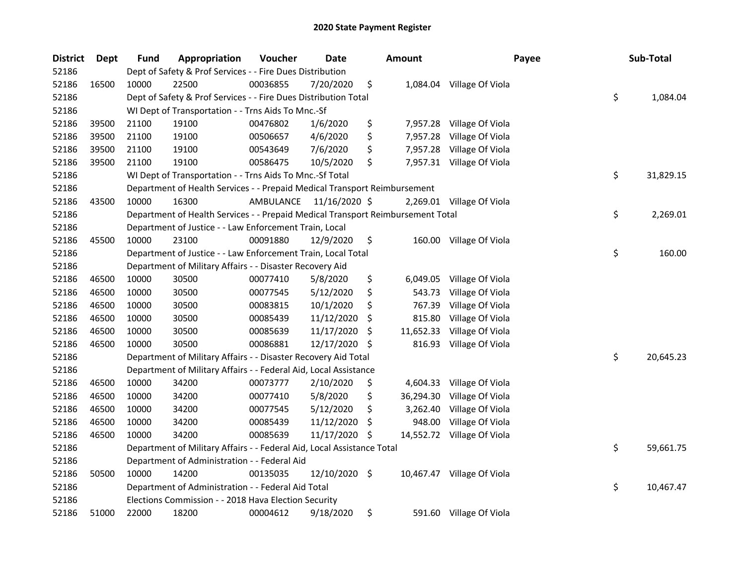| <b>District</b> | Dept  | <b>Fund</b>                                                               | Appropriation                                                                   | Voucher   | Date          |     | <b>Amount</b> | Payee                      |    | Sub-Total |
|-----------------|-------|---------------------------------------------------------------------------|---------------------------------------------------------------------------------|-----------|---------------|-----|---------------|----------------------------|----|-----------|
| 52186           |       |                                                                           | Dept of Safety & Prof Services - - Fire Dues Distribution                       |           |               |     |               |                            |    |           |
| 52186           | 16500 | 10000                                                                     | 22500                                                                           | 00036855  | 7/20/2020     | \$  | 1,084.04      | Village Of Viola           |    |           |
| 52186           |       |                                                                           | Dept of Safety & Prof Services - - Fire Dues Distribution Total                 |           |               |     |               |                            | \$ | 1,084.04  |
| 52186           |       |                                                                           | WI Dept of Transportation - - Trns Aids To Mnc.-Sf                              |           |               |     |               |                            |    |           |
| 52186           | 39500 | 21100                                                                     | 19100                                                                           | 00476802  | 1/6/2020      | \$  | 7,957.28      | Village Of Viola           |    |           |
| 52186           | 39500 | 21100                                                                     | 19100                                                                           | 00506657  | 4/6/2020      | \$  | 7,957.28      | Village Of Viola           |    |           |
| 52186           | 39500 | 21100                                                                     | 19100                                                                           | 00543649  | 7/6/2020      | \$  | 7,957.28      | Village Of Viola           |    |           |
| 52186           | 39500 | 21100                                                                     | 19100                                                                           | 00586475  | 10/5/2020     | \$  |               | 7,957.31 Village Of Viola  |    |           |
| 52186           |       | WI Dept of Transportation - - Trns Aids To Mnc.-Sf Total                  |                                                                                 |           |               |     |               |                            |    | 31,829.15 |
| 52186           |       | Department of Health Services - - Prepaid Medical Transport Reimbursement |                                                                                 |           |               |     |               |                            |    |           |
| 52186           | 43500 | 10000                                                                     | 16300                                                                           | AMBULANCE | 11/16/2020 \$ |     |               | 2,269.01 Village Of Viola  |    |           |
| 52186           |       |                                                                           | Department of Health Services - - Prepaid Medical Transport Reimbursement Total |           |               |     |               |                            | \$ | 2,269.01  |
| 52186           |       | Department of Justice - - Law Enforcement Train, Local                    |                                                                                 |           |               |     |               |                            |    |           |
| 52186           | 45500 | 10000                                                                     | 23100                                                                           | 00091880  | 12/9/2020     | \$  |               | 160.00 Village Of Viola    |    |           |
| 52186           |       |                                                                           | Department of Justice - - Law Enforcement Train, Local Total                    |           |               |     |               |                            | \$ | 160.00    |
| 52186           |       | Department of Military Affairs - - Disaster Recovery Aid                  |                                                                                 |           |               |     |               |                            |    |           |
| 52186           | 46500 | 10000                                                                     | 30500                                                                           | 00077410  | 5/8/2020      | \$  | 6,049.05      | Village Of Viola           |    |           |
| 52186           | 46500 | 10000                                                                     | 30500                                                                           | 00077545  | 5/12/2020     | \$  | 543.73        | Village Of Viola           |    |           |
| 52186           | 46500 | 10000                                                                     | 30500                                                                           | 00083815  | 10/1/2020     | \$  | 767.39        | Village Of Viola           |    |           |
| 52186           | 46500 | 10000                                                                     | 30500                                                                           | 00085439  | 11/12/2020    | \$  | 815.80        | Village Of Viola           |    |           |
| 52186           | 46500 | 10000                                                                     | 30500                                                                           | 00085639  | 11/17/2020    | \$. | 11,652.33     | Village Of Viola           |    |           |
| 52186           | 46500 | 10000                                                                     | 30500                                                                           | 00086881  | 12/17/2020    | \$  | 816.93        | Village Of Viola           |    |           |
| 52186           |       |                                                                           | Department of Military Affairs - - Disaster Recovery Aid Total                  |           |               |     |               |                            | \$ | 20,645.23 |
| 52186           |       |                                                                           | Department of Military Affairs - - Federal Aid, Local Assistance                |           |               |     |               |                            |    |           |
| 52186           | 46500 | 10000                                                                     | 34200                                                                           | 00073777  | 2/10/2020     | \$  | 4,604.33      | Village Of Viola           |    |           |
| 52186           | 46500 | 10000                                                                     | 34200                                                                           | 00077410  | 5/8/2020      | \$  | 36,294.30     | Village Of Viola           |    |           |
| 52186           | 46500 | 10000                                                                     | 34200                                                                           | 00077545  | 5/12/2020     | \$  | 3,262.40      | Village Of Viola           |    |           |
| 52186           | 46500 | 10000                                                                     | 34200                                                                           | 00085439  | 11/12/2020    | \$  | 948.00        | Village Of Viola           |    |           |
| 52186           | 46500 | 10000                                                                     | 34200                                                                           | 00085639  | 11/17/2020    | \$. |               | 14,552.72 Village Of Viola |    |           |
| 52186           |       |                                                                           | Department of Military Affairs - - Federal Aid, Local Assistance Total          |           |               |     |               |                            | \$ | 59,661.75 |
| 52186           |       |                                                                           | Department of Administration - - Federal Aid                                    |           |               |     |               |                            |    |           |
| 52186           | 50500 | 10000                                                                     | 14200                                                                           | 00135035  | 12/10/2020 \$ |     |               | 10,467.47 Village Of Viola |    |           |
| 52186           |       |                                                                           | Department of Administration - - Federal Aid Total                              |           |               |     |               |                            | \$ | 10,467.47 |
| 52186           |       |                                                                           | Elections Commission - - 2018 Hava Election Security                            |           |               |     |               |                            |    |           |
| 52186           | 51000 | 22000                                                                     | 18200                                                                           | 00004612  | 9/18/2020     | \$  |               | 591.60 Village Of Viola    |    |           |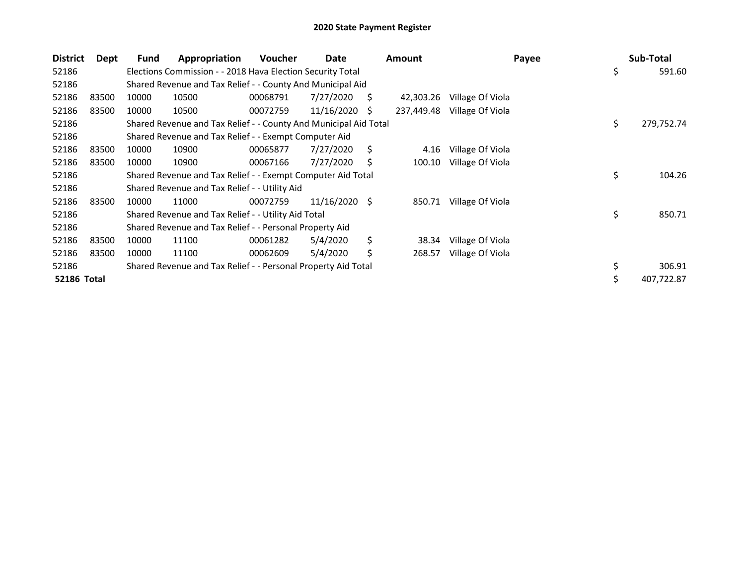| <b>District</b> | Dept        | Fund  | Appropriation                                                    | <b>Voucher</b> | Date            |    | <b>Amount</b> | Payee            |    | Sub-Total  |
|-----------------|-------------|-------|------------------------------------------------------------------|----------------|-----------------|----|---------------|------------------|----|------------|
| 52186           |             |       | Elections Commission - - 2018 Hava Election Security Total       |                |                 |    |               |                  | \$ | 591.60     |
| 52186           |             |       | Shared Revenue and Tax Relief - - County And Municipal Aid       |                |                 |    |               |                  |    |            |
| 52186           | 83500       | 10000 | 10500                                                            | 00068791       | 7/27/2020       | S  | 42,303.26     | Village Of Viola |    |            |
| 52186           | 83500       | 10000 | 10500                                                            | 00072759       | 11/16/2020      | S. | 237,449.48    | Village Of Viola |    |            |
| 52186           |             |       | Shared Revenue and Tax Relief - - County And Municipal Aid Total |                |                 |    |               |                  | \$ | 279,752.74 |
| 52186           |             |       | Shared Revenue and Tax Relief - - Exempt Computer Aid            |                |                 |    |               |                  |    |            |
| 52186           | 83500       | 10000 | 10900                                                            | 00065877       | 7/27/2020       | Ś. | 4.16          | Village Of Viola |    |            |
| 52186           | 83500       | 10000 | 10900                                                            | 00067166       | 7/27/2020       | S  | 100.10        | Village Of Viola |    |            |
| 52186           |             |       | Shared Revenue and Tax Relief - - Exempt Computer Aid Total      |                |                 |    |               |                  |    |            |
| 52186           |             |       | Shared Revenue and Tax Relief - - Utility Aid                    |                |                 |    |               |                  |    |            |
| 52186           | 83500       | 10000 | 11000                                                            | 00072759       | $11/16/2020$ \$ |    | 850.71        | Village Of Viola |    |            |
| 52186           |             |       | Shared Revenue and Tax Relief - - Utility Aid Total              |                |                 |    |               |                  | \$ | 850.71     |
| 52186           |             |       | Shared Revenue and Tax Relief - - Personal Property Aid          |                |                 |    |               |                  |    |            |
| 52186           | 83500       | 10000 | 11100                                                            | 00061282       | 5/4/2020        | \$ | 38.34         | Village Of Viola |    |            |
| 52186           | 83500       | 10000 | 11100                                                            | 00062609       | 5/4/2020        |    | 268.57        | Village Of Viola |    |            |
| 52186           |             |       | Shared Revenue and Tax Relief - - Personal Property Aid Total    |                |                 |    |               |                  | \$ | 306.91     |
|                 | 52186 Total |       |                                                                  |                |                 |    |               |                  |    |            |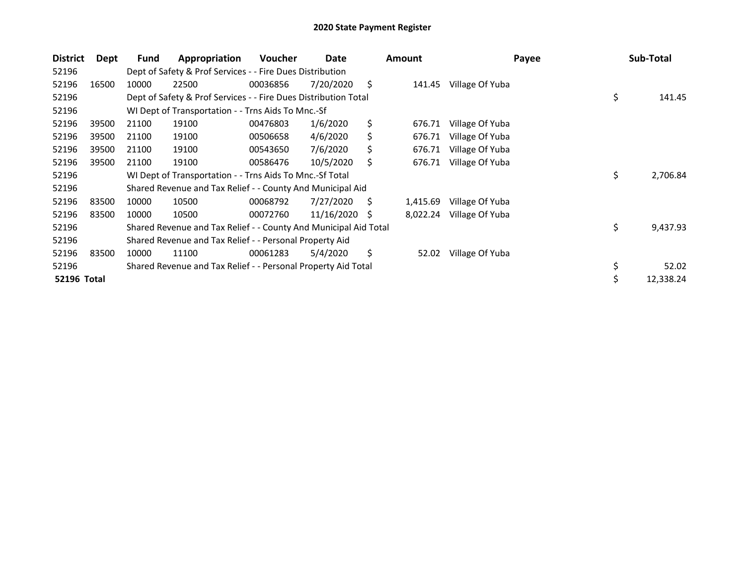| <b>District</b>    | Dept  | Fund  | Appropriation                                                    | Voucher  | Date         |     | <b>Amount</b> | Payee           | Sub-Total       |
|--------------------|-------|-------|------------------------------------------------------------------|----------|--------------|-----|---------------|-----------------|-----------------|
| 52196              |       |       | Dept of Safety & Prof Services - - Fire Dues Distribution        |          |              |     |               |                 |                 |
| 52196              | 16500 | 10000 | 22500                                                            | 00036856 | 7/20/2020    | \$  | 141.45        | Village Of Yuba |                 |
| 52196              |       |       | Dept of Safety & Prof Services - - Fire Dues Distribution Total  |          | \$<br>141.45 |     |               |                 |                 |
| 52196              |       |       | WI Dept of Transportation - - Trns Aids To Mnc.-Sf               |          |              |     |               |                 |                 |
| 52196              | 39500 | 21100 | 19100                                                            | 00476803 | 1/6/2020     | \$  | 676.71        | Village Of Yuba |                 |
| 52196              | 39500 | 21100 | 19100                                                            | 00506658 | 4/6/2020     | S.  | 676.71        | Village Of Yuba |                 |
| 52196              | 39500 | 21100 | 19100                                                            | 00543650 | 7/6/2020     | Ś   | 676.71        | Village Of Yuba |                 |
| 52196              | 39500 | 21100 | 19100                                                            | 00586476 | 10/5/2020    | \$. | 676.71        | Village Of Yuba |                 |
| 52196              |       |       | WI Dept of Transportation - - Trns Aids To Mnc.-Sf Total         |          |              |     |               |                 | \$<br>2,706.84  |
| 52196              |       |       | Shared Revenue and Tax Relief - - County And Municipal Aid       |          |              |     |               |                 |                 |
| 52196              | 83500 | 10000 | 10500                                                            | 00068792 | 7/27/2020    | S   | 1,415.69      | Village Of Yuba |                 |
| 52196              | 83500 | 10000 | 10500                                                            | 00072760 | 11/16/2020   | S   | 8,022.24      | Village Of Yuba |                 |
| 52196              |       |       | Shared Revenue and Tax Relief - - County And Municipal Aid Total |          |              |     |               |                 | \$<br>9,437.93  |
| 52196              |       |       | Shared Revenue and Tax Relief - - Personal Property Aid          |          |              |     |               |                 |                 |
| 52196              | 83500 | 10000 | 11100                                                            | 00061283 | 5/4/2020     | \$  | 52.02         | Village Of Yuba |                 |
| 52196              |       |       | Shared Revenue and Tax Relief - - Personal Property Aid Total    |          |              |     |               |                 | \$<br>52.02     |
| <b>52196 Total</b> |       |       |                                                                  |          |              |     |               |                 | \$<br>12,338.24 |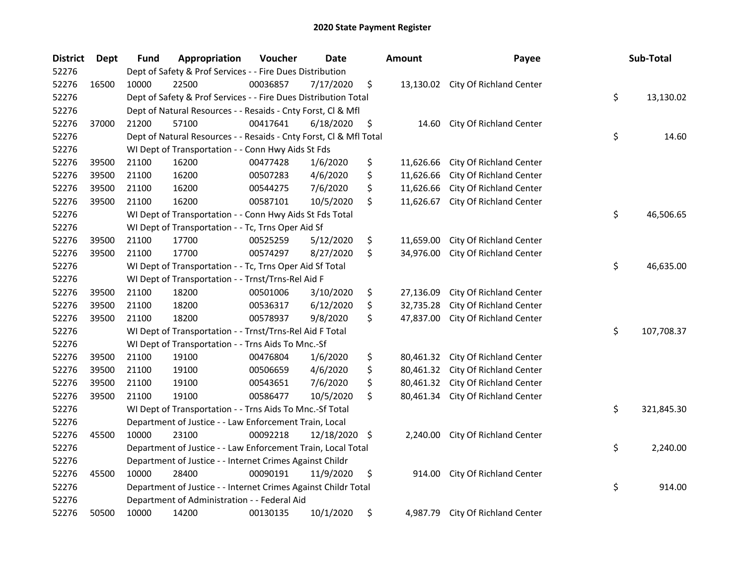| <b>District</b> | Dept  | Fund                                                     | Appropriation                                                      | Voucher  | Date          | <b>Amount</b>   | Payee                             | Sub-Total        |
|-----------------|-------|----------------------------------------------------------|--------------------------------------------------------------------|----------|---------------|-----------------|-----------------------------------|------------------|
| 52276           |       |                                                          | Dept of Safety & Prof Services - - Fire Dues Distribution          |          |               |                 |                                   |                  |
| 52276           | 16500 | 10000                                                    | 22500                                                              | 00036857 | 7/17/2020     | \$              | 13,130.02 City Of Richland Center |                  |
| 52276           |       |                                                          | Dept of Safety & Prof Services - - Fire Dues Distribution Total    |          |               |                 |                                   | \$<br>13,130.02  |
| 52276           |       |                                                          | Dept of Natural Resources - - Resaids - Cnty Forst, Cl & Mfl       |          |               |                 |                                   |                  |
| 52276           | 37000 | 21200                                                    | 57100                                                              | 00417641 | 6/18/2020     | \$<br>14.60     | City Of Richland Center           |                  |
| 52276           |       |                                                          | Dept of Natural Resources - - Resaids - Cnty Forst, Cl & Mfl Total |          |               |                 |                                   | \$<br>14.60      |
| 52276           |       |                                                          | WI Dept of Transportation - - Conn Hwy Aids St Fds                 |          |               |                 |                                   |                  |
| 52276           | 39500 | 21100                                                    | 16200                                                              | 00477428 | 1/6/2020      | \$<br>11,626.66 | City Of Richland Center           |                  |
| 52276           | 39500 | 21100                                                    | 16200                                                              | 00507283 | 4/6/2020      | \$<br>11,626.66 | City Of Richland Center           |                  |
| 52276           | 39500 | 21100                                                    | 16200                                                              | 00544275 | 7/6/2020      | \$<br>11,626.66 | City Of Richland Center           |                  |
| 52276           | 39500 | 21100                                                    | 16200                                                              | 00587101 | 10/5/2020     | \$<br>11,626.67 | City Of Richland Center           |                  |
| 52276           |       |                                                          | WI Dept of Transportation - - Conn Hwy Aids St Fds Total           |          |               |                 |                                   | \$<br>46,506.65  |
| 52276           |       |                                                          | WI Dept of Transportation - - Tc, Trns Oper Aid Sf                 |          |               |                 |                                   |                  |
| 52276           | 39500 | 21100                                                    | 17700                                                              | 00525259 | 5/12/2020     | \$<br>11,659.00 | City Of Richland Center           |                  |
| 52276           | 39500 | 21100                                                    | 17700                                                              | 00574297 | 8/27/2020     | \$<br>34,976.00 | City Of Richland Center           |                  |
| 52276           |       |                                                          | WI Dept of Transportation - - Tc, Trns Oper Aid Sf Total           |          |               |                 |                                   | \$<br>46,635.00  |
| 52276           |       |                                                          | WI Dept of Transportation - - Trnst/Trns-Rel Aid F                 |          |               |                 |                                   |                  |
| 52276           | 39500 | 21100                                                    | 18200                                                              | 00501006 | 3/10/2020     | \$<br>27,136.09 | City Of Richland Center           |                  |
| 52276           | 39500 | 21100                                                    | 18200                                                              | 00536317 | 6/12/2020     | \$<br>32,735.28 | City Of Richland Center           |                  |
| 52276           | 39500 | 21100                                                    | 18200                                                              | 00578937 | 9/8/2020      | \$<br>47,837.00 | City Of Richland Center           |                  |
| 52276           |       |                                                          | WI Dept of Transportation - - Trnst/Trns-Rel Aid F Total           |          |               |                 |                                   | \$<br>107,708.37 |
| 52276           |       |                                                          | WI Dept of Transportation - - Trns Aids To Mnc.-Sf                 |          |               |                 |                                   |                  |
| 52276           | 39500 | 21100                                                    | 19100                                                              | 00476804 | 1/6/2020      | \$<br>80,461.32 | City Of Richland Center           |                  |
| 52276           | 39500 | 21100                                                    | 19100                                                              | 00506659 | 4/6/2020      | \$<br>80,461.32 | City Of Richland Center           |                  |
| 52276           | 39500 | 21100                                                    | 19100                                                              | 00543651 | 7/6/2020      | \$<br>80,461.32 | City Of Richland Center           |                  |
| 52276           | 39500 | 21100                                                    | 19100                                                              | 00586477 | 10/5/2020     | \$<br>80,461.34 | City Of Richland Center           |                  |
| 52276           |       |                                                          | WI Dept of Transportation - - Trns Aids To Mnc.-Sf Total           |          |               |                 |                                   | \$<br>321,845.30 |
| 52276           |       |                                                          | Department of Justice - - Law Enforcement Train, Local             |          |               |                 |                                   |                  |
| 52276           | 45500 | 10000                                                    | 23100                                                              | 00092218 | 12/18/2020 \$ | 2,240.00        | City Of Richland Center           |                  |
| 52276           |       |                                                          | Department of Justice - - Law Enforcement Train, Local Total       |          |               |                 |                                   | \$<br>2,240.00   |
| 52276           |       | Department of Justice - - Internet Crimes Against Childr |                                                                    |          |               |                 |                                   |                  |
| 52276           | 45500 | 10000                                                    | 28400                                                              | 00090191 | 11/9/2020     | \$<br>914.00    | City Of Richland Center           |                  |
| 52276           |       |                                                          | Department of Justice - - Internet Crimes Against Childr Total     |          |               |                 |                                   | \$<br>914.00     |
| 52276           |       |                                                          | Department of Administration - - Federal Aid                       |          |               |                 |                                   |                  |
| 52276           | 50500 | 10000                                                    | 14200                                                              | 00130135 | 10/1/2020     | \$<br>4,987.79  | <b>City Of Richland Center</b>    |                  |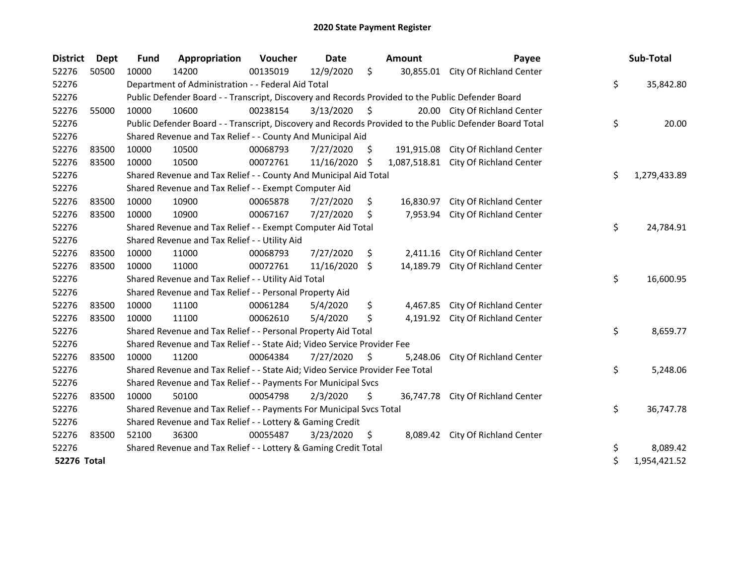| <b>District</b>    | <b>Dept</b> | <b>Fund</b>                                               | Appropriation                                                                                     | Voucher  | <b>Date</b> |                     | Amount       | Payee                                                                                                   |    | Sub-Total    |
|--------------------|-------------|-----------------------------------------------------------|---------------------------------------------------------------------------------------------------|----------|-------------|---------------------|--------------|---------------------------------------------------------------------------------------------------------|----|--------------|
| 52276              | 50500       | 10000                                                     | 14200                                                                                             | 00135019 | 12/9/2020   | $\zeta$             | 30,855.01    | City Of Richland Center                                                                                 |    |              |
| 52276              |             |                                                           | Department of Administration - - Federal Aid Total                                                |          |             |                     |              |                                                                                                         | \$ | 35,842.80    |
| 52276              |             |                                                           | Public Defender Board - - Transcript, Discovery and Records Provided to the Public Defender Board |          |             |                     |              |                                                                                                         |    |              |
| 52276              | 55000       | 10000                                                     | 10600                                                                                             | 00238154 | 3/13/2020   | \$                  |              | 20.00 City Of Richland Center                                                                           |    |              |
| 52276              |             |                                                           |                                                                                                   |          |             |                     |              | Public Defender Board - - Transcript, Discovery and Records Provided to the Public Defender Board Total | \$ | 20.00        |
| 52276              |             |                                                           | Shared Revenue and Tax Relief - - County And Municipal Aid                                        |          |             |                     |              |                                                                                                         |    |              |
| 52276              | 83500       | 10000                                                     | 10500                                                                                             | 00068793 | 7/27/2020   | S.                  | 191,915.08   | City Of Richland Center                                                                                 |    |              |
| 52276              | 83500       | 10000                                                     | 10500                                                                                             | 00072761 | 11/16/2020  | $\ddot{\varsigma}$  | 1,087,518.81 | City Of Richland Center                                                                                 |    |              |
| 52276              |             |                                                           | Shared Revenue and Tax Relief - - County And Municipal Aid Total                                  |          |             |                     |              |                                                                                                         | \$ | 1,279,433.89 |
| 52276              |             |                                                           | Shared Revenue and Tax Relief - - Exempt Computer Aid                                             |          |             |                     |              |                                                                                                         |    |              |
| 52276              | 83500       | 10000                                                     | 10900                                                                                             | 00065878 | 7/27/2020   | \$                  | 16,830.97    | City Of Richland Center                                                                                 |    |              |
| 52276              | 83500       | 10000                                                     | 10900                                                                                             | 00067167 | 7/27/2020   | Ŝ.                  | 7,953.94     | City Of Richland Center                                                                                 |    |              |
| 52276              |             |                                                           | Shared Revenue and Tax Relief - - Exempt Computer Aid Total                                       | \$       | 24,784.91   |                     |              |                                                                                                         |    |              |
| 52276              |             | Shared Revenue and Tax Relief - - Utility Aid             |                                                                                                   |          |             |                     |              |                                                                                                         |    |              |
| 52276              | 83500       | 10000                                                     | 11000                                                                                             | 00068793 | 7/27/2020   | \$.                 | 2,411.16     | City Of Richland Center                                                                                 |    |              |
| 52276              | 83500       | 10000                                                     | 11000                                                                                             | 00072761 | 11/16/2020  | S.                  | 14,189.79    | City Of Richland Center                                                                                 |    |              |
| 52276              |             |                                                           | Shared Revenue and Tax Relief - - Utility Aid Total                                               |          |             |                     |              |                                                                                                         | \$ | 16,600.95    |
| 52276              |             |                                                           | Shared Revenue and Tax Relief - - Personal Property Aid                                           |          |             |                     |              |                                                                                                         |    |              |
| 52276              | 83500       | 10000                                                     | 11100                                                                                             | 00061284 | 5/4/2020    | \$                  | 4,467.85     | City Of Richland Center                                                                                 |    |              |
| 52276              | 83500       | 10000                                                     | 11100                                                                                             | 00062610 | 5/4/2020    | \$                  | 4,191.92     | City Of Richland Center                                                                                 |    |              |
| 52276              |             |                                                           | Shared Revenue and Tax Relief - - Personal Property Aid Total                                     |          |             |                     |              |                                                                                                         | \$ | 8,659.77     |
| 52276              |             |                                                           | Shared Revenue and Tax Relief - - State Aid; Video Service Provider Fee                           |          |             |                     |              |                                                                                                         |    |              |
| 52276              | 83500       | 10000                                                     | 11200                                                                                             | 00064384 | 7/27/2020   | $\ddot{\mathsf{S}}$ | 5,248.06     | City Of Richland Center                                                                                 |    |              |
| 52276              |             |                                                           | Shared Revenue and Tax Relief - - State Aid; Video Service Provider Fee Total                     |          |             |                     |              |                                                                                                         | \$ | 5,248.06     |
| 52276              |             |                                                           | Shared Revenue and Tax Relief - - Payments For Municipal Svcs                                     |          |             |                     |              |                                                                                                         |    |              |
| 52276              | 83500       | 10000                                                     | 50100                                                                                             | 00054798 | 2/3/2020    | \$                  |              | 36,747.78 City Of Richland Center                                                                       |    |              |
| 52276              |             |                                                           | Shared Revenue and Tax Relief - - Payments For Municipal Svcs Total                               |          |             |                     |              |                                                                                                         | \$ | 36,747.78    |
| 52276              |             | Shared Revenue and Tax Relief - - Lottery & Gaming Credit |                                                                                                   |          |             |                     |              |                                                                                                         |    |              |
| 52276              | 83500       | 52100                                                     | 36300                                                                                             | 00055487 | 3/23/2020   | \$                  |              | 8,089.42 City Of Richland Center                                                                        |    |              |
| 52276              |             |                                                           | Shared Revenue and Tax Relief - - Lottery & Gaming Credit Total                                   |          |             |                     |              |                                                                                                         | \$ | 8,089.42     |
| <b>52276 Total</b> |             |                                                           |                                                                                                   |          |             |                     |              |                                                                                                         | \$ | 1,954,421.52 |